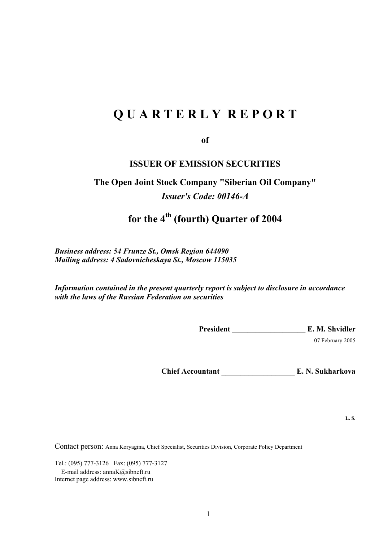# **Q U A R T E R L Y R E P O R T**

**of** 

# **ISSUER OF EMISSION SECURITIES**

# **The Open Joint Stock Company "Siberian Oil Company"**  *Issuer's Code: 00146-А*

# **for the 4th (fourth) Quarter of 2004**

*Business address: 54 Frunze St., Omsk Region 644090 Mailing address: 4 Sadovnicheskaya St., Moscow 115035* 

*Information contained in the present quarterly report is subject to disclosure in accordance with the laws of the Russian Federation on securities* 

President E. M. Shvidler

07 February 2005

**Chief Accountant \_\_\_\_\_\_\_\_\_\_\_\_\_\_\_\_\_\_\_ E. N. Sukharkova** 

**L. S.** 

Contact person: Anna Koryagina, Chief Specialist, Securities Division, Corporate Policy Department

Tel.: (095) 777-3126 Fax: (095) 777-3127 E-mail address: annaK@sibneft.ru Internet page address: www.sibneft.ru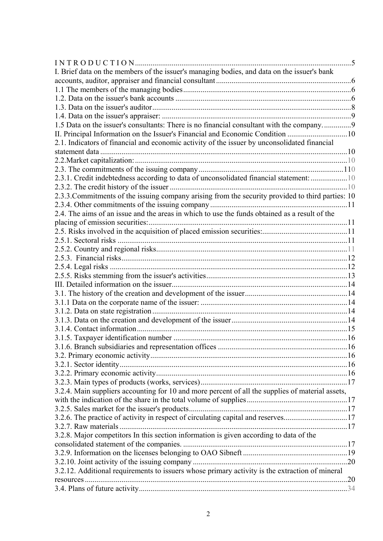| I. Brief data on the members of the issuer's managing bodies, and data on the issuer's bank       |  |
|---------------------------------------------------------------------------------------------------|--|
|                                                                                                   |  |
|                                                                                                   |  |
|                                                                                                   |  |
|                                                                                                   |  |
|                                                                                                   |  |
| 1.5 Data on the issuer's consultants: There is no financial consultant with the company9          |  |
| II. Principal Information on the Issuer's Financial and Economic Condition 10                     |  |
| 2.1. Indicators of financial and economic activity of the issuer by unconsolidated financial      |  |
|                                                                                                   |  |
|                                                                                                   |  |
|                                                                                                   |  |
| 2.3.1. Credit indebtedness according to data of unconsolidated financial statement: 10            |  |
|                                                                                                   |  |
| 2.3.3. Commitments of the issuing company arising from the security provided to third parties: 10 |  |
|                                                                                                   |  |
| 2.4. The aims of an issue and the areas in which to use the funds obtained as a result of the     |  |
|                                                                                                   |  |
|                                                                                                   |  |
|                                                                                                   |  |
|                                                                                                   |  |
|                                                                                                   |  |
|                                                                                                   |  |
|                                                                                                   |  |
|                                                                                                   |  |
|                                                                                                   |  |
|                                                                                                   |  |
|                                                                                                   |  |
|                                                                                                   |  |
|                                                                                                   |  |
|                                                                                                   |  |
|                                                                                                   |  |
|                                                                                                   |  |
|                                                                                                   |  |
|                                                                                                   |  |
|                                                                                                   |  |
| 3.2.4. Main suppliers accounting for 10 and more percent of all the supplies of material assets,  |  |
|                                                                                                   |  |
|                                                                                                   |  |
| 3.2.6. The practice of activity in respect of circulating capital and reserves17                  |  |
|                                                                                                   |  |
| 3.2.8. Major competitors In this section information is given according to data of the            |  |
|                                                                                                   |  |
|                                                                                                   |  |
|                                                                                                   |  |
| 3.2.12. Additional requirements to issuers whose primary activity is the extraction of mineral    |  |
|                                                                                                   |  |
|                                                                                                   |  |
|                                                                                                   |  |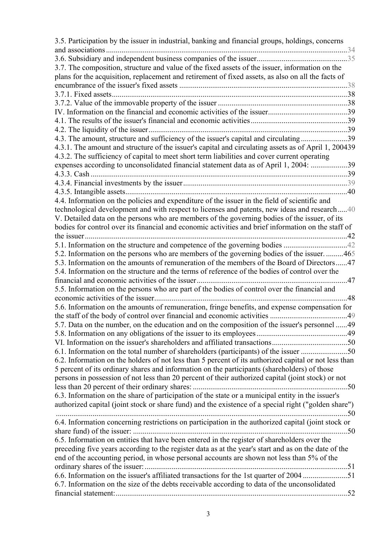| 3.5. Participation by the issuer in industrial, banking and financial groups, holdings, concerns      |     |
|-------------------------------------------------------------------------------------------------------|-----|
|                                                                                                       |     |
|                                                                                                       |     |
| 3.7. The composition, structure and value of the fixed assets of the issuer, information on the       |     |
| plans for the acquisition, replacement and retirement of fixed assets, as also on all the facts of    |     |
|                                                                                                       |     |
|                                                                                                       |     |
|                                                                                                       |     |
|                                                                                                       |     |
|                                                                                                       |     |
|                                                                                                       |     |
| 4.3. The amount, structure and sufficiency of the issuer's capital and circulating39                  |     |
| 4.3.1. The amount and structure of the issuer's capital and circulating assets as of April 1, 200439  |     |
| 4.3.2. The sufficiency of capital to meet short term liabilities and cover current operating          |     |
| expenses according to unconsolidated financial statement data as of April 1, 2004: 39                 |     |
|                                                                                                       |     |
|                                                                                                       |     |
|                                                                                                       |     |
| 4.4. Information on the policies and expenditure of the issuer in the field of scientific and         |     |
| technological development and with respect to licenses and patents, new ideas and research40          |     |
| V. Detailed data on the persons who are members of the governing bodies of the issuer, of its         |     |
| bodies for control over its financial and economic activities and brief information on the staff of   |     |
|                                                                                                       |     |
|                                                                                                       |     |
| 5.2. Information on the persons who are members of the governing bodies of the issuer. 465            |     |
| 5.3. Information on the amounts of remuneration of the members of the Board of Directors47            |     |
| 5.4. Information on the structure and the terms of reference of the bodies of control over the        |     |
|                                                                                                       |     |
| 5.5. Information on the persons who are part of the bodies of control over the financial and          |     |
|                                                                                                       | .48 |
| 5.6. Information on the amounts of remuneration, fringe benefits, and expense compensation for        |     |
|                                                                                                       |     |
| 5.7. Data on the number, on the education and on the composition of the issuer's personnel 49         |     |
|                                                                                                       |     |
|                                                                                                       |     |
| 6.1. Information on the total number of shareholders (participants) of the issuer 50                  |     |
| 6.2. Information on the holders of not less than 5 percent of its authorized capital or not less than |     |
| 5 percent of its ordinary shares and information on the participants (shareholders) of those          |     |
| persons in possession of not less than 20 percent of their authorized capital (joint stock) or not    |     |
|                                                                                                       |     |
| 6.3. Information on the share of participation of the state or a municipal entity in the issuer's     |     |
| authorized capital (joint stock or share fund) and the existence of a special right ("golden share")  |     |
|                                                                                                       |     |
| 6.4. Information concerning restrictions on participation in the authorized capital (joint stock or   |     |
|                                                                                                       |     |
| 6.5. Information on entities that have been entered in the register of shareholders over the          |     |
|                                                                                                       |     |
| preceding five years according to the register data as at the year's start and as on the date of the  |     |
| end of the accounting period, in whose personal accounts are shown not less than 5% of the            |     |
|                                                                                                       |     |
| 6.6. Information on the issuer's affiliated transactions for the 1st quarter of 2004 51               |     |
| 6.7. Information on the size of the debts receivable according to data of the unconsolidated          |     |
|                                                                                                       |     |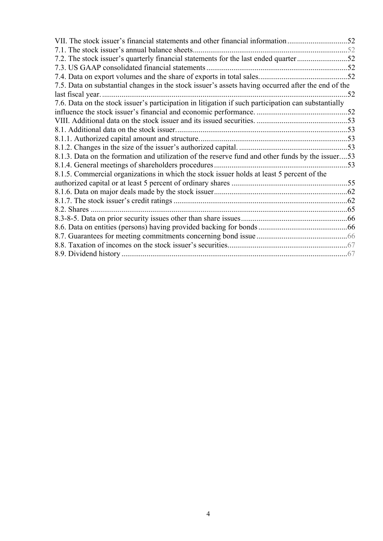| VII. The stock issuer's financial statements and other financial information52                      |    |
|-----------------------------------------------------------------------------------------------------|----|
| 7.1. The stock issuer's annual balance sheets                                                       |    |
| 7.2. The stock issuer's quarterly financial statements for the last ended quarter52                 |    |
| 7.3. US GAAP consolidated financial statements.                                                     |    |
|                                                                                                     |    |
|                                                                                                     |    |
| 7.5. Data on substantial changes in the stock issuer's assets having occurred after the end of the  |    |
|                                                                                                     | 52 |
| 7.6. Data on the stock issuer's participation in litigation if such participation can substantially |    |
|                                                                                                     |    |
|                                                                                                     |    |
|                                                                                                     |    |
|                                                                                                     |    |
|                                                                                                     |    |
| 8.1.3. Data on the formation and utilization of the reserve fund and other funds by the issuer53    |    |
|                                                                                                     |    |
| 8.1.5. Commercial organizations in which the stock issuer holds at least 5 percent of the           |    |
|                                                                                                     |    |
|                                                                                                     |    |
|                                                                                                     |    |
| 8.2. Shares                                                                                         |    |
|                                                                                                     |    |
|                                                                                                     |    |
|                                                                                                     |    |
|                                                                                                     |    |
|                                                                                                     |    |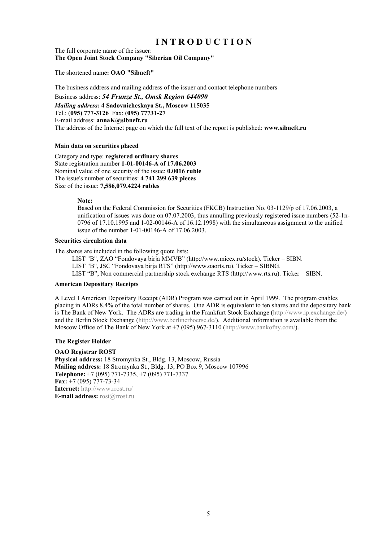# **I N T R O D U C T I O N**

The full corporate name of the issuer: **The Open Joint Stock Company "Siberian Oil Company"** 

The shortened name**: OAO "Sibneft"** 

The business address and mailing address of the issuer and contact telephone numbers

Business address: *54 Frunze St., Omsk Region 644090* 

*Mailing address:* **4 Sadovnicheskaya St., Moscow 115035** Tel.: (**095) 777-3126** Fax: (**095) 77731-27** E-mail address: **annaK@sibneft.ru** The address of the Internet page on which the full text of the report is published: **www.sibneft.ru** 

#### **Main data on securities placed**

Category and type: **registered ordinary shares** State registration number **1-01-00146-А of 17.06.2003** Nominal value of one security of the issue: **0.0016 ruble**  The issue's number of securities: **4 741 299 639 pieces** Size of the issue: **7,586,079.4224 rubles** 

**Note:** 

Based on the Federal Commission for Securities (FKCB) Instruction No. 03-1129/р of 17.06.2003, a unification of issues was done on 07.07.2003, thus annulling previously registered issue numbers (52-1п-0796 of 17.10.1995 and 1-02-00146-А of 16.12.1998) with the simultaneous assignment to the unified issue of the number 1-01-00146-А of 17.06.2003.

#### **Securities circulation data**

The shares are included in the following quote lists:

LIST "В", ZAO "Fondovaya birja MMVB" (http://www.micex.ru/stock). Ticker – SIBN. LIST "В", JSC "Fondovaya birja RTS" (http://www.oaorts.ru). Ticker – SIBNG. LIST "B", Non commercial partnership stock exchange RTS (http://www.rts.ru). Ticker – SIBN.

#### **American Depositary Receipts**

A Level I American Depositary Receipt (ADR) Program was carried out in April 1999. The program enables placing in ADRs 8.4% of the total number of shares. One ADR is equivalent to ten shares and the depositary bank is The Bank of New York. The ADRs are trading in the Frankfurt Stock Exchange (http://www.ip.exchange.de/) and the Berlin Stock Exchange (http://www.berlinerboerse.de/). Additional information is available from the Moscow Office of The Bank of New York at +7 (095) 967-3110 (http://www.bankofny.com/).

#### **The Register Holder**

**OAO Registrar ROST Physical address:** 18 Stromynka St., Bldg. 13, Moscow, Russia **Mailing address:** 18 Stromynka St., Bldg. 13, PO Box 9, Moscow 107996 **Telephone:** +7 (095) 771-7335, +7 (095) 771-7337 **Fax:** +7 (095) 777-73-34 **Internet:** http://www.rrost.ru/ **E-mail address:** rost@rrost.ru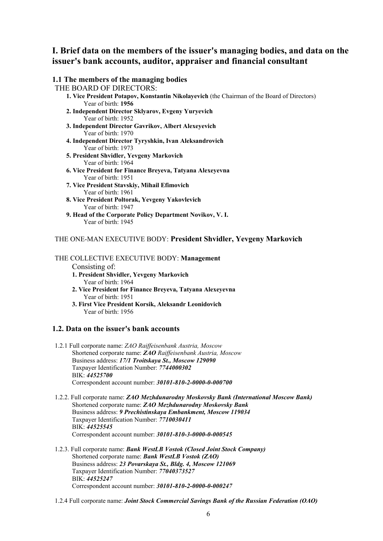# **I. Brief data on the members of the issuer's managing bodies, and data on the issuer's bank accounts, auditor, appraiser and financial consultant**

| 1.1 The members of the managing bodies                                                      |
|---------------------------------------------------------------------------------------------|
| THE BOARD OF DIRECTORS:                                                                     |
| 1. Vice President Potapov, Konstantin Nikolayevich (the Chairman of the Board of Directors) |
| Year of birth: 1956                                                                         |
| 2. Independent Director Sklyarov, Evgeny Yuryevich                                          |
| Year of birth: 1952                                                                         |
| 3. Independent Director Gavrikov, Albert Alexeyevich                                        |
| Year of birth: 1970                                                                         |
| 4. Independent Director Tyryshkin, Ivan Aleksandrovich                                      |
| Year of birth: 1973                                                                         |
| 5. President Shvidler, Yevgeny Markovich                                                    |
| Year of birth: 1964                                                                         |
| 6. Vice President for Finance Breyeva, Tatyana Alexeyevna                                   |
| Year of birth: 1951                                                                         |
| 7. Vice President Stavskiy, Mihail Efimovich                                                |
| Year of birth: 1961                                                                         |
| 8. Vice President Poltorak, Yevgeny Yakovlevich                                             |
| Year of birth: 1947                                                                         |
| 9. Head of the Corporate Policy Department Novikov, V. I.                                   |
| Year of birth: 1945                                                                         |

# THE ONE-MAN EXECUTIVE BODY: **President Shvidler, Yevgeny Markovich**

# THE COLLECTIVE EXECUTIVE BODY: **Management**

- Consisting of:
- **1. President Shvidler, Yevgeny Markovich** Year of birth: 1964
- **2. Vice President for Finance Breyeva, Tatyana Alexeyevna** Year of birth: 1951
- **3. First Vice President Korsik, Aleksandr Leonidovich**  Year of birth: 1956

## **1.2. Data on the issuer's bank accounts**

- 1.2.1 Full corporate name: *ZAO Raiffeisenbank Austria, Moscow* Shortened corporate name: *ZAO Raiffeisenbank Austria, Moscow* Business address: *17/1 Troitskaya St., Moscow 129090*  Taxpayer Identification Number: *7744000302* BIK: *44525700*  Correspondent account number: *30101-810-2-0000-0-000700*
- 1.2.2. Full corporate name: *ZAO Mezhdunarodny Moskovsky Bank (International Moscow Bank)*  Shortened corporate name: *ZAO Mezhdunarodny Moskovsky Bank*  Business address: *9 Prechistinskaya Embankment, Moscow 119034*  Taxpayer Identification Number: *7710030411* BIK: *44525545*  Correspondent account number: *30101-810-3-0000-0-000545*
- 1.2.3. Full corporate name: *Bank WestLB Vostok (Closed Joint Stock Company)*  Shortened corporate name: *Bank WestLB Vostok (ZAO)*  Business address: *23 Povarskaya St., Bldg. 4, Moscow 121069*  Taxpayer Identification Number: *77040373527* BIK: *44525247*  Correspondent account number: *30101-810-2-0000-0-000247*
- 1.2.4 Full corporate name: *Joint Stock Commercial Savings Bank of the Russian Federation (ОАО)*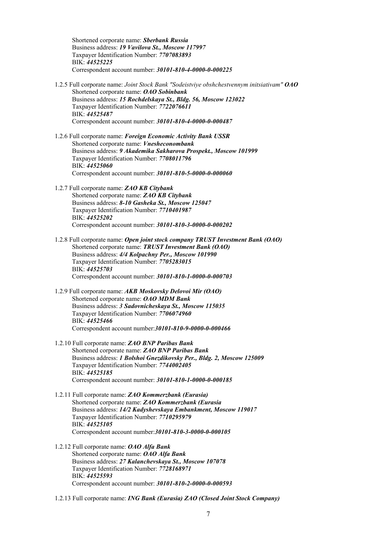Shortened corporate name: *Sberbank Russia*  Business address: *19 Vavilova St., Moscow 117997*  Taxpayer Identification Number: *7707083893* BIK: *44525225*  Correspondent account number: *30101-810-4-0000-0-000225*

- 1.2.5 Full corporate name: *Joint Stock Bank "Sodeistviye obshchestvennym initsiativam" ОАО* Shortened corporate name: *ОАО Sobinbank*  Business address: *15 Rochdelskaya St., Bldg. 56, Moscow 123022*  Taxpayer Identification Number: *7722076611* BIK: *44525487* Correspondent account number: *30101-810-4-0000-0-000487*
- 1.2.6 Full corporate name: *Foreign Economic Activity Bank USSR*  Shortened corporate name: *Vnesheconombank*  Business address: *9 Akademika Sakharova Prospekt., Moscow 101999*  Taxpayer Identification Number: *7708011796* BIK: *44525060*  Correspondent account number: *30101-810-5-0000-0-000060*
- 1.2.7 Full corporate name: *ZAO KB Citybank*  Shortened corporate name: *ZAO KB Citybank*  Business address: *8-10 Gasheka St., Moscow 125047*  Taxpayer Identification Number: *7710401987* BIK: *44525202*  Correspondent account number: *30101-810-3-0000-0-000202*
- 1.2.8 Full corporate name: *Open joint stock company TRUST Investment Bank (ОАО)*  Shortened corporate name: *TRUST Investment Bank (ОАО)*  Business address: *4/4 Kolpachny Per., Moscow 101990*  Taxpayer Identification Number: *7705283015* BIK: *44525703*  Correspondent account number: *30101-810-1-0000-0-000703*
- 1.2.9 Full corporate name: *AKB Moskovsky Delovoi Mir (ОАО)*  Shortened corporate name: *ОАО MDM Bank*  Business address: *3 Sadovnicheskaya St., Moscow 115035*  Taxpayer Identification Number: *7706074960* BIK: *44525466*  Correspondent account number:*30101-810-9-0000-0-000466*
- 1.2.10 Full corporate name: *ZAO BNP Paribas Bank*  Shortened corporate name: *ZAO BNP Paribas Bank*  Business address: *1 Bolshoi Gnezdikovsky Per., Bldg. 2, Moscow 125009*  Taxpayer Identification Number: *7744002405* BIK: *44525185*  Correspondent account number: *30101-810-1-0000-0-000185*
- 1.2.11 Full corporate name: *ZAO Kommerzbank (Eurasia)*  Shortened corporate name: *ZAO Kommerzbank (Eurasia*  Business address: *14/2 Kadyshevskaya Embankment, Moscow 119017*  Taxpayer Identification Number: *7710295979* BIK: *44525105*  Correspondent account number:*30101-810-3-0000-0-000105*
- 1.2.12 Full corporate name: *ОАО Alfa Bank*  Shortened corporate name: *ОАО Alfa Bank*  Business address: *27 Kalanchevskaya St., Moscow 107078*  Taxpayer Identification Number: *7728168971* BIK: *44525593*  Correspondent account number: *30101-810-2-0000-0-000593*
- 1.2.13 Full corporate name: *ING Bank (Eurasia) ZAO (Closed Joint Stock Company)*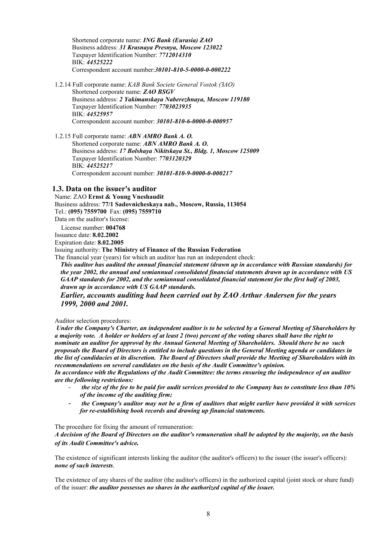Shortened corporate name: *ING Bank (Eurasia) ZAO*  Business address: *31 Krasnaya Presnya, Moscow 123022*  Taxpayer Identification Number: *7712014310* BIK: *44525222*  Correspondent account number:*30101-810-5-0000-0-000222*

1.2.14 Full corporate name: *KAB Bank Societe General Vostok (ЗАО)*  Shortened corporate name: *ZAO BSGV*  Business address: *2 Yakimanskaya Naberezhnaya, Moscow 119180*  Taxpayer Identification Number: *7703023935* BIK: *44525957*  Correspondent account number: *30101-810-6-0000-0-000957*

1.2.15 Full corporate name: *ABN AMRO Bank А. О.*  Shortened corporate name: *ABN AMRO Bank А. О.*  Business address: *17 Bolshaya Nikitskaya St., Bldg. 1, Moscow 125009*  Taxpayer Identification Number: *7703120329* BIK: *44525217*  Correspondent account number: *30101-810-9-0000-0-000217*

#### **1.3. Data on the issuer's auditor**

Name: ZAO **Ernst & Young Vneshaudit**  Business address: **77/1 Sadovnicheskaya nab., Moscow, Russia, 113054**  Tel.: **(095) 7559700** Fax: **(095) 7559710**  Data on the auditor's license: License number: **004768** 

Issuance date: **8.02.2002** 

Expiration date: **8.02.2005** 

Issuing authority: **The Ministry of Finance of the Russian Federation** 

The financial year (years) for which an auditor has run an independent check:

*This auditor has audited the annual financial statement (drawn up in accordance with Russian standards) for the year 2002, the annual and semiannual consolidated financial statements drawn up in accordance with US GAAP standards for 2002, and the semiannual consolidated financial statement for the first half of 2003, drawn up in accordance with US GAAP standards.* 

*Earlier, accounts auditing had been carried out by ZAO Arthur Andersen for the years 1999, 2000 and 2001.* 

Auditor selection procedures:

 *Under the Company's Charter, an independent auditor is to be selected by a General Meeting of Shareholders by a majority vote. A holder or holders of at least 2 (two) percent of the voting shares shall have the right to nominate an auditor for approval by the Annual General Meeting of Shareholders. Should there be no such proposals the Board of Directors is entitled to include questions in the General Meeting agenda or candidates in the list of candidacies at its discretion. The Board of Directors shall provide the Meeting of Shareholders with its recommendations on several candidates on the basis of the Audit Committee's opinion.* 

*In accordance with the Regulations of the Audit Committee: the terms ensuring the independence of an auditor are the following restrictions:* 

- *the size of the fee to be paid for audit services provided to the Company has to constitute less than 10% of the income of the auditing firm;*
- *the Company's auditor may not be a firm of auditors that might earlier have provided it with services for re-establishing book records and drawing up financial statements.*

The procedure for fixing the amount of remuneration:

*A decision of the Board of Directors on the auditor's remuneration shall be adopted by the majority, on the basis of its Audit Committee's advice.* 

The existence of significant interests linking the auditor (the auditor's officers) to the issuer (the issuer's officers): *none of such interests*.

The existence of any shares of the auditor (the auditor's officers) in the authorized capital (joint stock or share fund) of the issuer: *the auditor possesses no shares in the authorized capital of the issuer.*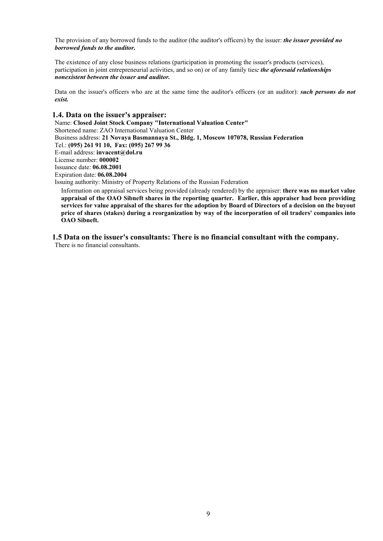The provision of any borrowed funds to the auditor (the auditor's officers) by the issuer: *the issuer provided no borrowed funds to the auditor.*

The existence of any close business relations (participation in promoting the issuer's products (services), participation in joint entrepreneurial activities, and so on) or of any family ties*: the aforesaid relationships nonexistent between the issuer and auditor.* 

Data on the issuer's officers who are at the same time the auditor's officers (or an auditor): *such persons do not exist.*

# **1.4. Data on the issuer's appraiser:**

Name: **Closed Joint Stock Company "International Valuation Center"** Shortened name: ZAO International Valuation Center Business address: **21 Novaya Basmannaya St., Bldg. 1, Moscow 107078, Russian Federation** Tel.: **(095) 261 91 10, Fax: (095) 267 99 36**  E-mail address: **invacent@dol.ru**  License number: **000002**  Issuance date: **06.08.2001**  Expiration date: **06***.***08.2004**  Issuing authority: Ministry of Property Relations of the Russian Federation

Information on appraisal services being provided (already rendered) by the appraiser: **there was no market value appraisal of the OAO Sibneft shares in the reporting quarter. Earlier, this appraiser had been providing services for value appraisal of the shares for the adoption by Board of Directors of a decision on the buyout price of shares (stakes) during a reorganization by way of the incorporation of oil traders' companies into OAO Sibneft.** 

# **1.5 Data on the issuer's consultants: There is no financial consultant with the company.**

There is no financial consultants.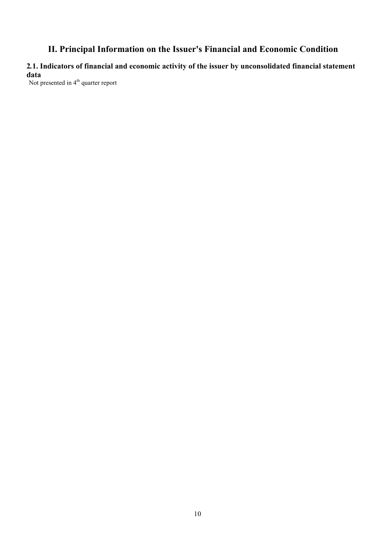# **II. Principal Information on the Issuer's Financial and Economic Condition**

# **2***.***1. Indicators of financial and economic activity of the issuer by unconsolidated financial statement data**

Not presented in  $4<sup>th</sup>$  quarter report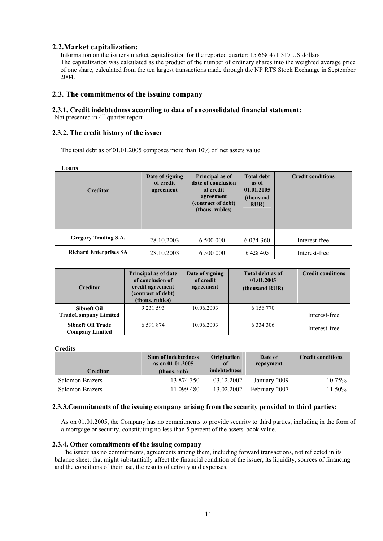# **2.2.Market capitalization:**

Information on the issuer's market capitalization for the reported quarter: 15 668 471 317 US dollars The capitalization was calculated as the product of the number of ordinary shares into the weighted average price of one share, calculated from the ten largest transactions made through the NP RTS Stock Exchange in September 2004.

# **2.3. The commitments of the issuing company**

# **2.3.1. Credit indebtedness according to data of unconsolidated financial statement:**

Not presented in  $4<sup>th</sup>$  quarter report

### **2.3.2. The credit history of the issuer**

The total debt as of 01.01.2005 composes more than 10% of net assets value.

**Loans** 

| <b>Creditor</b>               | Date of signing<br>of credit<br>agreement |           | <b>Total debt</b><br>as of<br>01.01.2005<br>(thousand<br>RUR) | <b>Credit conditions</b> |  |
|-------------------------------|-------------------------------------------|-----------|---------------------------------------------------------------|--------------------------|--|
| <b>Gregory Trading S.A.</b>   | 28.10.2003                                | 6 500 000 | 6 0 74 3 60                                                   | Interest-free            |  |
| <b>Richard Enterprises SA</b> | 28.10.2003                                | 6 500 000 | 6 4 28 4 05                                                   | Interest-free            |  |

| <b>Creditor</b>                                    | Principal as of date<br>of conclusion of<br>credit agreement<br>(contract of debt)<br>(thous. rubles) | Date of signing<br>of credit<br>agreement | Total debt as of<br>01.01.2005<br>(thousand RUR) | <b>Credit conditions</b> |
|----------------------------------------------------|-------------------------------------------------------------------------------------------------------|-------------------------------------------|--------------------------------------------------|--------------------------|
| <b>Sibneft Oil</b><br><b>TradeCompany Limited</b>  | 9 2 3 1 5 9 3                                                                                         | 10.06.2003                                | 6 156 770                                        | Interest-free            |
| <b>Sibneft Oil Trade</b><br><b>Company Limited</b> | 6 5 9 1 8 7 4                                                                                         | 10.06.2003                                | 6 3 3 4 3 0 6                                    | Interest-free            |

**Credits** 

| <b>Creditor</b> | <b>Sum of indebtedness</b><br>as on 01.01.2005<br>(thous. rub) | Origination<br>of<br><i>indebtedness</i> | Date of<br>repayment | <b>Credit conditions</b> |
|-----------------|----------------------------------------------------------------|------------------------------------------|----------------------|--------------------------|
| Salomon Brazers | 13 874 350                                                     | 03.12.2002                               | January 2009         | 10.75%                   |
| Salomon Brazers | 1 099 480                                                      | 13.02.2002                               | February 2007        | $1.50\%$                 |

#### **2.3.3.Commitments of the issuing company arising from the security provided to third parties:**

As on 01.01.2005, the Company has no commitments to provide security to third parties, including in the form of a mortgage or security, constituting no less than 5 percent of the assets' book value.

#### **2.3.4. Other commitments of the issuing company**

The issuer has no commitments, agreements among them, including forward transactions, not reflected in its balance sheet, that might substantially affect the financial condition of the issuer, its liquidity, sources of financing and the conditions of their use, the results of activity and expenses.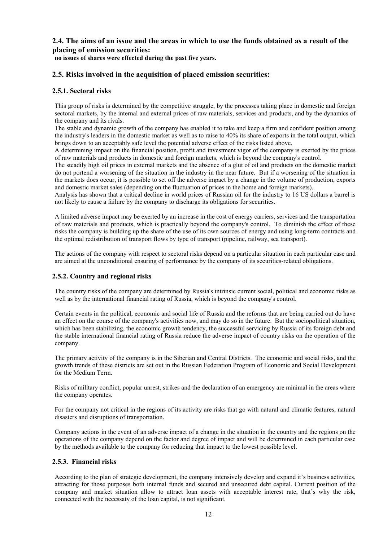# **2.4. The aims of an issue and the areas in which to use the funds obtained as a result of the placing of emission securities:**

**no issues of shares were effected during the past five years.** 

# **2.5. Risks involved in the acquisition of placed emission securities:**

#### **2.5.1. Sectoral risks**

This group of risks is determined by the competitive struggle, by the processes taking place in domestic and foreign sectoral markets, by the internal and external prices of raw materials, services and products, and by the dynamics of the company and its rivals.

The stable and dynamic growth of the company has enabled it to take and keep a firm and confident position among the industry's leaders in the domestic market as well as to raise to 40% its share of exports in the total output, which brings down to an acceptably safe level the potential adverse effect of the risks listed above.

A determining impact on the financial position, profit and investment vigor of the company is exerted by the prices of raw materials and products in domestic and foreign markets, which is beyond the company's control.

The steadily high oil prices in external markets and the absence of a glut of oil and products on the domestic market do not portend a worsening of the situation in the industry in the near future. But if a worsening of the situation in the markets does occur, it is possible to set off the adverse impact by a change in the volume of production, exports and domestic market sales (depending on the fluctuation of prices in the home and foreign markets).

Analysis has shown that a critical decline in world prices of Russian oil for the industry to 16 US dollars a barrel is not likely to cause a failure by the company to discharge its obligations for securities.

A limited adverse impact may be exerted by an increase in the cost of energy carriers, services and the transportation of raw materials and products, which is practically beyond the company's control. To diminish the effect of these risks the company is building up the share of the use of its own sources of energy and using long-term contracts and the optimal redistribution of transport flows by type of transport (pipeline, railway, sea transport).

The actions of the company with respect to sectoral risks depend on a particular situation in each particular case and are aimed at the unconditional ensuring of performance by the company of its securities-related obligations.

#### **2.5.2. Country and regional risks**

The country risks of the company are determined by Russia's intrinsic current social, political and economic risks as well as by the international financial rating of Russia, which is beyond the company's control.

Certain events in the political, economic and social life of Russia and the reforms that are being carried out do have an effect on the course of the company's activities now, and may do so in the future. But the sociopolitical situation, which has been stabilizing, the economic growth tendency, the successful servicing by Russia of its foreign debt and the stable international financial rating of Russia reduce the adverse impact of country risks on the operation of the company.

The primary activity of the company is in the Siberian and Central Districts. The economic and social risks, and the growth trends of these districts are set out in the Russian Federation Program of Economic and Social Development for the Medium Term.

Risks of military conflict, popular unrest, strikes and the declaration of an emergency are minimal in the areas where the company operates.

For the company not critical in the regions of its activity are risks that go with natural and climatic features, natural disasters and disruptions of transportation.

Company actions in the event of an adverse impact of a change in the situation in the country and the regions on the operations of the company depend on the factor and degree of impact and will be determined in each particular case by the methods available to the company for reducing that impact to the lowest possible level.

#### **2.5.3. Financial risks**

According to the plan of strategic development, the company intensively develop and expand it's business activities, attracting for those purposes both internal funds and secured and unsecured debt capital. Current position of the company and market situation allow to attract loan assets with acceptable interest rate, that's why the risk, connected with the necessaty of the loan capital, is not significant.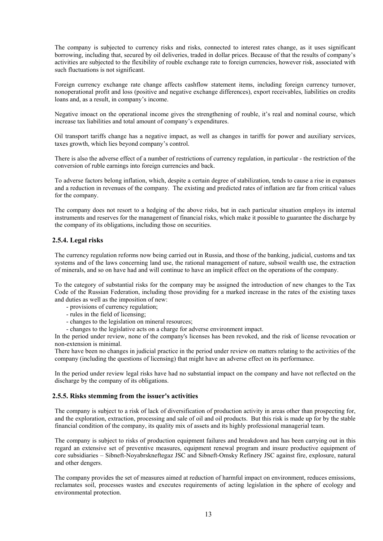The company is subjected to currency risks and risks, connected to interest rates change, as it uses significant borrowing, including that, secured by oil deliveries, traded in dollar prices. Because of that the results of company's activities are subjected to the flexibility of rouble exchange rate to foreign currencies, however risk, associated with such fluctuations is not significant.

Foreign currency exchange rate change affects cashflow statement items, including foreign currency turnover, nonoperational profit and loss (positive and negative exchange differences), export receivables, liabilities on credits loans and, as a result, in company's income.

Negative imoact on the operational income gives the strengthening of rouble, it's real and nominal course, which increase tax liabilities and total amount of company's expenditures.

Oil transport tariffs change has a negative impact, as well as changes in tariffs for power and auxiliary services, taxes growth, which lies beyond company's control.

There is also the adverse effect of a number of restrictions of currency regulation, in particular - the restriction of the conversion of ruble earnings into foreign currencies and back.

To adverse factors belong inflation, which, despite a certain degree of stabilization, tends to cause a rise in expanses and a reduction in revenues of the company. The existing and predicted rates of inflation are far from critical values for the company.

The company does not resort to a hedging of the above risks, but in each particular situation employs its internal instruments and reserves for the management of financial risks, which make it possible to guarantee the discharge by the company of its obligations, including those on securities.

#### **2.5.4. Legal risks**

The currency regulation reforms now being carried out in Russia, and those of the banking, judicial, customs and tax systems and of the laws concerning land use, the rational management of nature, subsoil wealth use, the extraction of minerals, and so on have had and will continue to have an implicit effect on the operations of the company.

To the category of substantial risks for the company may be assigned the introduction of new changes to the Tax Code of the Russian Federation, including those providing for a marked increase in the rates of the existing taxes and duties as well as the imposition of new:

- provisions of currency regulation;
- rules in the field of licensing;
- changes to the legislation on mineral resources;
- changes to the legislative acts on a charge for adverse environment impact.

In the period under review, none of the company's licenses has been revoked, and the risk of license revocation or non-extension is minimal.

There have been no changes in judicial practice in the period under review on matters relating to the activities of the company (including the questions of licensing) that might have an adverse effect on its performance.

In the period under review legal risks have had no substantial impact on the company and have not reflected on the discharge by the company of its obligations.

#### **2.5.5. Risks stemming from the issuer's activities**

The company is subject to a risk of lack of diversification of production activity in areas other than prospecting for, and the exploration, extraction, processing and sale of oil and oil products. But this risk is made up for by the stable financial condition of the company, its quality mix of assets and its highly professional managerial team.

The company is subject to risks of production equipment failures and breakdown and has been carrying out in this regard an extensive set of preventive measures, equipment renewal program and insure productive equipment of core subsidiaries – Sibneft-Noyabrskneftegaz JSC and Sibneft-Omsky Refinery JSC against fire, explosure, natural and other dengers.

The company provides the set of measures aimed at reduction of harmful impact on environment, reduces emissions, reclamates soil, processes wastes and executes requirements of acting legislation in the sphere of ecology and environmental protection.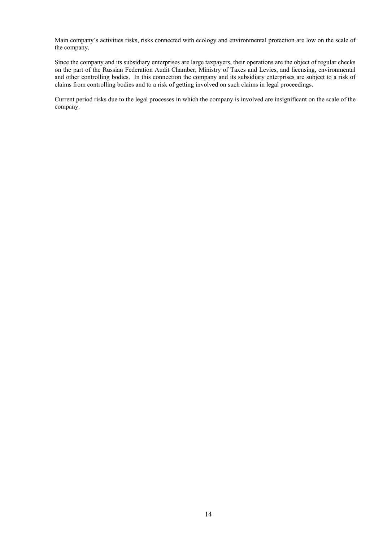Main company's activities risks, risks connected with ecology and environmental protection are low on the scale of the company.

Since the company and its subsidiary enterprises are large taxpayers, their operations are the object of regular checks on the part of the Russian Federation Audit Chamber, Ministry of Taxes and Levies, and licensing, environmental and other controlling bodies. In this connection the company and its subsidiary enterprises are subject to a risk of claims from controlling bodies and to a risk of getting involved on such claims in legal proceedings.

Current period risks due to the legal processes in which the company is involved are insignificant on the scale of the company.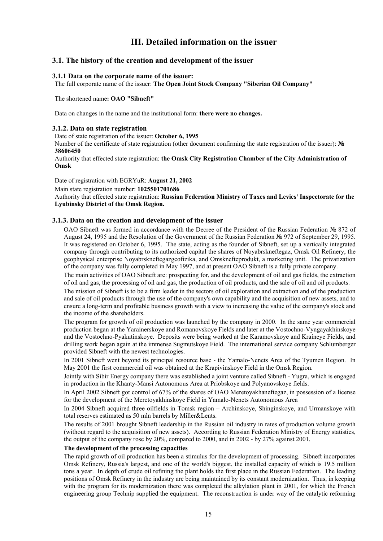# **III. Detailed information on the issuer**

# **3.1. The history of the creation and development of the issuer**

#### **3.1.1 Data on the corporate name of the issuer:**

The full corporate name of the issuer: **The Open Joint Stock Company "Siberian Oil Company"** 

The shortened name**: OAO "Sibneft"** 

Data on changes in the name and the institutional form: **there were no changes.** 

#### **3.1.2. Data on state registration**

Date of state registration of the issuer: **October 6, 1995** 

Number of the certificate of state registration (other document confirming the state registration of the issuer): **№ 38606450** 

Authority that effected state registration: **the Omsk City Registration Chamber of the City Administration of Omsk** 

Date of registration with EGRYuR: **August 21, 2002** 

Main state registration number: **1025501701686** 

Authority that effected state registration: **Russian Federation Ministry of Taxes and Levies' Inspectorate for the Lyubinsky District of the Omsk Region.** 

#### **3.1.3. Data on the creation and development of the issuer**

ОАО Sibneft was formed in accordance with the Decree of the President of the Russian Federation № 872 of August 24, 1995 and the Resolution of the Government of the Russian Federation № 972 of September 29, 1995. It was registered on October 6, 1995. The state, acting as the founder of Sibneft, set up a vertically integrated company through contributing to its authorized capital the shares of Noyabrskneftegaz, Omsk Oil Refinery, the geophysical enterprise Noyabrskneftegazgeofizika, and Omsknefteprodukt, a marketing unit. The privatization of the company was fully completed in May 1997, and at present ОАО Sibneft is a fully private company.

The main activities of OAO Sibneft are: prospecting for, and the development of oil and gas fields, the extraction of oil and gas, the processing of oil and gas, the production of oil products, and the sale of oil and oil products.

The mission of Sibneft is to be a firm leader in the sectors of oil exploration and extraction and of the production and sale of oil products through the use of the company's own capability and the acquisition of new assets, and to ensure a long-term and profitable business growth with a view to increasing the value of the company's stock and the income of the shareholders.

The program for growth of oil production was launched by the company in 2000. In the same year commercial production began at the Yarainerskoye and Romanovskoye Fields and later at the Vostochno-Vyngayakhinskoye and the Vostochno-Pyakutinskoye. Deposits were being worked at the Karamovskoye and Kraineye Fields, and drilling work began again at the immense Sugmutskoye Field. The international service company Schlumberger provided Sibneft with the newest technologies.

In 2001 Sibneft went beyond its principal resource base - the Yamalo-Nenets Area of the Tyumen Region. In May 2001 the first commercial oil was obtained at the Krapivinskoye Field in the Omsk Region.

Jointly with Sibir Energy company there was established a joint venture called Sibneft - Yugra, which is engaged in production in the Khanty-Mansi Autonomous Area at Priobskoye and Polyanovskoye fields.

In April 2002 Sibneft got control of 67% of the shares of ОАО Meretoyakhaneftegaz, in possession of a license for the development of the Meretoyakhinskoye Field in Yamalo-Nenets Autonomous Area

In 2004 Sibneft acquired three oilfields in Tomsk region – Archinskoye, Shinginskoye, and Urmanskoye with total reserves estimated as 50 mln barrels by Miller&Lents.

The results of 2001 brought Sibneft leadership in the Russian oil industry in rates of production volume growth (without regard to the acquisition of new assets). According to Russian Federation Ministry of Energy statistics, the output of the company rose by 20%, compared to 2000, and in 2002 - by 27% against 2001.

#### **The development of the processing capacities**

The rapid growth of oil production has been a stimulus for the development of processing. Sibneft incorporates Omsk Refinery, Russia's largest, and one of the world's biggest, the installed capacity of which is 19.5 million tons a year. In depth of crude oil refining the plant holds the first place in the Russian Federation. The leading positions of Omsk Refinery in the industry are being maintained by its constant modernization. Thus, in keeping with the program for its modernization there was completed the alkylation plant in 2001, for which the French engineering group Technip supplied the equipment. The reconstruction is under way of the catalytic reforming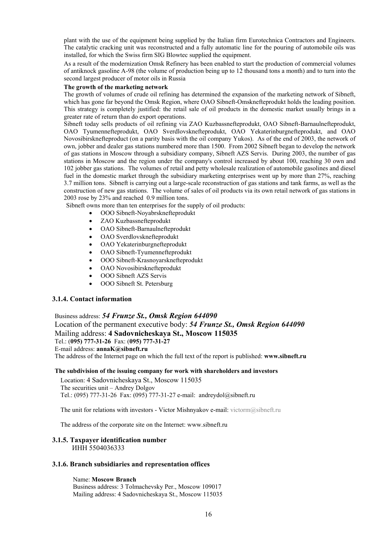plant with the use of the equipment being supplied by the Italian firm Eurotechnica Contractors and Engineers. The catalytic cracking unit was reconstructed and a fully automatic line for the pouring of automobile oils was installed, for which the Swiss firm SIG Blowtec supplied the equipment.

As a result of the modernization Omsk Refinery has been enabled to start the production of commercial volumes of antiknock gasoline А-98 (the volume of production being up to 12 thousand tons a month) and to turn into the second largest producer of motor oils in Russia

#### **The growth of the marketing network**

The growth of volumes of crude oil refining has determined the expansion of the marketing network of Sibneft, which has gone far beyond the Omsk Region, where OAO Sibneft-Omsknefteprodukt holds the leading position. This strategy is completely justified: the retail sale of oil products in the domestic market usually brings in a greater rate of return than do export operations.

Sibneft today sells products of oil refining via ZAO Kuzbassnefteprodukt, ОАО Sibneft-Barnaulnefteprodukt, ОАО Tyumennefteprodukt, ОАО Sverdlovsknefteprodukt, ОАО Yekaterinburgnefteprodukt, and ОАО Novosibirsknefteproduct (on a parity basis with the oil company Yukos). As of the end of 2003, the network of own, jobber and dealer gas stations numbered more than 1500. From 2002 Sibneft began to develop the network of gas stations in Moscow through a subsidiary company, Sibneft AZS Servis. During 2003, the number of gas stations in Moscow and the region under the company's control increased by about 100, reaching 30 own and 102 jobber gas stations. The volumes of retail and petty wholesale realization of automobile gasolines and diesel fuel in the domestic market through the subsidiary marketing enterprises went up by more than 27%, reaching 3.7 million tons. Sibneft is carrying out a large-scale reconstruction of gas stations and tank farms, as well as the construction of new gas stations. The volume of sales of oil products via its own retail network of gas stations in 2003 rose by 23% and reached 0.9 million tons.

Sibneft owns more than ten enterprises for the supply of oil products:

- ООО Sibneft-Noyabrsknefteprodukt
- ZAO Kuzbassnefteprodukt
- ОАО Sibneft-Barnaulnefteprodukt
- ОАО Sverdlovsknefteprodukt
- OAO Yekaterinburgnefteprodukt
- OAO Sibneft-Tyumennefteprodukt
- ООО Sibneft-Krasnoyarsknefteprodukt
- OAO Novosibirsknefteprodukt
- ООО Sibneft AZS Servis
- ООО Sibneft St. Petersburg

#### **3.1.4. Contact information**

Business address: *54 Frunze St., Omsk Region 644090*  Location of the permanent executive body: *54 Frunze St., Omsk Region 644090*  Mailing address: **4 Sadovnicheskaya St., Moscow 115035** Tel.: (**095) 777-31-26** Fax: (**095) 777-31-27** E-mail address: **annaK@sibneft.ru** The address of the Internet page on which the full text of the report is published: **www.sibneft.ru** 

#### **The subdivision of the issuing company for work with shareholders and investors**

Location: 4 Sadovnicheskaya St., Moscow 115035 The securities unit – Andrey Dolgov Tel.: (095) 777-31-26 Fax: (095) 777-31-27 e-mail: andreydol@sibneft.ru

The unit for relations with investors - Victor Mishnyakov e-mail: victorm@sibneft.ru

The address of the corporate site on the Internet: www.sibneft.ru

#### **3.1.5. Taxpayer identification number**  ИНН 5504036333

#### **3.1.6. Branch subsidiaries and representation offices**

Name: **Moscow Branch** Business address: 3 Tolmachevsky Per., Moscow 109017 Mailing address: 4 Sadovnicheskaya St., Moscow 115035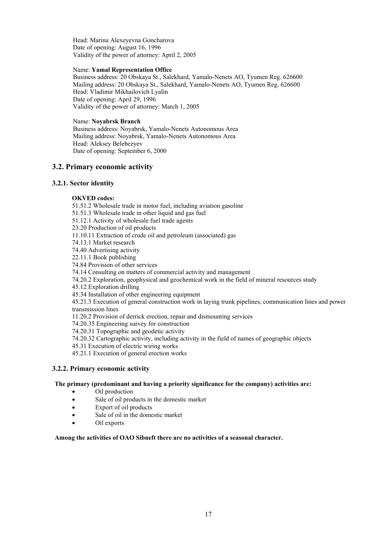Head: Marina Alexeyevna Goncharova Date of opening: August 16, 1996 Validity of the power of attorney: April 2, 2005

#### Name: **Yamal Representation Office**

Business address: 20 Obskaya St., Salekhard, Yamalo-Nenets AO, Tyumen Reg. 626600 Mailing address: 20 Obskaya St., Salekhard, Yamalo-Nenets AO, Tyumen Reg. 626600 Head: Vladimir Mikhailovich Lyalin Date of opening: April 29, 1996 Validity of the power of attorney: March 1, 2005

#### Name: **Noyabrsk Branch**

Business address: Noyabrsk, Yamalo-Nenets Autonomous Area Mailing address: Noyabrsk, Yamalo-Nenets Autonomous Area Head: Aleksey Belebezyev Date of opening: September 6, 2000

# **3.2. Primary economic activity**

## **3.2.1. Sector identity**

## **OKVED codes:**

- 51.51.2 Wholesale trade in motor fuel, including aviation gasoline
- 51.51.3 Wholesale trade in other liquid and gas fuel
- 51.12.1 Activity of wholesale fuel trade agents
- 23.20 Production of oil products
- 11.10.11 Extraction of crude oil and petroleum (associated) gas
- 74.13.1 Market research
- 74.40 Advertising activity
- 22.11.1 Book publishing
- 74.84 Provision of other services
- 74.14 Consulting on matters of commercial activity and management
- 74.20.2 Exploration, geophysical and geochemical work in the field of mineral resources study
- 45.12 Exploration drilling
- 45.34 Installation of other engineering equipment

45.21.3 Execution of general construction work in laying trunk pipelines, communication lines and power transmission lines

- 11.20.2 Provision of derrick erection, repair and dismounting services
- 74.20.35 Engineering survey for construction
- 74.20.31 Topographic and geodetic activity
- 74.20.32 Cartographic activity, including activity in the field of names of geographic objects
- 45.31 Execution of electric wiring works
- 45.21.1 Execution of general erection works

## **3.2.2. Primary economic activity**

## **The primary (predominant and having a priority significance for the company) activities are:**

- Oil production
- Sale of oil products in the domestic market
- Export of oil products
- Sale of oil in the domestic market
- Oil exports

#### **Among the activities of ОАО Sibneft there are no activities of a seasonal character.**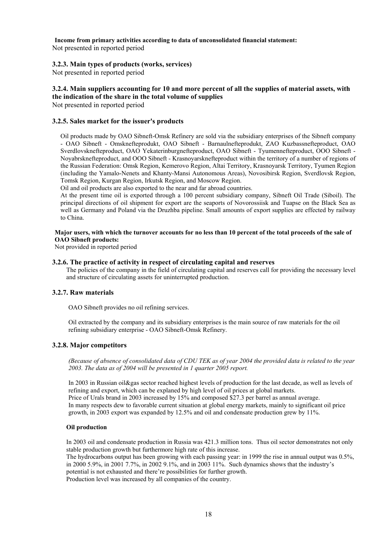**Income from primary activities according to data of unconsolidated financial statement:** 

Not presented in reported period

# **3.2.3. Main types of products (works, services)**

Not presented in reported period

# **3.2.4. Main suppliers accounting for 10 and more percent of all the supplies of material assets, with the indication of the share in the total volume of supplies**

Not presented in reported period

# **3.2.5. Sales market for the issuer's products**

Oil products made by ОАО Sibneft-Omsk Refinery are sold via the subsidiary enterprises of the Sibneft company - ОАО Sibneft - Omsknefteprodukt, ОАО Sibneft - Barnaulnefteprodukt, ZAO Kuzbassnefteproduct, ОАО Sverdlovsknefteproduct, ОАО Yekaterinburgnefteproduct, ОАО Sibneft - Tyumennefteproduct, ООО Sibneft - Noyabrsknefteproduct, and ООО Sibneft - Krasnoyarsknefteproduct within the territory of a number of regions of the Russian Federation: Omsk Region, Kemerovo Region, Altai Territory, Krasnoyarsk Territory, Tyumen Region (including the Yamalo-Nenets and Khanty-Mansi Autonomous Areas), Novosibirsk Region, Sverdlovsk Region, Tomsk Region, Kurgan Region, Irkutsk Region, and Moscow Region.

Oil and oil products are also exported to the near and far abroad countries.

At the present time oil is exported through a 100 percent subsidiary company, Sibneft Oil Trade (Siboil). The principal directions of oil shipment for export are the seaports of Novorossiisk and Tuapse on the Black Sea as well as Germany and Poland via the Druzhba pipeline. Small amounts of export supplies are effected by railway to China.

#### **Major users, with which the turnover accounts for no less than 10 percent of the total proceeds of the sale of OAO Sibneft products:**

Not provided in reported period

## **3.2.6. The practice of activity in respect of circulating capital and reserves**

The policies of the company in the field of circulating capital and reserves call for providing the necessary level and structure of circulating assets for uninterrupted production.

# **3.2.7. Raw materials**

ОАО Sibneft provides no oil refining services.

Oil extracted by the company and its subsidiary enterprises is the main source of raw materials for the oil refining subsidiary enterprise - OAO Sibneft-Omsk Refinery.

## **3.2.8. Major competitors**

*(Because of absence of consolidated data of CDU TEK as of year 2004 the provided data is related to the year 2003. The data as of 2004 will be presented in 1 quarter 2005 report.* 

In 2003 in Russian oil&gas sector reached highest levels of production for the last decade, as well as levels of refining and export, which can be explaned by high level of oil prices at global markets. Price of Urals brand in 2003 increased by 15% and composed \$27.3 per barrel as annual average. In many respects dew to favorable current situation at global energy markets, mainly to significant oil price growth, in 2003 export was expanded by 12.5% and oil and condensate production grew by 11%.

## **Oil production**

In 2003 oil and condensate production in Russia was 421.3 million tons. Thus oil sector demonstrates not only stable production growth but furthermore high rate of this increase.

The hydrocarbons output has been growing with each passing year: in 1999 the rise in annual output was 0.5%, in 2000 5.9%, in 2001 7.7%, in 2002 9.1%, and in 2003 11%. Such dynamics shows that the industry's potential is not exhausted and there're possibilities for further growth. Production level was increased by all companies of the country.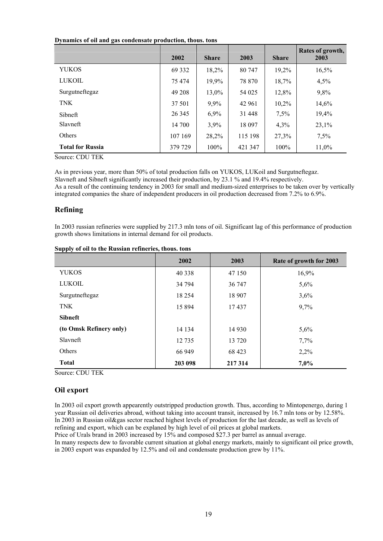#### **Dynamics of oil and gas condensate production, thous. tons**

|                         | 2002    | <b>Share</b> | 2003    | <b>Share</b> | Rates of growth,<br>2003 |
|-------------------------|---------|--------------|---------|--------------|--------------------------|
| <b>YUKOS</b>            | 69 3 32 | 18,2%        | 80 747  | 19,2%        | 16,5%                    |
| LUKOIL                  | 75 474  | 19,9%        | 78 870  | 18,7%        | 4,5%                     |
| Surgutneftegaz          | 49 208  | 13,0%        | 54 0 25 | 12,8%        | 9,8%                     |
| <b>TNK</b>              | 37 501  | 9,9%         | 42 961  | 10,2%        | 14,6%                    |
| <b>Sibneft</b>          | 26 3 45 | 6,9%         | 31 448  | 7,5%         | 19,4%                    |
| Slavneft                | 14 700  | 3,9%         | 18 097  | 4,3%         | 23,1%                    |
| <b>Others</b>           | 107 169 | 28,2%        | 115 198 | 27,3%        | 7,5%                     |
| <b>Total for Russia</b> | 379 729 | $100\%$      | 421 347 | $100\%$      | 11,0%                    |

Source: CDU TEK

As in previous year, more than 50% of total production falls on YUKOS, LUKoil and Surgutneftegaz. Slavneft and Sibneft significantly increased their production, by 23.1 % and 19.4% respectively. As a result of the continuing tendency in 2003 for small and medium-sized enterprises to be taken over by vertically integrated companies the share of independent producers in oil production decreased from 7.2% to 6.9%.

# **Refining**

In 2003 russian refineries were supplied by 217.3 mln tons of oil. Significant lag of this performance of production growth shows limitations in internal demand for oil products.

|                         | 2002     | 2003    | Rate of growth for 2003 |
|-------------------------|----------|---------|-------------------------|
| <b>YUKOS</b>            | 40 338   | 47 150  | 16,9%                   |
| <b>LUKOIL</b>           | 34 794   | 36 747  | 5,6%                    |
| Surgutneftegaz          | 18 2 5 4 | 18 907  | 3,6%                    |
| <b>TNK</b>              | 15 8 94  | 17437   | 9,7%                    |
| <b>Sibneft</b>          |          |         |                         |
| (to Omsk Refinery only) | 14 134   | 14 9 30 | 5,6%                    |
| Slavneft                | 12 7 35  | 13 720  | 7,7%                    |
| Others                  | 66 949   | 68 423  | 2,2%                    |
| <b>Total</b>            | 203 098  | 217314  | 7,0%                    |

#### **Supply of oil to the Russian refineries, thous. tons**

Source: CDU TEK

## **Oil export**

In 2003 oil export growth appearently outstripped production growth. Thus, according to Mintopenergo, during 1 year Russian oil deliveries abroad, without taking into account transit, increased by 16.7 mln tons or by 12.58%. In 2003 in Russian oil&gas sector reached highest levels of production for the last decade, as well as levels of refining and export, which can be explaned by high level of oil prices at global markets. Price of Urals brand in 2003 increased by 15% and composed \$27.3 per barrel as annual average.

In many respects dew to favorable current situation at global energy markets, mainly to significant oil price growth, in 2003 export was expanded by 12.5% and oil and condensate production grew by 11%.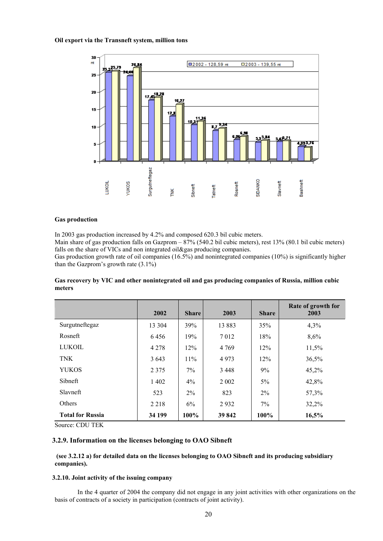#### **Oil export via the Transneft system, million tons**



#### **Gas production**

In 2003 gas production increased by 4.2% and composed 620.3 bil cubic meters.

Main share of gas production falls on Gazprom – 87% (540.2 bil cubic meters), rest 13% (80.1 bil cubic meters) falls on the share of VICs and non integrated oil&gas producing companies.

Gas production growth rate of oil companies (16.5%) and nonintegrated companies (10%) is significantly higher than the Gazprom's growth rate  $(3.1\%)$ 

#### **Gas recovery by VIC and other nonintegrated oil and gas producing companies of Russia, million cubic meters**

|                         | 2002    | <b>Share</b> | 2003    | <b>Share</b> | Rate of growth for<br>2003 |
|-------------------------|---------|--------------|---------|--------------|----------------------------|
| Surgutneftegaz          | 13 304  | 39%          | 13883   | 35%          | 4,3%                       |
| Rosneft                 | 6456    | 19%          | 7012    | 18%          | 8,6%                       |
| <b>LUKOIL</b>           | 4 2 7 8 | 12%          | 4 7 6 9 | 12%          | 11,5%                      |
| <b>TNK</b>              | 3 6 4 3 | 11%          | 4973    | 12%          | 36,5%                      |
| <b>YUKOS</b>            | 2 3 7 5 | $7\%$        | 3448    | 9%           | 45,2%                      |
| <b>Sibneft</b>          | 1 4 0 2 | 4%           | 2 0 0 2 | 5%           | 42,8%                      |
| Slavneft                | 523     | $2\%$        | 823     | $2\%$        | 57,3%                      |
| Others                  | 2 2 1 8 | 6%           | 2932    | 7%           | 32,2%                      |
| <b>Total for Russia</b> | 34 199  | 100%         | 39 842  | 100%         | 16,5%                      |

Source: CDU TEK

## **3.2.9. Information on the licenses belonging to OAO Sibneft**

#### **(see 3.2.12 a) for detailed data on the licenses belonging to OAO Sibneft and its producing subsidiary companies).**

#### **3.2.10. Joint activity of the issuing company**

In the 4 quarter of 2004 the company did not engage in any joint activities with other organizations on the basis of contracts of a society in participation (contracts of joint activity).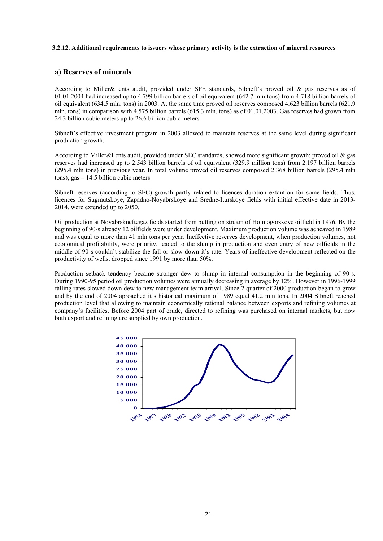### **3.2.12. Additional requirements to issuers whose primary activity is the extraction of mineral resources**

#### **а) Reserves of minerals**

According to Miller&Lents audit, provided under SPE standards, Sibneft's proved oil & gas reserves as of 01.01.2004 had increased up to 4.799 billion barrels of oil equivalent (642.7 mln tons) from 4.718 billion barrels of oil equivalent (634.5 mln. tons) in 2003. At the same time proved oil reserves composed 4.623 billion barrels (621.9 mln. tons) in comparison with 4.575 billion barrels (615.3 mln. tons) as of 01.01.2003. Gas reserves had grown from 24.3 billion cubic meters up to 26.6 billion cubic meters.

Sibneft's effective investment program in 2003 allowed to maintain reserves at the same level during significant production growth.

According to Miller&Lents audit, provided under SEC standards, showed more significant growth: proved oil & gas reserves had increased up to 2.543 billion barrels of oil equivalent (329.9 million tons) from 2.197 billion barrels (295.4 mln tons) in previous year. In total volume proved oil reserves composed 2.368 billion barrels (295.4 mln tons), gas – 14.5 billion cubic meters.

Sibneft reserves (according to SEC) growth partly related to licences duration extantion for some fields. Thus, licences for Sugmutskoye, Zapadno-Noyabrskoye and Sredne-Iturskoye fields with initial effective date in 2013- 2014, were extended up to 2050.

Oil production at Noyabrskneftegaz fields started from putting on stream of Holmogorskoye oilfield in 1976. By the beginning of 90-s already 12 oilfields were under development. Maximum production volume was acheaved in 1989 and was equal to more than 41 mln tons per year. Ineffective reserves development, when production volumes, not economical profitability, were priority, leaded to the slump in production and even entry of new oilfields in the middle of 90-s couldn't stabilize the fall or slow down it's rate. Years of ineffective development reflected on the productivity of wells, dropped since 1991 by more than 50%.

Production setback tendency became stronger dew to slump in internal consumption in the beginning of 90-s. During 1990-95 period oil production volumes were annually decreasing in average by 12%. However in 1996-1999 falling rates slowed down dew to new management team arrival. Since 2 quarter of 2000 production began to grow and by the end of 2004 aproached it's historical maximum of 1989 equal 41.2 mln tons. In 2004 Sibneft reached production level that allowing to maintain economically rational balance between exports and refining volumes at company's facilities. Before 2004 part of crude, directed to refining was purchased on internal markets, but now both export and refining are supplied by own production.

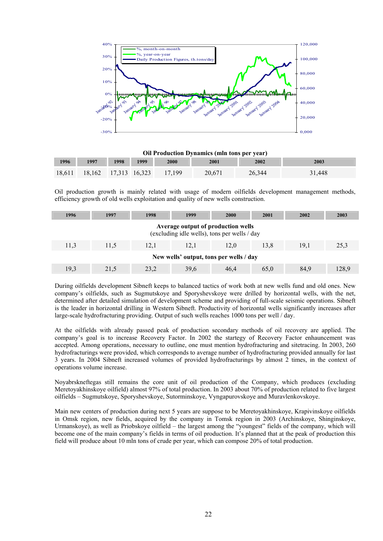

#### **Oil Production Dynamics (mln tons per year)**

| 1996 | 1997 | 1998 | 1999 | 2000                               | 2001   | 2002   | 2003   |
|------|------|------|------|------------------------------------|--------|--------|--------|
|      |      |      |      | 18,611 18,162 17,313 16,323 17,199 | 20,671 | 26.344 | 31.448 |

Oil production growth is mainly related with usage of modern oilfields development management methods, efficiency growth of old wells exploitation and quality of new wells construction.

| 1996                                                                               | 1997 | 1998 | 1999 | 2000 | 2001 | 2002 | 2003  |  |  |
|------------------------------------------------------------------------------------|------|------|------|------|------|------|-------|--|--|
| Average output of production wells<br>(excluding idle wells), tons per wells / day |      |      |      |      |      |      |       |  |  |
| 11.3                                                                               | 11.5 | 12.1 | 12.1 | 12.0 | 13.8 | 19.1 | 25,3  |  |  |
| New wells' output, tons per wells / day                                            |      |      |      |      |      |      |       |  |  |
| 19,3                                                                               | 21.5 | 23,2 | 39,6 | 46.4 | 65,0 | 84,9 | 128.9 |  |  |

During oilfields development Sibneft keeps to balanced tactics of work both at new wells fund and old ones. New company's oilfields, such as Sugmutskoye and Sporyshevskoye were drilled by horizontal wells, with the net, determined after detailed simulation of development scheme and providing of full-scale seismic operations. Sibneft is the leader in horizontal drilling in Western Sibneft. Productivity of horizontal wells significantly increases after large-scale hydrofracturing providing. Output of such wells reaches 1000 tons per well / day.

At the oilfields with already passed peak of production secondary methods of oil recovery are applied. The company's goal is to increase Recovery Factor. In 2002 the startegy of Recovery Factor enhauncement was accepted. Among operations, necessary to outline, one must mention hydrofracturing and sitetracing. In 2003, 260 hydrofracturings were provided, which corresponds to average number of hydrofracturing provided annually for last 3 years. In 2004 Sibneft increased volumes of provided hydrofracturings by almost 2 times, in the context of operations volume increase.

Noyabrskneftegas still remains the core unit of oil production of the Company, which produces (excluding Meretoyakhinskoye oilfield) almost 97% of total production. In 2003 about 70% of production related to five largest oilfields – Sugmutskoye, Sporyshevskoye, Sutorminskoye, Vyngapurovskoye and Muravlenkovskoye.

Main new centers of production during next 5 years are suppose to be Meretoyakhinskoye, Krapivinskoye oilfields in Omsk region, new fields, acquired by the company in Tomsk region in 2003 (Archinskoye, Shinginskoye, Urmanskoye), as well as Priobskoye oilfield – the largest among the "youngest" fields of the company, which will become one of the main company's fields in terms of oil production. It's planned that at the peak of production this field will produce about 10 mln tons of crude per year, which can compose 20% of total production.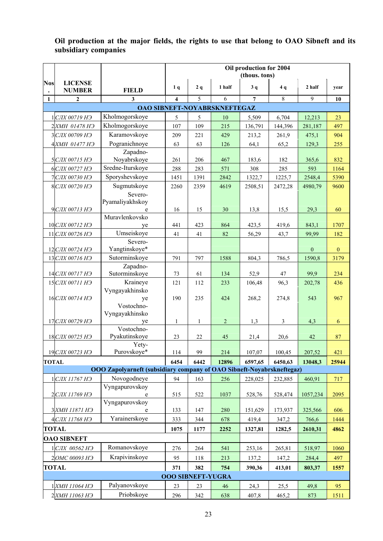# **Oil production at the major fields, the rights to use that belong to OAO Sibneft and its subsidiary companies**

|              |                                 |                                                                       |                          |      |                              | Oil production for 2004<br>(thous. tons) |         |              |              |
|--------------|---------------------------------|-----------------------------------------------------------------------|--------------------------|------|------------------------------|------------------------------------------|---------|--------------|--------------|
| <b>Nos</b>   | <b>LICENSE</b><br><b>NUMBER</b> | <b>FIELD</b>                                                          | 1 <sub>q</sub>           | 2q   | 1 half                       | 3q                                       | 4q      | 2 half       | year         |
| 1            | $\mathbf{2}$                    | $\mathbf{3}$                                                          | 4                        | 5    | 6                            | $\overline{7}$                           | 8       | 9            | 10           |
|              |                                 |                                                                       |                          |      | OAO SIBNEFT-NOYABRSKNEFTEGAZ |                                          |         |              |              |
|              | 1 СЛХ 00719 НЭ                  | Kholmogorskoye                                                        | 5                        | 5    | 10                           | 5,509                                    | 6,704   | 12,213       | 23           |
|              | 2 ХМН 01478 НЭ                  | Kholmogorskoye                                                        | 107                      | 109  | 215                          | 136,791                                  | 144,396 | 281,187      | 497          |
|              | ЗСЛХ 00709 НЭ                   | Karamovskoye                                                          | 209                      | 221  | 429                          | 213,2                                    | 261,9   | 475,1        | 904          |
|              | 4 ХМН 01477 НЭ                  | Pogranichnoye                                                         | 63                       | 63   | 126                          | 64,1                                     | 65,2    | 129,3        | 255          |
|              |                                 | Zapadno-                                                              |                          |      |                              |                                          |         |              |              |
|              | 5 СЛХ 00715 НЭ                  | Noyabrskoye                                                           | 261                      | 206  | 467                          | 183,6                                    | 182     | 365,6        | 832          |
|              | 6 СЛХ 00727 НЭ                  | Sredne-Iturskoye                                                      | 288                      | 283  | 571                          | 308                                      | 285     | 593          | 1164         |
|              | 7 СЛХ 00730 НЭ                  | Sporyshevskoye                                                        | 1451                     | 1391 | 2842                         | 1322,7                                   | 1225,7  | 2548,4       | 5390         |
|              | 8 СЛХ 00720 НЭ                  | Sugmutskoye                                                           | 2260                     | 2359 | 4619                         | 2508,51                                  | 2472,28 | 4980,79      | 9600         |
|              | 9 СЛХ 00713 НЭ                  | Severo-<br>Pyamaliyakhskoy<br>e                                       | 16                       | 15   | 30                           | 13,8                                     | 15,5    | 29,3         | 60           |
|              | 10 СЛХ 00712 НЭ                 | Muravlenkovsko<br>ye                                                  | 441                      | 423  | 864                          | 423,5                                    | 419,6   | 843,1        | 1707         |
|              | 11 СЛХ 00726 НЭ                 | Umseiskoye                                                            | 41                       | 41   | 82                           | 56,29                                    | 43,7    | 99,99        | 182          |
|              | 12 СЛХ 00724 НЭ                 | Severo-<br>Yangtinskoye*                                              |                          |      |                              |                                          |         | $\mathbf{0}$ | $\mathbf{0}$ |
|              | 13 СЛХ 00716 НЭ                 | Sutorminskoye                                                         | 791                      | 797  | 1588                         |                                          |         | 1590,8       | 3179         |
|              |                                 | Zapadno-                                                              |                          |      |                              | 804,3                                    | 786,5   |              |              |
|              | 14 СЛХ 00717 НЭ                 | Sutorminskoye                                                         | 73                       | 61   | 134                          | 52,9                                     | 47      | 99,9         | 234          |
|              | 15 СЛХ 00711 НЭ                 | Kraineye                                                              | 121                      | 112  | 233                          | 106,48                                   | 96,3    | 202,78       | 436          |
|              | 16 СЛХ 00714 НЭ                 | Vyngayakhinsko<br>ye                                                  | 190                      | 235  | 424                          | 268,2                                    | 274,8   | 543          | 967          |
|              |                                 | Vostochno-                                                            |                          |      |                              |                                          |         |              |              |
|              | 17 CJIX 00729 H <sub>3</sub>    | Vyngayakhinsko                                                        | 1                        | 1    | $\overline{c}$               | 1,3                                      | 3       | 4,3          | 6            |
|              |                                 | ye<br>Vostochno-                                                      |                          |      |                              |                                          |         |              |              |
|              | 18 CJIX 00725 H <sub>3</sub>    | Pyakutinskoye                                                         | 23                       | 22   | 45                           | 21,4                                     | 20,6    | 42           | 87           |
|              | 19 СЛХ 00723 НЭ                 | Yety-<br>Purovskoye*                                                  | 114                      | 99   | 214                          | 107,07                                   | 100,45  | 207,52       | 421          |
| <b>TOTAL</b> |                                 |                                                                       | 6454                     | 6442 | 12896                        | 6597,65                                  | 6450,63 | 13048,3      | 25944        |
|              |                                 | OOO Zapolyarneft (subsidiary company of OAO Sibneft-Noyabrskneftegaz) |                          |      |                              |                                          |         |              |              |
|              | 1 СЛХ 11767 НЭ                  | Novogodneye                                                           | 94                       | 163  | 256                          | 228,025                                  | 232,885 | 460,91       | 717          |
|              |                                 | Vyngapurovskoy                                                        |                          |      |                              |                                          |         |              |              |
|              | 2 СЛХ 11769 НЭ                  | e<br>Vyngapurovskov                                                   | 515                      | 522  | 1037                         | 528,76                                   | 528,474 | 1057,234     | 2095         |
|              | 3 XMH 11871 H <sub>3</sub>      |                                                                       | 133                      | 147  | 280                          | 151,629                                  | 173,937 | 325,566      | 606          |
|              | 4 СЛХ 11768 НЭ                  | Yarainerskoye                                                         | 333                      | 344  | 678                          | 419,4                                    | 347,2   | 766,6        | 1444         |
|              | <b>TOTAL</b>                    |                                                                       | 1075                     | 1177 | 2252                         | 1327,81                                  | 1282,5  | 2610,31      | 4862         |
|              | <b>OAO SIBNEFT</b>              |                                                                       |                          |      |                              |                                          |         |              |              |
|              | 1 СЛХ 00562 НЭ                  | Romanovskoye                                                          | 276                      | 264  | 541                          | 253,16                                   | 265,81  | 518,97       | 1060         |
|              | 2 ОМС 00093 НЭ                  | Krapivinskoye                                                         | 95                       | 118  | 213                          | 137,2                                    | 147,2   | 284,4        | 497          |
|              | <b>TOTAL</b>                    |                                                                       | 371                      | 382  | 754                          | 390,36                                   | 413,01  | 803,37       | 1557         |
|              |                                 |                                                                       | <b>OOO SIBNEFT-YUGRA</b> |      |                              |                                          |         |              |              |
|              | 1 XMH 11064 H <sub>3</sub>      | Palyanovskoye                                                         | 23                       | 23   | 46                           | 24,3                                     | 25,5    | 49,8         | 95           |
|              | 2 ХМН 11063 НЭ                  | Priobskoye                                                            | 296                      | 342  | 638                          | 407,8                                    | 465,2   | 873          | 1511         |
|              |                                 |                                                                       |                          |      |                              |                                          |         |              |              |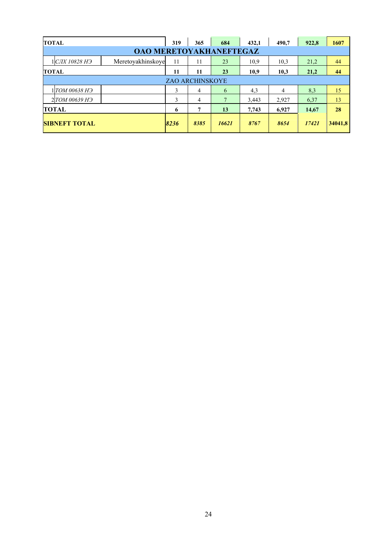| <b>TOTAL</b> |                             |                                | 319  | 365                    | 684            | 432,1 | 490,7 | 922,8   | 1607 |
|--------------|-----------------------------|--------------------------------|------|------------------------|----------------|-------|-------|---------|------|
|              |                             | <b>OAO MERETOYAKHANEFTEGAZ</b> |      |                        |                |       |       |         |      |
|              | 1 CJIX 10828 H <sub>3</sub> | Meretoyakhinskoye              | 11   | 11                     | 23             | 10,9  | 10.3  | 21,2    | 44   |
| <b>TOTAL</b> |                             |                                | 11   | 11                     | 23             | 10,9  | 10,3  | 21,2    | 44   |
|              |                             |                                |      | <b>ZAO ARCHINSKOYE</b> |                |       |       |         |      |
|              | 1 TOM 00638 H <sub>3</sub>  |                                | 3    | 4                      | 6              | 4,3   | 4     | 8,3     | 15   |
|              | 2 TOM 00639 H <sub>3</sub>  |                                | 3    | 4                      | $\overline{7}$ | 3,443 | 2,927 | 6.37    | 13   |
|              | <b>TOTAL</b>                |                                | 6    | 7                      | 13             | 7,743 | 6,927 | 14,67   | 28   |
|              | <b>SIBNEFT TOTAL</b>        | 8236                           | 8385 | 16621                  | 8767           | 8654  | 17421 | 34041,8 |      |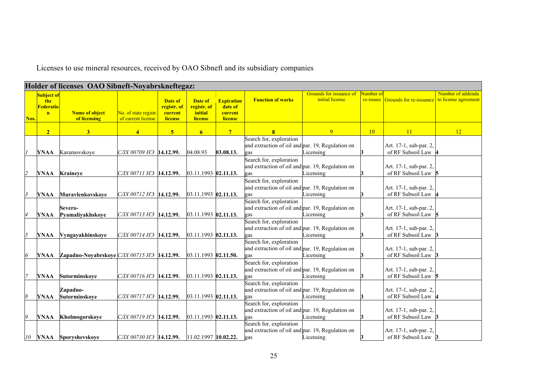Licenses to use mineral resources, received by ОАО Sibneft and its subsidiary companies

|                |                                                        | Holder of licenses OAO Sibneft-Noyabrskneftegaz:                   |                                             |                                              |                                              |                                                    |                                                                                    |                                            |                        |                                               |                   |
|----------------|--------------------------------------------------------|--------------------------------------------------------------------|---------------------------------------------|----------------------------------------------|----------------------------------------------|----------------------------------------------------|------------------------------------------------------------------------------------|--------------------------------------------|------------------------|-----------------------------------------------|-------------------|
|                | Subject of<br>the<br>Federatio<br>$\mathbf{n}$<br>Nos. | <b>Name of object</b><br>of licensing                              | No. of state registr.<br>of current license | Date of<br>registr. of<br>current<br>license | Date of<br>registr. of<br>initial<br>license | <b>Expiration</b><br>date of<br>current<br>license | <b>Function of works</b>                                                           | Grounds for issuance of<br>initial license | Number of<br>re-issues | Grounds for re-issuance to license agreement  | Number of addenda |
|                | 2 <sup>1</sup>                                         | 3                                                                  | $\boldsymbol{\Lambda}$                      | $\overline{\mathbf{5}}$                      | 6 <sup>1</sup>                               | $7^{\circ}$                                        | $\overline{\mathbf{8}}$                                                            | 9                                          | 10                     | 11                                            | 12                |
|                | YNAA                                                   | Karamovskove                                                       | СЛХ 00709 НЭ 14.12.99.                      |                                              | 04.08.93                                     | 03.08.13.                                          | Search for, exploration<br>and extraction of oil and par. 19, Regulation on<br>gas | Licensing                                  |                        | Art. 17-1, sub-par. 2,<br>of RF Subsoil Law   |                   |
|                | YNAA                                                   | Kraineye                                                           | СЛХ 00711 НЭ <b>14.12.99.</b>               |                                              | 03.11.1993 02.11.13.                         |                                                    | Search for, exploration<br>and extraction of oil and par. 19, Regulation on<br>gas | Licensing                                  |                        | Art. 17-1, sub-par. 2,<br>of RF Subsoil Law   |                   |
|                | <b>YNAA</b>                                            | Muravlenkovskove                                                   | СЛХ 00712 НЭ  14.12.99.                     |                                              | 03.11.1993 02.11.13.                         |                                                    | Search for, exploration<br>and extraction of oil and par. 19, Regulation on<br>gas | Licensing                                  |                        | Art. 17-1, sub-par. 2.<br>of RF Subsoil Law   |                   |
|                | <b>YNAA</b>                                            | Severo-<br>Pyamaliyakhskoye                                        | CJIX 00713 H <sub>3</sub> 14.12.99.         |                                              | 03.11.1993 02.11.13.                         |                                                    | Search for, exploration<br>and extraction of oil and par. 19, Regulation on<br>gas | Licensing                                  |                        | Art. 17-1, sub-par. 2.<br>of RF Subsoil Law   |                   |
| $\overline{5}$ | YNAA                                                   | Vyngayakhinskoye                                                   | СЛХ 00714 НЭ 14.12.99.                      |                                              | 03.11.1993 02.11.13.                         |                                                    | Search for, exploration<br>and extraction of oil and par. 19, Regulation on<br>gas | Licensing                                  |                        | Art. 17-1, sub-par. 2.<br>of RF Subsoil Law   |                   |
| 6              | YNAA                                                   | Zapadno-Noyabrskoye $C\frac{I}{I}$ 00715 H $\frac{1}{2}$ 14.12.99. |                                             |                                              | 03.11.1993 02.11.50.                         |                                                    | Search for, exploration<br>and extraction of oil and par. 19, Regulation on<br>gas | Licensing                                  |                        | Art. 17-1, sub-par. 2.<br>of RF Subsoil Law   |                   |
|                | <b>YNAA</b>                                            | Sutorminskove                                                      | СЛХ 00716 НЭ  14.12.99.                     |                                              | 03.11.1993 02.11.13.                         |                                                    | Search for, exploration<br>and extraction of oil and par. 19, Regulation on<br>gas | Licensing                                  |                        | Art. 17-1, sub-par. 2.<br>of RF Subsoil Law   |                   |
|                | <b>YNAA</b>                                            | Zapadno-<br>Sutorminskoye                                          | СЛХ 00717 НЭ 14.12.99.                      |                                              | 03.11.1993 02.11.13.                         |                                                    | Search for, exploration<br>and extraction of oil and par. 19, Regulation on<br>gas | Licensing                                  |                        | Art. 17-1, sub-par. 2.<br>of RF Subsoil Law   |                   |
| $\overline{Q}$ | <b>YNAA</b>                                            | Kholmogorskoye                                                     | СЛХ 00719 НЭ 14.12.99.                      |                                              | 03.11.1993 02.11.13.                         |                                                    | Search for, exploration<br>and extraction of oil and par. 19, Regulation on<br>zas | Licensing                                  |                        | Art. 17-1, sub-par. 2,<br>of RF Subsoil Law   |                   |
|                | 10<br>YNAA                                             | Sporyshevskove                                                     | СЛХ 00730 НЭ   14.12.99.                    |                                              | 11.02.1997 10.02.22.                         |                                                    | Search for, exploration<br>and extraction of oil and par. 19, Regulation on<br>gas | Licensing                                  | 3                      | Art. 17-1, sub-par. 2,<br>of RF Subsoil Law 3 |                   |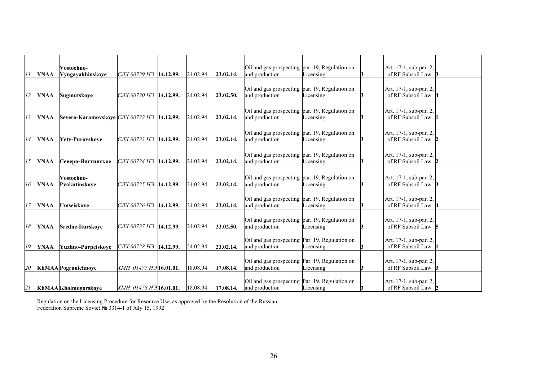|    |    |             | Vostochno-                                              |                                       |           |           | Oil and gas prospecting par. 19, Regulation on                   |           | Art. 17-1, sub-par. 2,                        |
|----|----|-------------|---------------------------------------------------------|---------------------------------------|-----------|-----------|------------------------------------------------------------------|-----------|-----------------------------------------------|
| 11 |    | <b>YNAA</b> | Vyngayakhinskoye                                        | СЛХ 00729 НЭ 14.12.99.                | 24.02.94. | 23.02.14. | and production                                                   | Licensing | of RF Subsoil Law 3                           |
|    |    |             |                                                         |                                       |           |           |                                                                  |           |                                               |
|    |    |             |                                                         |                                       |           |           | Oil and gas prospecting par. 19, Regulation on                   |           | Art. 17-1, sub-par. 2,                        |
|    | 12 | <b>YNAA</b> | Sugmutskoye                                             | СЛХ 00720 НЭ 14.12.99.                | 24.02.94. | 23.02.50. | and production                                                   | Licensing | of RF Subsoil Law  4                          |
|    |    |             |                                                         |                                       |           |           |                                                                  |           |                                               |
|    |    |             |                                                         |                                       |           |           | Oil and gas prospecting par. 19, Regulation on                   |           | Art. 17-1, sub-par. 2.                        |
| 13 |    | <b>YNAA</b> | Severo-Karamovskoye CJIX 00722 H <sub>3</sub> 14.12.99. |                                       | 24.02.94. | 23.02.14. | and production                                                   | Licensing | of RF Subsoil Law                             |
|    |    |             |                                                         |                                       |           |           |                                                                  |           |                                               |
|    | 14 | <b>YNAA</b> | Yety-Purovskoye                                         | СЛХ 00723 НЭ 14.12.99.                | 24.02.94. | 23.02.14. | Oil and gas prospecting par. 19, Regulation on<br>and production | Licensing | Art. 17-1, sub-par. 2,<br>of RF Subsoil Law 2 |
|    |    |             |                                                         |                                       |           |           |                                                                  |           |                                               |
|    |    |             |                                                         |                                       |           |           | Oil and gas prospecting par. 19, Regulation on                   |           | Art. 17-1, sub-par. 2,                        |
|    | 15 | YNAA        | Северо-Янгтинское                                       | CJIX 00724 H <sub>3</sub> 14.12.99.   | 24.02.94. | 23.02.14. | and production                                                   | Licensing | of RF Subsoil Law 2                           |
|    |    |             |                                                         |                                       |           |           |                                                                  |           |                                               |
|    |    |             | Vostochno-                                              |                                       |           |           | Oil and gas prospecting par. 19, Regulation on                   |           | Art. 17-1, sub-par. 2,                        |
|    | 16 | <b>YNAA</b> | Pvakutinskove                                           | CJIX 00725 H <sub>3</sub> 14.12.99.   | 24.02.94. | 23.02.14. | and production                                                   | Licensing | of RF Subsoil Law 3                           |
|    |    |             |                                                         |                                       |           |           |                                                                  |           |                                               |
|    |    |             |                                                         |                                       |           |           | Oil and gas prospecting par. 19, Regulation on                   |           | Art. 17-1, sub-par. 2,                        |
|    | 17 | YNAA        | Umseiskove                                              | СЛХ 00726 НЭ 14.12.99.                | 24.02.94. | 23.02.14. | and production                                                   | Licensing | of RF Subsoil Law                             |
|    |    |             |                                                         |                                       |           |           |                                                                  |           |                                               |
|    |    |             |                                                         |                                       |           |           | Oil and gas prospecting par. 19, Regulation on                   |           | Art. 17-1, sub-par. 2,                        |
|    | 18 | YNAA        | <b>Sredne-Iturskove</b>                                 | $CJIX$ 00727 H <sub>3</sub> 14.12.99. | 24.02.94. | 23.02.50. | and production                                                   | Licensing | of RF Subsoil Law 5                           |
|    |    |             |                                                         |                                       |           |           | Oil and gas prospecting Par. 19, Regulation on                   |           | Art. 17-1, sub-par. 2,                        |
|    | 19 | YNAA        | Yuzhno-Purpeiskove                                      | СЛХ 00728 НЭ 14.12.99.                | 24.02.94. | 23.02.14. | and production                                                   | Licensing | of RF Subsoil Law                             |
|    |    |             |                                                         |                                       |           |           |                                                                  |           |                                               |
|    |    |             |                                                         |                                       |           |           | Oil and gas prospecting Par. 19, Regulation on                   |           | Art. 17-1, sub-par. 2,                        |
|    | 20 |             | <b>KhMAA</b> Pogranichnove                              | XMH 01477 H <sub>3</sub> 16.01.01.    | 18.08.94. | 17.08.14. | and production                                                   | icensing  | of RF Subsoil Law 3                           |
|    |    |             |                                                         |                                       |           |           |                                                                  |           |                                               |
| 21 |    |             | KhMAA Kholmogorskoye                                    | ХМН 01478 НЭ 16.01.01.                | 18.08.94. | 17.08.14. | Oil and gas prospecting Par. 19, Regulation on<br>and production | Licensing | Art. 17-1, sub-par. 2,<br>of RF Subsoil Law 2 |
|    |    |             |                                                         |                                       |           |           |                                                                  |           |                                               |

Regulation on the Licensing Procedure for Resource Use, as approved by the Resolution of the Russian Federation Supreme Soviet № 3314-1 of July 15, 1992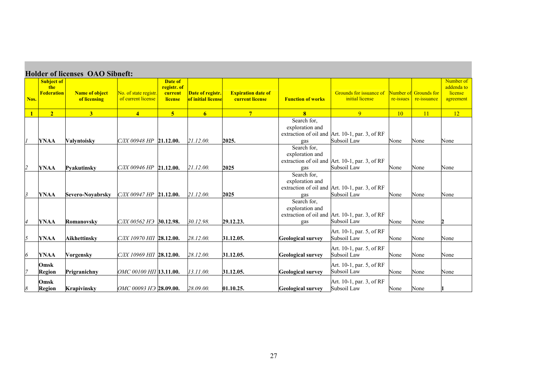|                         |                                               | <b>Holder of licenses OAO Sibneft:</b> |                                             |                                                     |                                        |                                                     |                                       |                                                               |           |                                             |                                                 |
|-------------------------|-----------------------------------------------|----------------------------------------|---------------------------------------------|-----------------------------------------------------|----------------------------------------|-----------------------------------------------------|---------------------------------------|---------------------------------------------------------------|-----------|---------------------------------------------|-------------------------------------------------|
| Nos.                    | <b>Subject of</b><br>the<br><b>Federation</b> | <b>Name of object</b><br>of licensing  | No. of state registr.<br>of current license | Date of<br>registr. of<br>current<br><b>license</b> | Date of registr.<br>of initial license | <b>Expiration date of</b><br><b>current license</b> | <b>Function of works</b>              | Grounds for issuance of<br>initial license                    | re-issues | <b>Number of Grounds for</b><br>re-issuance | Number of<br>addenda to<br>license<br>agreement |
| $\mathbf{1}$            | 2 <sup>1</sup>                                | 3 <sup>1</sup>                         | $\overline{4}$                              | 5 <sup>5</sup>                                      | 6 <sup>1</sup>                         | $7\phantom{.0}$                                     | 8                                     | 9                                                             | 10        | <b>11</b>                                   | 12                                              |
|                         | <b>YNAA</b>                                   | <b>Valyntoisky</b>                     | $CJIX$ 00948 HP 21.12.00.                   |                                                     | 21.12.00.                              | 2025.                                               | Search for,<br>exploration and<br>gas | extraction of oil and Art. 10-1, par. 3, of RF<br>Subsoil Law | None      | None                                        | None                                            |
| 2                       | <b>YNAA</b>                                   | <b>Pyakutinsky</b>                     | $CJIX$ 00946 HP 21.12.00.                   |                                                     | 21.12.00.                              | 2025                                                | Search for,<br>exploration and<br>gas | extraction of oil and Art. 10-1, par. 3, of RF<br>Subsoil Law | None      | None                                        | None                                            |
| $\overline{\mathbf{3}}$ | <b>YNAA</b>                                   | <b>Severo-Noyabrsky</b>                | СЛХ 00947 HP 21.12.00.                      |                                                     | 21.12.00.                              | 2025                                                | Search for,<br>exploration and<br>gas | extraction of oil and Art. 10-1, par. 3, of RF<br>Subsoil Law | None      | None                                        | None                                            |
| $\overline{4}$          | <b>YNAA</b>                                   | Romanovsky                             | СЛХ 00562 НЭ 30.12.98.                      |                                                     | 30.12.98.                              | 29.12.23.                                           | Search for,<br>exploration and<br>gas | extraction of oil and Art. 10-1, par. 3, of RF<br>Subsoil Law | None      | None                                        | 2                                               |
| $\overline{5}$          | <b>YNAA</b>                                   | Aikhettinsky                           | CJIX 10970 HIT 28.12.00.                    |                                                     | 28.12.00.                              | 31.12.05.                                           | <b>Geological survey</b>              | Art. 10-1, par. 5, of RF<br>Subsoil Law                       | None      | None                                        | None                                            |
| 6                       | <b>YNAA</b>                                   | <b>Vorgensky</b>                       | CJIX 10969 HII <b>28.12.00.</b>             |                                                     | 28.12.00.                              | 31.12.05.                                           | <b>Geological survey</b>              | Art. 10-1, par. 5, of RF<br>Subsoil Law                       | None      | None                                        | None                                            |
|                         | Omsk<br>Region                                | Prigranichny                           | OMC 00100 HIT 13.11.00.                     |                                                     | 13.11.00.                              | 31.12.05.                                           | <b>Geological survey</b>              | Art. 10-1, par. 5, of RF<br>Subsoil Law                       | None      | None                                        | None                                            |
| 8                       | Omsk<br><b>Region</b>                         | <b>Krapivinsky</b>                     | ОМС 00093 НЭ 28.09.00.                      |                                                     | 28.09.00.                              | 01.10.25.                                           | <b>Geological survey</b>              | Art. 10-1, par. 3, of RF<br>Subsoil Law                       | None      | None                                        |                                                 |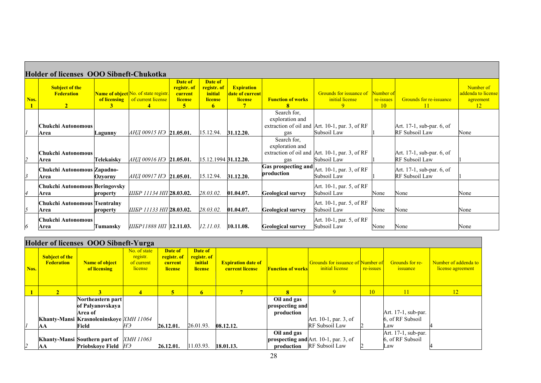|      | <b>Holder of licenses OOO Sibneft-Chukotka</b>               |                   |                                                                                     |                                                                       |                                                                       |                                                 |                                                 |                                                 |                              |                                                 |                                                               |
|------|--------------------------------------------------------------|-------------------|-------------------------------------------------------------------------------------|-----------------------------------------------------------------------|-----------------------------------------------------------------------|-------------------------------------------------|-------------------------------------------------|-------------------------------------------------|------------------------------|-------------------------------------------------|---------------------------------------------------------------|
| Nos. | <b>Subject of the</b><br><b>Federation</b><br>$\overline{2}$ | of licensing<br>3 | <b>Name of object</b> No. of state registr.<br>of current license<br>$\overline{4}$ | Date of<br>registr. of<br>current<br><b>license</b><br>5 <sup>1</sup> | Date of<br>registr. of<br><i>initial</i><br>license<br>6 <sup>1</sup> | <b>Expiration</b><br>date of current<br>license | <b>Function of works</b>                        | Grounds for issuance of<br>initial license<br>9 | Number of<br>re-issues<br>10 | <b>Grounds for re-issuance</b><br><sup>11</sup> | Number of<br>addenda to license<br>agreement<br><sup>12</sup> |
|      |                                                              |                   |                                                                                     |                                                                       |                                                                       |                                                 | Search for,                                     |                                                 |                              |                                                 |                                                               |
|      | Chukchi Autonomous                                           |                   |                                                                                     |                                                                       |                                                                       |                                                 | exploration and                                 | extraction of oil and Art. 10-1, par. 3, of RF  |                              | Art. 17-1, sub-par. 6, of                       |                                                               |
|      | Area                                                         | Lagunny           | АНД 00915 НЭ 21.05.01.                                                              |                                                                       | 15.12.94.                                                             | 31.12.20.                                       | gas                                             | Subsoil Law                                     |                              | RF Subsoil Law                                  | None                                                          |
|      | Chukchi Autonomous                                           |                   |                                                                                     |                                                                       |                                                                       |                                                 | Search for,<br>exploration and                  | extraction of oil and Art. 10-1, par. 3, of RF  |                              | Art. 17-1, sub-par. 6, of                       |                                                               |
| 12   | Area                                                         | Telekaiskv        | АНД 00916 НЭ 21.05.01.                                                              |                                                                       | 15.12.1994 31.12.20.                                                  |                                                 | gas                                             | Subsoil Law                                     |                              | RF Subsoil Law                                  |                                                               |
| l3   | Chukchi Autonomous Zapadno-<br>Area                          | Ozvorny           | АНД 00917 НЭ 21.05.01.                                                              |                                                                       | 15.12.94.                                                             | 31.12.20.                                       | <b>Gas prospecting and</b><br><b>production</b> | Art. 10-1, par. 3, of RF<br>Subsoil Law         |                              | Art. 17-1, sub-par. 6, of<br>RF Subsoil Law     |                                                               |
|      | Chukchi Autonomous Beringovsky<br>Area                       | property          | ШБР 11134 НП 28.03.02.                                                              |                                                                       | 28.03.02.                                                             | 01.04.07.                                       | <b>Geological survey</b>                        | Art. 10-1, par. 5, of RF<br>Subsoil Law         | None                         | None                                            | None                                                          |
| 15   | Chukchi Autonomous Tsentralny<br>Area                        | property          | ШБР 11133 НП 28.03.02.                                                              |                                                                       | 28.03.02.                                                             | 01.04.07.                                       | <b>Geological survey</b>                        | Art. 10-1, par. 5, of RF<br>Subsoil Law         | None                         | None                                            | None                                                          |
| 6    | Chukchi Autonomous<br>Area                                   | Tumansky          | ШБР11888 НП   12.11.03.                                                             |                                                                       | 12.11.03.                                                             | 10.11.08.                                       | <b>Geological survey</b>                        | Art. 10-1, par. 5, of RF<br>Subsoil Law         | None                         | None                                            | None                                                          |

|      |                                            | Holder of licenses OOO Sibneft-Yurga    |                                                   |                                                     |                                              |                                                     |                          |                                                             |           |                             |                                           |
|------|--------------------------------------------|-----------------------------------------|---------------------------------------------------|-----------------------------------------------------|----------------------------------------------|-----------------------------------------------------|--------------------------|-------------------------------------------------------------|-----------|-----------------------------|-------------------------------------------|
| Nos. | <b>Subject of the</b><br><b>Federation</b> | <b>Name of object</b><br>of licensing   | No. of state<br>registr.<br>of current<br>license | Date of<br>registr. of<br>current<br><b>license</b> | Date of<br>registr. of<br>initial<br>license | <b>Expiration date of</b><br><b>current license</b> | <b>Function of works</b> | Grounds for issuance of Number of<br><i>initial license</i> | re-issues | Grounds for re-<br>issuance | Number of addenda to<br>license agreement |
|      | $\mathcal{D}$                              |                                         |                                                   | 5                                                   | 6 <sup>1</sup>                               |                                                     | 8                        | 9                                                           | 10        | 11                          | 12                                        |
|      |                                            | Northeastern part                       |                                                   |                                                     |                                              |                                                     | Oil and gas              |                                                             |           |                             |                                           |
|      |                                            | of Palvanovskava                        |                                                   |                                                     |                                              |                                                     | prospecting and          |                                                             |           |                             |                                           |
|      |                                            | Area of                                 |                                                   |                                                     |                                              |                                                     | production               |                                                             |           | Art. 17-1, sub-par.         |                                           |
|      |                                            | Khanty-Mansi Krasnoleninskove XMH 11064 |                                                   |                                                     |                                              |                                                     |                          | Art. 10-1, par. 3, of                                       |           | 6, of RF Subsoil            |                                           |
|      | AА                                         | Field                                   | HЭ                                                | 26.12.01.                                           | 26.01.93.                                    | 08.12.12.                                           |                          | RF Subsoil Law                                              |           | Law                         |                                           |
|      |                                            |                                         |                                                   |                                                     |                                              |                                                     | Oil and gas              |                                                             |           | Art. 17-1, sub-par.         |                                           |
|      |                                            | Khanty-Mansi Southern part of XMH 11063 |                                                   |                                                     |                                              |                                                     |                          | <b>prospecting and</b> Art. 10-1, par. 3, of                |           | 6, of RF Subsoil            |                                           |
| 2    | AА                                         | Priobskove Field H <sub>3</sub>         |                                                   | 26.12.01.                                           | 11.03.93.                                    | 18.01.13.                                           |                          | production RF Subsoil Law                                   |           | Law                         |                                           |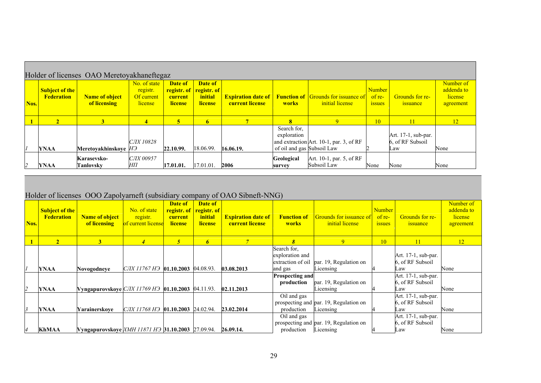|      |                                            | Holder of licenses OAO Meretoyakhaneftegaz |                                                   |                                                                 |                               |                        |                                                          |                                                                                         |                                   |                                                |                                                 |
|------|--------------------------------------------|--------------------------------------------|---------------------------------------------------|-----------------------------------------------------------------|-------------------------------|------------------------|----------------------------------------------------------|-----------------------------------------------------------------------------------------|-----------------------------------|------------------------------------------------|-------------------------------------------------|
| Nos. | <b>Subject of the</b><br><b>Federation</b> | <b>Name of object</b><br>of licensing      | No. of state<br>registr.<br>Of current<br>license | Date of<br>registr. of <u>registr. of</u><br>current<br>license | Date of<br>initial<br>license | <b>Current license</b> | works                                                    | <b>Expiration date of Function of Grounds for issuance of</b><br><i>initial license</i> | Number<br>of re-<br><b>1SSUES</b> | Grounds for re-<br>issuance                    | Number of<br>addenda to<br>license<br>agreement |
|      | $\mathbf{2}$                               | 3                                          | $\overline{\mathbf{4}}$                           |                                                                 | 6                             |                        | $\bf{R}$                                                 | <b>Q</b>                                                                                | 10 <sup>°</sup>                   | 11                                             | <sup>12</sup>                                   |
|      | <b>YNAA</b>                                | Meretovakhinskove H <sub>3</sub>           | <i>СЛХ 10828</i>                                  | 22.10.99.                                                       | 18.06.99.                     | 16.06.19.              | Search for.<br>exploration<br>of oil and gas Subsoil Law | and extraction Art. 10-1, par. 3, of RF                                                 |                                   | Art. 17-1, sub-par.<br>6. of RF Subsoil<br>Law | None                                            |
|      | <b>YNAA</b>                                | Karasevsko-<br>Tanlovskv                   | <b>СЛХ 00957</b><br>HП                            | 17.01.01.                                                       | 17.01.01.                     | 2006                   | Geological<br>survey                                     | Art. 10-1, par. 5, of RF<br>Subsoil Law                                                 | None                              | None                                           | None                                            |

# Holder of licenses ООО Zapolyarneft (subsidiary company of OAO Sibneft-NNG)

| Nos. | <b>Subject of the</b><br><b>Federation</b> | <b>Name of object</b><br>of licensing                                   | No. of state<br>registr.<br>of current license | Date of<br>current<br><b>license</b> | Date of<br><b>registr.</b> of <u>registr. of</u><br>initial<br><b>license</b> | <b>Expiration date of</b><br><b>current license</b> | <b>Function of</b><br><b>works</b>                             | <b>Grounds for issuance of</b><br>initial license   | <b>Number</b><br>of re-<br><b>ISSUES</b> | Grounds for re-<br><i>issuance</i>             | Number of<br>addenda to<br>license<br>agreement |
|------|--------------------------------------------|-------------------------------------------------------------------------|------------------------------------------------|--------------------------------------|-------------------------------------------------------------------------------|-----------------------------------------------------|----------------------------------------------------------------|-----------------------------------------------------|------------------------------------------|------------------------------------------------|-------------------------------------------------|
|      | $\overline{2}$                             | 3 <sup>1</sup>                                                          | $\overline{4}$                                 | $5^{\circ}$                          | 6                                                                             |                                                     | 8                                                              | 9                                                   | $\overline{10}$                          |                                                | <sup>12</sup>                                   |
|      | YNAA                                       | Novogodneve                                                             | CJIX 11767 H <sub>3</sub> 01.10.2003 04.08.93. |                                      |                                                                               | 03.08.2013                                          | Search for.<br>exploration and<br>extraction of oil<br>and gas | par. 19, Regulation on<br>Licensing                 |                                          | Art. 17-1, sub-par.<br>6, of RF Subsoil<br>Law | None                                            |
|      | YNAA                                       | <b>Vyngapurovskove <i>CJIX 11769 H</i>3 01.10.2003</b> 04.11.93.        |                                                |                                      |                                                                               | 02.11.2013                                          | <b>Prospecting and</b><br>production                           | par. 19, Regulation on<br>Licensing                 |                                          | Art. 17-1, sub-par.<br>6. of RF Subsoil<br>Law | None                                            |
|      | YNAA                                       | Yarainerskove                                                           | CJIX 11768 H <sub>3</sub> 01.10.2003 24.02.94. |                                      |                                                                               | 23.02.2014                                          | Oil and gas<br>production                                      | prospecting and par. 19, Regulation on<br>Licensing |                                          | Art. 17-1, sub-par.<br>6. of RF Subsoil<br>Law | None                                            |
|      | KhMAA                                      | Vyngapurovskoye XMH 11871 H <sub>3</sub> 31.10.2003 27.09.94. 26.09.14. |                                                |                                      |                                                                               |                                                     | Oil and gas<br>production                                      | prospecting and par. 19, Regulation on<br>Licensing |                                          | Art. 17-1, sub-par.<br>6, of RF Subsoil<br>Law | None                                            |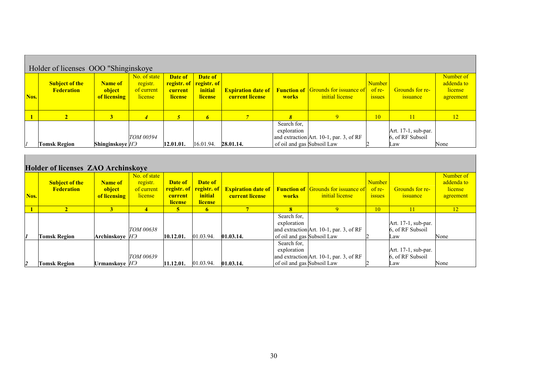|      | Holder of licenses OOO "Shinginskoye"      |                                          |                                                   |                               |                                                                        |                                                     |                            |                                                               |                                     |                                         |                                                 |
|------|--------------------------------------------|------------------------------------------|---------------------------------------------------|-------------------------------|------------------------------------------------------------------------|-----------------------------------------------------|----------------------------|---------------------------------------------------------------|-------------------------------------|-----------------------------------------|-------------------------------------------------|
| Nos. | <b>Subject of the</b><br><b>Federation</b> | <b>Name of</b><br>object<br>of licensing | No. of state<br>registr.<br>of current<br>license | Date of<br>current<br>license | Date of<br><b>registr.</b> of <u>registr.</u> of<br>initial<br>license | <b>Expiration date of</b><br><b>current license</b> | works                      | <b>Function of Grounds for issuance of</b><br>initial license | Number<br>of $re-$<br><i>issues</i> | <b>Grounds for re-</b><br>issuance      | Number of<br>addenda to<br>license<br>agreement |
|      |                                            | 3                                        |                                                   |                               | 6                                                                      |                                                     |                            |                                                               | 10                                  | 11                                      | 12 <sup>2</sup>                                 |
|      |                                            |                                          | TOM 00594                                         |                               |                                                                        |                                                     | Search for,<br>exploration | and extraction Art. 10-1, par. 3, of RF                       |                                     | Art. 17-1, sub-par.<br>6, of RF Subsoil |                                                 |
| 11   | Tomsk Region                               | <b>Shinginskoye</b> H <sub>3</sub>       |                                                   | 12.01.01.                     | 16.01.94.                                                              | 28.01.14.                                           | of oil and gas Subsoil Law |                                                               |                                     | Law                                     | None                                            |

# **Holder of licenses ZAO Archinskoye**

|                | 1101WCl 01 HCCHDCD 111C 111 CHHLDRU I C    |                                          |                                                   |                                                     |                               |                        |                                                          |                                                                                                     |                                          |                                                |                                                 |
|----------------|--------------------------------------------|------------------------------------------|---------------------------------------------------|-----------------------------------------------------|-------------------------------|------------------------|----------------------------------------------------------|-----------------------------------------------------------------------------------------------------|------------------------------------------|------------------------------------------------|-------------------------------------------------|
| Nos.           | <b>Subject of the</b><br><b>Federation</b> | <b>Name of</b><br>object<br>of licensing | No. of state<br>registr.<br>of current<br>license | Date of<br>registr. of<br>current<br><b>license</b> | Date of<br>initial<br>license | <b>Current license</b> | works                                                    | <b>registr. of</b> Expiration date of Function of Grounds for issuance of<br><i>initial license</i> | <b>Number</b><br>of re-<br><b>ISSUES</b> | Grounds for re-<br><i>s</i> suance             | Number of<br>addenda to<br>license<br>agreement |
|                |                                            |                                          | 4                                                 | 5                                                   | 6                             |                        | 8                                                        |                                                                                                     | 10                                       |                                                | 12 <sub>1</sub>                                 |
|                | Tomsk Region                               | Archinskove <i>H</i> Э                   | <b>TOM 00638</b>                                  | 10.12.01.                                           | 01.03.94.                     | 01.03.14.              | Search for,<br>exploration<br>of oil and gas Subsoil Law | and extraction Art. 10-1, par. 3, of RF                                                             |                                          | Art. 17-1, sub-par.<br>6, of RF Subsoil<br>Law | None                                            |
| $\overline{2}$ | <b>Tomsk Region</b>                        | Urmanskove <i>H</i> Э                    | TOM 00639                                         | 11.12.01.                                           | 01.03.94.                     | 01.03.14.              | Search for,<br>exploration<br>of oil and gas Subsoil Law | and extraction Art. 10-1, par. 3, of RF                                                             |                                          | Art. 17-1, sub-par.<br>6, of RF Subsoil<br>Law | None                                            |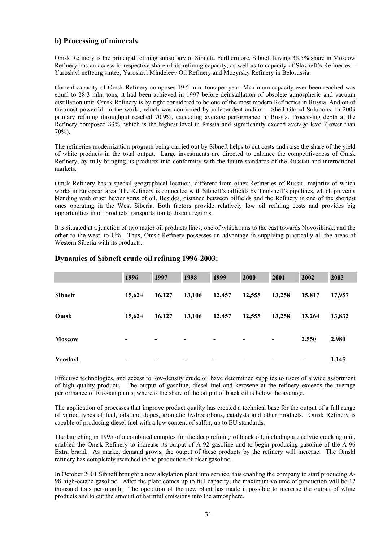# **b) Processing of minerals**

Omsk Refinery is the principal refining subsidiary of Sibneft. Ferthermore, Sibneft having 38.5% share in Moscow Refinery has an access to respective share of its refining capacity, as well as to capacity of Slavneft's Refineries – Yaroslavl nefteorg sintez, Yaroslavl Mindeleev Oil Refinery and Mozyrsky Refinery in Belorussia.

Current capacity of Omsk Refinery composes 19.5 mln. tons per year. Maximum capacity ever been reached was equal to 28.3 mln. tons, it had been achieved in 1997 before deinstallation of obsolete atmospheric and vacuum distillation unit. Omsk Refinery is by right considered to be one of the most modern Refineries in Russia. And on of the most powerfull in the world, which was confirmed by independent auditor – Shell Global Solutions. In 2003 primary refining throughput reached 70.9%, exceeding average performance in Russia. Proccesing depth at the Refinery composed 83%, which is the highest level in Russia and significantly exceed average level (lower than 70%).

The refineries modernization program being carried out by Sibneft helps to cut costs and raise the share of the yield of white products in the total output. Large investments are directed to enhance the competitiveness of Omsk Refinery, by fully bringing its products into conformity with the future standards of the Russian and international markets.

Omsk Refinery has a special geographical location, different from other Refineries of Russia, majority of which works in European area. The Refinery is connected with Sibneft's oilfields by Transneft's pipelines, which prevents blending with other hevier sorts of oil. Besides, distance between oilfields and the Refinery is one of the shortest ones operating in the West Siberia. Both factors provide relatively low oil refining costs and provides big opportunities in oil products transportation to distant regions.

It is situated at a junction of two major oil products lines, one of which runs to the east towards Novosibirsk, and the other to the west, to Ufa. Thus, Omsk Refinery possesses an advantage in supplying practically all the areas of Western Siberia with its products.

|                | 1996           | 1997                     | 1998                     | 1999           | 2000                     | 2001           | 2002   | 2003   |
|----------------|----------------|--------------------------|--------------------------|----------------|--------------------------|----------------|--------|--------|
| <b>Sibneft</b> | 15,624         | 16,127                   | 13,106                   | 12,457         | 12,555                   | 13,258         | 15,817 | 17,957 |
| Omsk           | 15,624         | 16,127                   | 13,106                   | 12,457         | 12,555                   | 13,258         | 13,264 | 13,832 |
| <b>Moscow</b>  | $\blacksquare$ | $\,$                     | $\overline{\phantom{a}}$ | $\blacksquare$ | $\,$                     | $\blacksquare$ | 2,550  | 2,980  |
| Yroslavl       | -              | $\overline{\phantom{a}}$ | -                        | ۰              | $\overline{\phantom{0}}$ | -              |        | 1,145  |

# **Dynamics of Sibneft crude oil refining 1996-2003:**

Effective technologies, and access to low-density crude oil have determined supplies to users of a wide assortment of high quality products. The output of gasoline, diesel fuel and kerosene at the refinery exceeds the average performance of Russian plants, whereas the share of the output of black oil is below the average.

The application of processes that improve product quality has created a technical base for the output of a full range of varied types of fuel, oils and dopes, aromatic hydrocarbons, catalysts and other products. Omsk Refinery is capable of producing diesel fuel with a low content of sulfur, up to EU standards.

The launching in 1995 of a combined complex for the deep refining of black oil, including a catalytic cracking unit, enabled the Omsk Refinery to increase its output of A-92 gasoline and to begin producing gasoline of the А-96 Extra brand. As market demand grows, the output of these products by the refinery will increase. The Omskl refinery has completely switched to the production of clear gasoline.

In October 2001 Sibneft brought a new alkylation plant into service, this enabling the company to start producing A-98 high-octane gasoline. After the plant comes up to full capacity, the maximum volume of production will be 12 thousand tons per month. The operation of the new plant has made it possible to increase the output of white products and to cut the amount of harmful emissions into the atmosphere.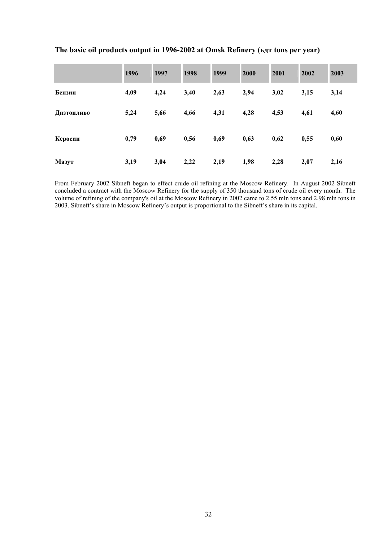|            | 1996 | 1997 | 1998 | 1999 | 2000 | 2001 | 2002 | 2003 |
|------------|------|------|------|------|------|------|------|------|
| Бензин     | 4,09 | 4,24 | 3,40 | 2,63 | 2,94 | 3,02 | 3,15 | 3,14 |
| Дизтопливо | 5,24 | 5,66 | 4,66 | 4,31 | 4,28 | 4,53 | 4,61 | 4,60 |
| Керосин    | 0,79 | 0,69 | 0,56 | 0,69 | 0,63 | 0,62 | 0,55 | 0,60 |
| Мазут      | 3,19 | 3,04 | 2,22 | 2,19 | 1,98 | 2,28 | 2,07 | 2,16 |

# The basic oil products output in 1996-2002 at Omsk Refinery (**ьдт** tons per year)

From February 2002 Sibneft began to effect crude oil refining at the Moscow Refinery. In August 2002 Sibneft concluded a contract with the Moscow Refinery for the supply of 350 thousand tons of crude oil every month. The volume of refining of the company's oil at the Moscow Refinery in 2002 came to 2.55 mln tons and 2.98 mln tons in 2003. Sibneft's share in Moscow Refinery's output is proportional to the Sibneft's share in its capital.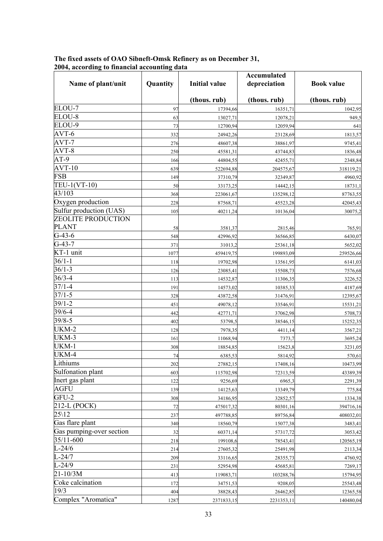| Name of plant/unit       | Quantity | <b>Initial value</b> | <b>Accumulated</b><br>depreciation | <b>Book value</b> |
|--------------------------|----------|----------------------|------------------------------------|-------------------|
|                          |          |                      |                                    |                   |
|                          |          | (thous. rub)         | (thous. rub)                       | (thous. rub)      |
| ELOU-7                   | 97       | 17394,66             | 16351,71                           | 1042,95           |
| ELOU-8                   | 63       | 13027,71             | 12078,21                           | 949,5             |
| ELOU-9                   | 73       | 12700,94             | 12059,94                           | 641               |
| AVT-6                    | 332      | 24942,26             | 23128,69                           | 1813,57           |
| AVT-7                    | 276      | 48607,38             | 38861,97                           | 9745,41           |
| AVT-8                    | 250      | 45581,31             | 43744,83                           | 1836,48           |
| $AT-9$                   | 166      | 44804,55             | 42455,71                           | 2348,84           |
| $AVT-10$                 | 639      | 522694,88            | 204575,67                          | 318119,21         |
| <b>FSB</b>               | 149      | 37310,79             | 32349,87                           | 4960,92           |
| TEU-1(VT-10)             | 50       | 33173,25             | 14442,15                           | 18731,1           |
| 43/103                   | 368      | 223061,67            | 135298,12                          | 87763,55          |
| Oxygen production        | 228      | 87568,71             | 45523,28                           | 42045,43          |
| Sulfur production (UAS)  | 105      | 40211,24             | 10136,04                           | 30075,2           |
| ZEOLITE PRODUCTION       |          |                      |                                    |                   |
| <b>PLANT</b>             | 58       | 3581,37              | 2815,46                            | 765,91            |
| $G-43-6$                 | 548      | 42996,92             | 36566,85                           | 6430,07           |
| $G-43-7$                 | 371      | 31013,2              | 25361,18                           | 5652,02           |
| KT-1 unit                | 1077     | 459419,75            | 199893,09                          | 259526,66         |
| $36/1 - 1$               | 118      | 19702,98             | 13561,95                           | 6141,03           |
| $36/1 - 3$               | 126      | 23085,41             | 15508,73                           | 7576,68           |
| $36/3 - 4$               | 113      | 14532,87             | 11306,35                           | 3226,52           |
| $37/1 - 4$               | 191      | 14573,02             | 10385,33                           | 4187,69           |
| $37/1 - 5$               | 328      | 43872,58             | 31476,91                           | 12395,67          |
| $39/1 - 2$               | 451      | 49078,12             | 33546,91                           | 15531,21          |
| $39/6 - 4$               | 442      | 42771,71             | 37062,98                           | 5708,73           |
| $39/8 - 5$               | 402      | 53798,5              | 38546,15                           | 15252,35          |
| UKM-2                    | 128      | 7978,35              | 4411,14                            | 3567,21           |
| UKM-3                    | 161      | 11068,94             | 7373,7                             | 3695,24           |
| UKM-1                    | 308      | 18854,85             | 15623,8                            | 3231,05           |
| UKM-4                    | 74       | 6385,53              | 5814,92                            | 570,61            |
| Lithiums                 | 202      | 27882,15             | 17408,16                           | 10473,99          |
| Sulfonation plant        | 603      | 115702,98            | 72313,59                           | 43389,39          |
| Inert gas plant          | 122      | 9256,69              | 6965,3                             | 2291,39           |
| <b>AGFU</b>              | 139      | 14125,63             | 13349,79                           | 775,84            |
| GFU-2                    | 308      | 34186,95             | 32852,57                           | 1334,38           |
| 212-L (POCK)             | 72       | 475017,32            | 80301,16                           | 394716,16         |
| $25\backslash12$         | 237      | 497788,85            | 89756,84                           | 408032,01         |
| Gas flare plant          | 340      | 18560,79             | 15077,38                           | 3483,41           |
| Gas pumping-over section | 32       | 60371,14             | 57317,72                           | 3053,42           |
| 35/11-600                | 218      | 199108,6             | 78543,41                           | 120565,19         |
| $L - 24/6$               | 214      | 27605,32             | 25491,98                           | 2113,34           |
| $L-24/7$                 | 209      | 33116,65             | 28355,73                           | 4760,92           |
| $L - 24/9$               | 231      | 52954,98             | 45685,81                           | 7269,17           |
| $21 - 10/3M$             | 413      | 119083,71            | 103288,76                          | 15794,95          |
| Coke calcination         | 172      | 34751,53             | 9208,05                            | 25543,48          |
| 19/3                     | 404      | 38828,43             | 26462,85                           | 12365,58          |
| Complex "Aromatica"      | 1287     | 2371833,15           | 2231353,11                         | 140480,04         |

#### **The fixed assets of ОАО Sibneft-Omsk Refinery as on December 31, 2004, according to financial accounting data**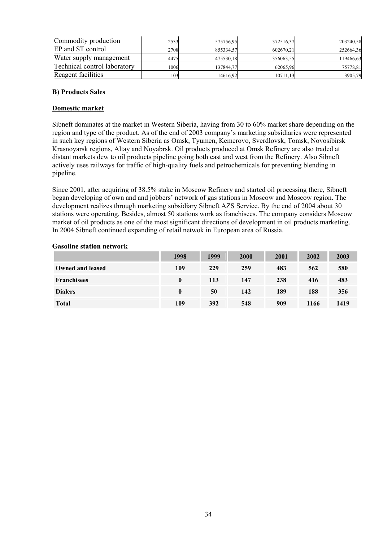| Commodity production         | 2533 | 575756,95 | 372516,37 | 203240,58 |
|------------------------------|------|-----------|-----------|-----------|
| EP and ST control            | 2708 | 855334,57 | 602670,21 | 252664,36 |
| Water supply management      | 4475 | 475530,18 | 356063,55 | 119466,63 |
| Technical control laboratory | 1006 | 137844.77 | 62065.96  | 75778,81  |
| Reagent facilities           | 103  | 14616,92  | 10711,13  | 3905,79   |

# **B) Products Sales**

# **Domestic market**

Sibneft dominates at the market in Western Siberia, having from 30 to 60% market share depending on the region and type of the product. As of the end of 2003 company's marketing subsidiaries were represented in such key regions of Western Siberia as Omsk, Tyumen, Kemerovo, Sverdlovsk, Tomsk, Novosibirsk Krasnoyarsk regions, Altay and Noyabrsk. Oil products produced at Omsk Refinery are also traded at distant markets dew to oil products pipeline going both east and west from the Refinery. Also Sibneft actively uses railways for traffic of high-quality fuels and petrochemicals for preventing blending in pipeline.

Since 2001, after acquiring of 38.5% stake in Moscow Refinery and started oil processing there, Sibneft began developing of own and and jobbers' network of gas stations in Moscow and Moscow region. The development realizes through marketing subsidiary Sibneft AZS Service. By the end of 2004 about 30 stations were operating. Besides, almost 50 stations work as franchisees. The company considers Moscow market of oil products as one of the most significant directions of development in oil products marketing. In 2004 Sibneft continued expanding of retail netwok in European area of Russia.

## **Gasoline station network**

|                         | 1998     | 1999 | 2000 | 2001 | 2002 | 2003 |
|-------------------------|----------|------|------|------|------|------|
| <b>Owned and leased</b> | 109      | 229  | 259  | 483  | 562  | 580  |
| <b>Franchisees</b>      | $\bf{0}$ | 113  | 147  | 238  | 416  | 483  |
| <b>Dialers</b>          | $\bf{0}$ | 50   | 142  | 189  | 188  | 356  |
| <b>Total</b>            | 109      | 392  | 548  | 909  | 1166 | 1419 |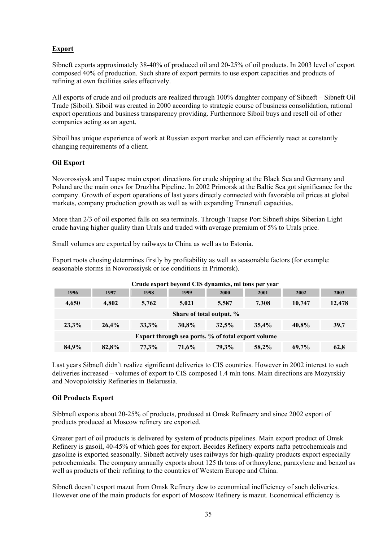# **Export**

Sibneft exports approximately 38-40% of produced oil and 20-25% of oil products. In 2003 level of export composed 40% of production. Such share of export permits to use export capacities and products of refining at own facilities sales effectively.

All exports of crude and oil products are realized through 100% daughter company of Sibneft – Sibneft Oil Trade (Siboil). Siboil was created in 2000 according to strategic course of business consolidation, rational export operations and business transparency providing. Furthermore Siboil buys and resell oil of other companies acting as an agent.

Siboil has unique experience of work at Russian export market and can efficiently react at constantly changing requirements of a client.

# **Oil Export**

Novorossiysk and Tuapse main export directions for crude shipping at the Black Sea and Germany and Poland are the main ones for Druzhba Pipeline. In 2002 Primorsk at the Baltic Sea got significance for the company. Growth of export operations of last years directly connected with favorable oil prices at global markets, company production growth as well as with expanding Transneft capacities.

More than 2/3 of oil exported falls on sea terminals. Through Tuapse Port Sibneft ships Siberian Light crude having higher quality than Urals and traded with average premium of 5% to Urals price.

Small volumes are exported by railways to China as well as to Estonia.

Export roots chosing determines firstly by profitability as well as seasonable factors (for example: seasonable storms in Novorossiysk or ice conditions in Primorsk).

| Стаас схроте всубна Ств аупаннез, ни тону рег усаг |       |       |          |                                                    |       |          |        |
|----------------------------------------------------|-------|-------|----------|----------------------------------------------------|-------|----------|--------|
| 1996                                               | 1997  | 1998  | 1999     | <b>2000</b>                                        | 2001  | 2002     | 2003   |
| 4.650                                              | 4.802 | 5.762 | 5.021    | 5,587                                              | 7,308 | 10,747   | 12,478 |
|                                                    |       |       |          | Share of total output, %                           |       |          |        |
| 23,3%                                              | 26.4% | 33.3% | $30.8\%$ | 32.5%                                              | 35,4% | 40.8%    | 39,7   |
|                                                    |       |       |          | Export through sea ports, % of total export volume |       |          |        |
| 84,9%                                              | 82,8% | 77.3% | 71.6%    | 79.3%                                              | 58,2% | $69.7\%$ | 62,8   |

### **Crude export beyond CIS dynamics, ml tons per year**

Last years Sibneft didn't realize significant deliveries to CIS countries. However in 2002 interest to such deliveries increased – volumes of export to CIS composed 1.4 mln tons. Main directions are Mozyrskiy and Novopolotskiy Refineries in Belarussia.

# **Oil Products Export**

Sibbneft exports about 20-25% of products, prodused at Omsk Refineery and since 2002 export of products produced at Moscow refinery are exported.

Greater part of oil products is delivered by system of products pipelines. Main export product of Omsk Refinery is gasoil, 40-45% of which goes for export. Becides Refinery exports nafta petrochemicals and gasoline is exported seasonally. Sibneft actively uses railways for high-quality products export especially petrochemicals. The company annually exports about 125 th tons of orthoxylene, paraxylene and benzol as well as products of their refining to the countries of Western Europe and China.

Sibneft doesn't export mazut from Omsk Refinery dew to economical inefficiency of such deliveries. However one of the main products for export of Moscow Refinery is mazut. Economical efficiency is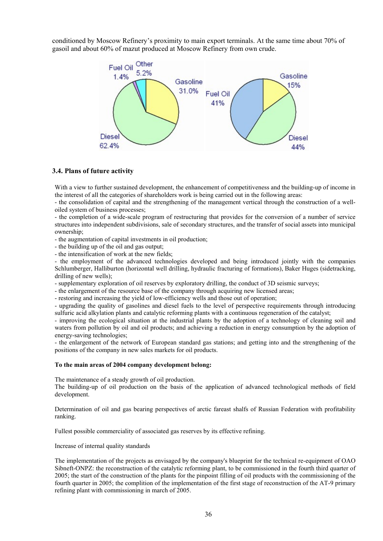conditioned by Moscow Refinery's proximity to main export terminals. At the same time about 70% of gasoil and about 60% of mazut produced at Moscow Refinery from own crude.



#### **3.4. Plans of future activity**

With a view to further sustained development, the enhancement of competitiveness and the building-up of income in the interest of all the categories of shareholders work is being carried out in the following areas:

- the consolidation of capital and the strengthening of the management vertical through the construction of a welloiled system of business processes;

- the completion of a wide-scale program of restructuring that provides for the conversion of a number of service structures into independent subdivisions, sale of secondary structures, and the transfer of social assets into municipal ownership;

- the augmentation of capital investments in oil production;

- the building up of the oil and gas output;

- the intensification of work at the new fields;

- the employment of the advanced technologies developed and being introduced jointly with the companies Schlumberger, Halliburton (horizontal well drilling, hydraulic fracturing of formations), Вaker Huges (sidetracking, drilling of new wells);

- supplementary exploration of oil reserves by exploratory drilling, the conduct of 3D seismic surveys;

- the enlargement of the resource base of the company through acquiring new licensed areas;

- restoring and increasing the yield of low-efficiency wells and those out of operation;

- upgrading the quality of gasolines and diesel fuels to the level of perspective requirements through introducing sulfuric acid alkylation plants and catalytic reforming plants with a continuous regeneration of the catalyst;

- improving the ecological situation at the industrial plants by the adoption of a technology of cleaning soil and waters from pollution by oil and oil products; and achieving a reduction in energy consumption by the adoption of energy-saving technologies;

- the enlargement of the network of European standard gas stations; and getting into and the strengthening of the positions of the company in new sales markets for oil products.

#### **To the main areas of 2004 company development belong:**

The maintenance of a steady growth of oil production.

The building-up of oil production on the basis of the application of advanced technological methods of field development.

Determination of oil and gas bearing perspectives of arctic fareast shalfs of Russian Federation with profitability ranking.

Fullest possible commerciality of associated gas reserves by its effective refining.

Increase of internal quality standards

The implementation of the projects as envisaged by the company's blueprint for the technical re-equipment of OAO Sibneft-ONPZ: the reconstruction of the catalytic reforming plant, to be commissioned in the fourth third quarter of 2005; the start of the construction of the plants for the pinpoint filling of oil products with the commissioning of the fourth quarter in 2005; the complition of the implementation of the first stage of reconstruction of the AT-9 primary refining plant with commissioning in march of 2005.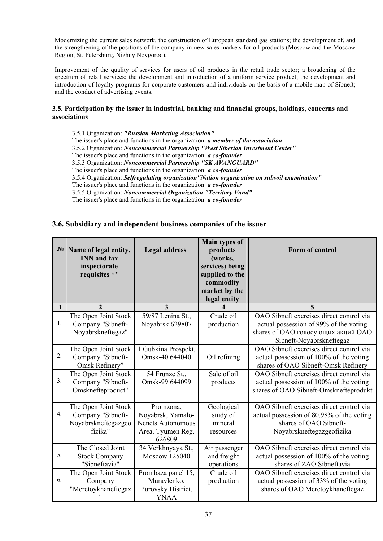Modernizing the current sales network, the construction of European standard gas stations; the development of, and the strengthening of the positions of the company in new sales markets for oil products (Moscow and the Moscow Region, St. Petersburg, Nizhny Novgorod).

Improvement of the quality of services for users of oil products in the retail trade sector; a broadening of the spectrum of retail services; the development and introduction of a uniform service product; the development and introduction of loyalty programs for corporate customers and individuals on the basis of a mobile map of Sibneft; and the conduct of advertising events.

# **3.5. Participation by the issuer in industrial, banking and financial groups, holdings, concerns and associations**

3.5.1 Organization: *"Russian Marketing Association"* The issuer's place and functions in the organization: *a member of the association* 3.5.2 Organization: *Noncommercial Partnership "West Siberian Investment Center"* The issuer's place and functions in the organization: *a co-founder*  3.5.3 Organization: *Noncommercial Partnership "SK AVANGUARD"* The issuer's place and functions in the organization: *a co-founder* 3.5.4 Organization: *Selfregulating organization"Nation organization on subsoil examination"* The issuer's place and functions in the organization: *a co-founder* 3.5.5 Organization: *Noncommercial Organization "Territory Fund"* The issuer's place and functions in the organization: *a co-founder*

# **3.6. Subsidiary and independent business companies of the issuer**

| $N_2$        | Name of legal entity,<br><b>INN</b> and tax<br>inspectorate<br>requisites ** | <b>Legal address</b>                                                                      | Main types of<br>products<br>(works,<br>services) being<br>supplied to the<br>commodity<br>market by the<br>legal entity | Form of control                                                                                                                                      |
|--------------|------------------------------------------------------------------------------|-------------------------------------------------------------------------------------------|--------------------------------------------------------------------------------------------------------------------------|------------------------------------------------------------------------------------------------------------------------------------------------------|
| $\mathbf{1}$ | $\overline{2}$                                                               | 3                                                                                         |                                                                                                                          | 5                                                                                                                                                    |
| 1.           | The Open Joint Stock<br>Company "Sibneft-<br>Noyabrskneftegaz"               | 59/87 Lenina St.,<br>Noyabrsk 629807                                                      | Crude oil<br>production                                                                                                  | OAO Sibneft exercises direct control via<br>actual possession of 99% of the voting<br>shares of OAO голосующих акций OAO<br>Sibneft-Noyabrskneftegaz |
| 2.           | The Open Joint Stock<br>Company "Sibneft-<br>Omsk Refinery"                  | 1 Gubkina Prospekt,<br>Omsk-40 644040                                                     | Oil refining                                                                                                             | OAO Sibneft exercises direct control via<br>actual possession of 100% of the voting<br>shares of OAO Sibneft-Omsk Refinery                           |
| 3.           | The Open Joint Stock<br>Company "Sibneft-<br>Omsknefteproduct"               | 54 Frunze St.,<br>Omsk-99 644099                                                          | Sale of oil<br>products                                                                                                  | OAO Sibneft exercises direct control via<br>actual possession of 100% of the voting<br>shares of OAO Sibneft-Omsknefteprodukt                        |
| 4.           | The Open Joint Stock<br>Company "Sibneft-<br>Noyabrskneftegazgeo<br>fizika"  | Promzona,<br>Noyabrsk, Yamalo-<br><b>Nenets Autonomous</b><br>Area, Tyumen Reg.<br>626809 | Geological<br>study of<br>mineral<br>resources                                                                           | OAO Sibneft exercises direct control via<br>actual possession of 80.98% of the voting<br>shares of OAO Sibneft-<br>Noyabrskneftegazgeofizika         |
| 5.           | The Closed Joint<br><b>Stock Company</b><br>"Sibneftavia"                    | 34 Verkhnyaya St.,<br>Moscow 125040                                                       | Air passenger<br>and freight<br>operations                                                                               | OAO Sibneft exercises direct control via<br>actual possession of 100% of the voting<br>shares of ZAO Sibneftavia                                     |
| 6.           | The Open Joint Stock<br>Company<br>"Meretoykhaneftegaz                       | Prombaza panel 15,<br>Muravlenko,<br>Purovsky District,<br><b>YNAA</b>                    | Crude oil<br>production                                                                                                  | OAO Sibneft exercises direct control via<br>actual possession of 33% of the voting<br>shares of OAO Meretoykhaneftegaz                               |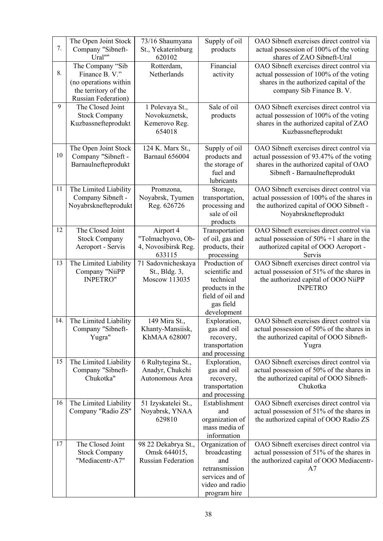| 7.  | The Open Joint Stock<br>Company "Sibneft-<br>Ural""                                                               | 73/16 Shaumyana<br>St., Yekaterinburg<br>620102                  | Supply of oil<br>products                                                                                       | OAO Sibneft exercises direct control via<br>actual possession of 100% of the voting<br>shares of ZAO Sibneft-Ural                                                 |
|-----|-------------------------------------------------------------------------------------------------------------------|------------------------------------------------------------------|-----------------------------------------------------------------------------------------------------------------|-------------------------------------------------------------------------------------------------------------------------------------------------------------------|
| 8.  | The Company "Sib<br>Finance B.V."<br>(no operations within<br>the territory of the<br><b>Russian Federation</b> ) | Rotterdam,<br>Netherlands                                        | Financial<br>activity                                                                                           | OAO Sibneft exercises direct control via<br>actual possession of 100% of the voting<br>shares in the authorized capital of the<br>company Sib Finance B. V.       |
| 9   | The Closed Joint<br><b>Stock Company</b><br>Kuzbassnefteprodukt                                                   | 1 Polevaya St.,<br>Novokuznetsk,<br>Kemerovo Reg.<br>654018      | Sale of oil<br>products                                                                                         | OAO Sibneft exercises direct control via<br>actual possession of 100% of the voting<br>shares in the authorized capital of ZAO<br>Kuzbassnefteprodukt             |
| 10  | The Open Joint Stock<br>Company "Sibneft -<br>Barnaulnefteprodukt                                                 | 124 K. Marx St.,<br><b>Barnaul 656004</b>                        | Supply of oil<br>products and<br>the storage of<br>fuel and<br>lubricants                                       | OAO Sibneft exercises direct control via<br>actual possession of 93.47% of the voting<br>shares in the authorized capital of OAO<br>Sibneft - Barnaulnefteprodukt |
| 11  | The Limited Liability<br>Company Sibneft -<br>Noyabrsknefteprodukt                                                | Promzona,<br>Noyabrsk, Tyumen<br>Reg. 626726                     | Storage,<br>transportation,<br>processing and<br>sale of oil<br>products                                        | OAO Sibneft exercises direct control via<br>actual possession of 100% of the shares in<br>the authorized capital of OOO Sibneft -<br>Noyabrsknefteprodukt         |
| 12  | The Closed Joint<br><b>Stock Company</b><br>Aeroport - Servis                                                     | Airport 4<br>"Tolmachyovo, Ob-<br>4, Novosibirsk Reg.<br>633115  | Transportation<br>of oil, gas and<br>products, their<br>processing                                              | OAO Sibneft exercises direct control via<br>actual possession of $50\% + 1$ share in the<br>authorized capital of OOO Aeroport -<br>Servis                        |
| 13  | The Limited Liability<br>Company "NiiPP<br><b>INPETRO"</b>                                                        | 71 Sadovnicheskaya<br>St., Bldg. 3,<br>Moscow 113035             | Production of<br>scientific and<br>technical<br>products in the<br>field of oil and<br>gas field<br>development | OAO Sibneft exercises direct control via<br>actual possession of 51% of the shares in<br>the authorized capital of OOO NiiPP<br><b>INPETRO</b>                    |
| 14. | The Limited Liability<br>Company "Sibneft-<br>Yugra"                                                              | 149 Mira St.<br>Khanty-Mansiisk,<br>KhMAA 628007                 | Exploration,<br>gas and oil<br>recovery,<br>transportation<br>and processing                                    | OAO Sibneft exercises direct control via<br>actual possession of 50% of the shares in<br>the authorized capital of OOO Sibneft-<br>Yugra                          |
| 15  | The Limited Liability<br>Company "Sibneft-<br>Chukotka"                                                           | 6 Rultytegina St.,<br>Anadyr, Chukchi<br>Autonomous Area         | Exploration,<br>gas and oil<br>recovery,<br>transportation<br>and processing                                    | OAO Sibneft exercises direct control via<br>actual possession of 50% of the shares in<br>the authorized capital of OOO Sibneft-<br>Chukotka                       |
| 16  | The Limited Liability<br>Company "Radio ZS"                                                                       | 51 Izyskatelei St.,<br>Noyabrsk, YNAA<br>629810                  | Establishment<br>and<br>organization of<br>mass media of<br>information                                         | OAO Sibneft exercises direct control via<br>actual possession of 51% of the shares in<br>the authorized capital of OOO Radio ZS                                   |
| 17  | The Closed Joint<br><b>Stock Company</b><br>"Mediacentr-A7"                                                       | 98 22 Dekabrya St.,<br>Omsk 644015,<br><b>Russian Federation</b> | Organization of<br>broadcasting<br>and<br>retransmission<br>services and of<br>video and radio<br>program hire  | OAO Sibneft exercises direct control via<br>actual possession of 51% of the shares in<br>the authorized capital of OOO Mediacentr-<br>A7                          |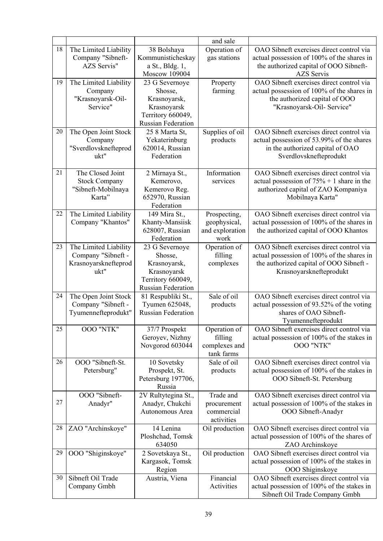|    |                                                                             |                                                                                                            | and sale                                                |                                                                                                                                                              |
|----|-----------------------------------------------------------------------------|------------------------------------------------------------------------------------------------------------|---------------------------------------------------------|--------------------------------------------------------------------------------------------------------------------------------------------------------------|
| 18 | The Limited Liability<br>Company "Sibneft-<br><b>AZS Servis"</b>            | 38 Bolshaya<br>Kommunisticheskay<br>a St., Bldg. 1,<br>Moscow 109004                                       | Operation of<br>gas stations                            | OAO Sibneft exercises direct control via<br>actual possession of 100% of the shares in<br>the authorized capital of OOO Sibneft-<br><b>AZS</b> Servis        |
| 19 | The Limited Liability<br>Company<br>"Krasnoyarsk-Oil-<br>Service"           | 23 G Severnoye<br>Shosse,<br>Krasnoyarsk,<br>Krasnoyarsk<br>Territory 660049,<br><b>Russian Federation</b> | Property<br>farming                                     | OAO Sibneft exercises direct control via<br>actual possession of 100% of the shares in<br>the authorized capital of OOO<br>"Krasnoyarsk-Oil- Service"        |
| 20 | The Open Joint Stock<br>Company<br>"Sverdlovsknefteprod<br>ukt"             | 25 8 Marta St,<br>Yekaterinburg<br>620014, Russian<br>Federation                                           | Supplies of oil<br>products                             | OAO Sibneft exercises direct control via<br>actual possession of 53.99% of the shares<br>in the authorized capital of OAO<br>Sverdlovsknefteprodukt          |
| 21 | The Closed Joint<br><b>Stock Company</b><br>"Sibneft-Mobilnaya<br>Karta"    | 2 Mirnaya St.,<br>Kemerovo,<br>Kemerovo Reg.<br>652970, Russian<br>Federation                              | Information<br>services                                 | OAO Sibneft exercises direct control via<br>actual possession of $75% + 1$ share in the<br>authorized capital of ZAO Kompaniya<br>Mobilnaya Karta"           |
| 22 | The Limited Liability<br>Company "Khantos"                                  | 149 Mira St.,<br>Khanty-Mansiisk<br>628007, Russian<br>Federation                                          | Prospecting,<br>geophysical,<br>and exploration<br>work | OAO Sibneft exercises direct control via<br>actual possession of 100% of the shares in<br>the authorized capital of OOO Khantos                              |
| 23 | The Limited Liability<br>Company "Sibneft -<br>Krasnoyarsknefteprod<br>ukt" | 23 G Severnoye<br>Shosse,<br>Krasnoyarsk,<br>Krasnoyarsk<br>Territory 660049,<br><b>Russian Federation</b> | Operation of<br>filling<br>complexes                    | OAO Sibneft exercises direct control via<br>actual possession of 100% of the shares in<br>the authorized capital of OOO Sibneft -<br>Krasnoyarsknefteprodukt |
| 24 | The Open Joint Stock<br>Company "Sibneft -<br>Tyumennefteprodukt"           | 81 Respubliki St.,<br>Tyumen 625048,<br><b>Russian Federation</b>                                          | Sale of oil<br>products                                 | OAO Sibneft exercises direct control via<br>actual possession of 93.52% of the voting<br>shares of OAO Sibneft-<br>Tyumennefteprodukt                        |
| 25 | <b>OOO "NTK"</b>                                                            | 37/7 Prospekt<br>Geroyev, Nizhny<br>Novgorod 603044                                                        | Operation of<br>filling<br>complexes and<br>tank farms  | OAO Sibneft exercises direct control via<br>actual possession of 100% of the stakes in<br>OOO "NTK"                                                          |
| 26 | OOO "Sibneft-St.<br>Petersburg"                                             | 10 Sovetsky<br>Prospekt, St.<br>Petersburg 197706,<br>Russia                                               | Sale of oil<br>products                                 | OAO Sibneft exercises direct control via<br>actual possession of 100% of the stakes in<br>OOO Sibneft-St. Petersburg                                         |
| 27 | OOO "Sibneft-<br>Anadyr"                                                    | 2V Rultytegina St.,<br>Anadyr, Chukchi<br>Autonomous Area                                                  | Trade and<br>procurement<br>commercial<br>activities    | OAO Sibneft exercises direct control via<br>actual possession of 100% of the stakes in<br>OOO Sibneft-Anadyr                                                 |
| 28 | ZAO "Archinskoye"                                                           | 14 Lenina<br>Ploshchad, Tomsk<br>634050                                                                    | Oil production                                          | OAO Sibneft exercises direct control via<br>actual possession of 100% of the shares of<br>ZAO Archinskoye                                                    |
| 29 | OOO "Shiginskoye"                                                           | 2 Sovetskaya St.,<br>Kargasok, Tomsk<br>Region                                                             | Oil production                                          | OAO Sibneft exercises direct control via<br>actual possession of 100% of the stakes in<br>OOO Shiginskoye                                                    |
| 30 | Sibneft Oil Trade<br>Company Gmbh                                           | Austria, Viena                                                                                             | Financial<br>Activities                                 | OAO Sibneft exercises direct control via<br>actual possession of 100% of the stakes in<br>Sibneft Oil Trade Company Gmbh                                     |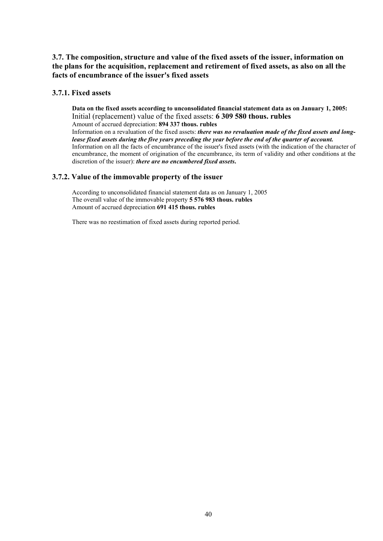# **3.7. The composition, structure and value of the fixed assets of the issuer, information on the plans for the acquisition, replacement and retirement of fixed assets, as also on all the facts of encumbrance of the issuer's fixed assets**

# **3.7.1. Fixed assets**

**Data on the fixed assets according to unconsolidated financial statement data as on January 1, 2005:**  Initial (replacement) value of the fixed assets: **6 309 580 thous. rubles** Amount of accrued depreciation: **894 337 thous. rubles**

Information on a revaluation of the fixed assets: *there was no revaluation made of the fixed assets and longlease fixed assets during the five years preceding the year before the end of the quarter of account.*  Information on all the facts of encumbrance of the issuer's fixed assets (with the indication of the character of encumbrance, the moment of origination of the encumbrance, its term of validity and other conditions at the discretion of the issuer): *there are no encumbered fixed assets***.**

# **3.7.2. Value of the immovable property of the issuer**

According to unconsolidated financial statement data as on January 1, 2005 The overall value of the immovable property **5 576 983 thous. rubles** Amount of accrued depreciation **691 415 thous. rubles**

There was no reestimation of fixed assets during reported period.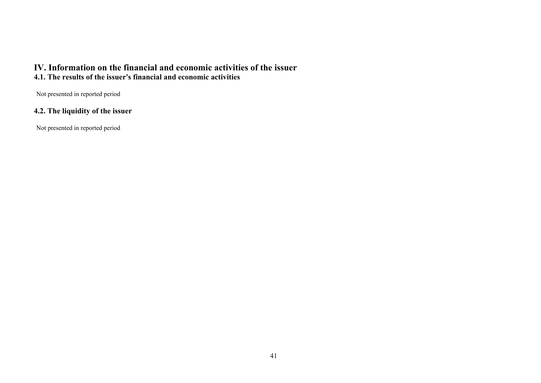# **IV. Information on the financial and economic activities of the issuer 4.1. The results of the issuer's financial and economic activities**

Not presented in reported period

# **4.2. The liquidity of the issuer**

Not presented in reported period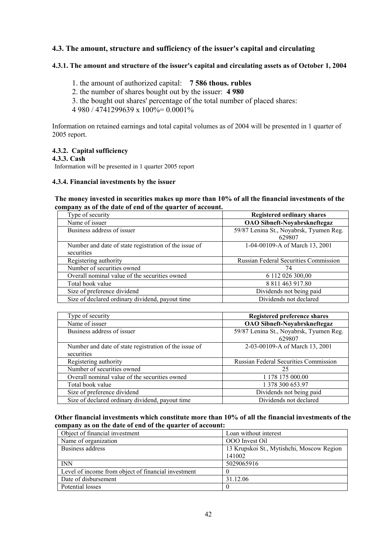# **4.3. The amount, structure and sufficiency of the issuer's capital and circulating**

# **4.3.1. The amount and structure of the issuer's capital and circulating assets as of October 1, 2004**

- 1. the amount of authorized capital: **7 586 thous. rubles**
- 2. the number of shares bought out by the issuer: **4 980**
- 3. the bought out shares' percentage of the total number of placed shares:

 $4.980 / 4741299639 \times 100\% = 0.0001\%$ 

Information on retained earnings and total capital volumes as of 2004 will be presented in 1 quarter of 2005 report.

# **4.3.2. Capital sufficiency**

**4.3.3. Cash** 

Information will be presented in 1 quarter 2005 report

#### **4.3.4. Financial investments by the issuer**

### **The money invested in securities makes up more than 10% of all the financial investments of the company as of the date of end of the quarter of account.**

| Type of security                                      | <b>Registered ordinary shares</b>       |  |  |
|-------------------------------------------------------|-----------------------------------------|--|--|
| Name of issuer                                        | <b>OAO Sibneft-Noyabrskneftegaz</b>     |  |  |
| Business address of issuer                            | 59/87 Lenina St., Noyabrsk, Tyumen Reg. |  |  |
|                                                       | 629807                                  |  |  |
| Number and date of state registration of the issue of | 1-04-00109-A of March 13, 2001          |  |  |
| securities                                            |                                         |  |  |
| Registering authority                                 | Russian Federal Securities Commission   |  |  |
| Number of securities owned                            | 74                                      |  |  |
| Overall nominal value of the securities owned         | 6 112 026 300,00                        |  |  |
| Total book value                                      | 8 811 463 917.80                        |  |  |
| Size of preference dividend                           | Dividends not being paid                |  |  |
| Size of declared ordinary dividend, payout time       | Dividends not declared                  |  |  |

| Type of security                                      | <b>Registered preference shares</b>     |
|-------------------------------------------------------|-----------------------------------------|
| Name of issuer                                        | <b>OAO Sibneft-Noyabrskneftegaz</b>     |
| Business address of issuer                            | 59/87 Lenina St., Noyabrsk, Tyumen Reg. |
|                                                       | 629807                                  |
| Number and date of state registration of the issue of | 2-03-00109-A of March 13, 2001          |
| securities                                            |                                         |
| Registering authority                                 | Russian Federal Securities Commission   |
| Number of securities owned                            | 25                                      |
| Overall nominal value of the securities owned         | 1 178 175 000.00                        |
| Total book value                                      | 1 378 300 653.97                        |
| Size of preference dividend                           | Dividends not being paid                |
| Size of declared ordinary dividend, payout time       | Dividends not declared                  |

### **Other financial investments which constitute more than 10% of all the financial investments of the company as on the date of end of the quarter of account:**

| Object of financial investment                      | Loan without interest                     |
|-----------------------------------------------------|-------------------------------------------|
| Name of organization                                | OOO Invest Oil                            |
| Business address                                    | 13 Krupskoi St., Mytishchi, Moscow Region |
|                                                     | 141002                                    |
| <b>INN</b>                                          | 5029065916                                |
| Level of income from object of financial investment |                                           |
| Date of disbursement                                | 31.12.06                                  |
| Potential losses                                    |                                           |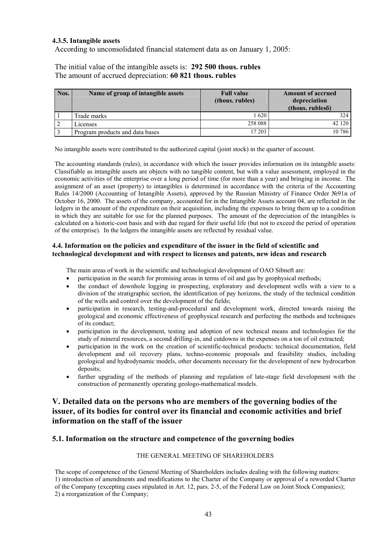## **4.3.5. Intangible assets**

According to unconsolidated financial statement data as on January 1, 2005:

The initial value of the intangible assets is: **292 500 thous. rubles** The amount of accrued depreciation: **60 821 thous. rubles**

| Nos. | Name of group of intangible assets | <b>Full value</b><br>(thous. rubles) | <b>Amount of accrued</b><br>depreciation<br>(thous. rubles <sub>6</sub> ) |
|------|------------------------------------|--------------------------------------|---------------------------------------------------------------------------|
|      | Trade marks                        | 1620                                 | 324                                                                       |
|      | Licenses                           | 258 088                              | 42 120                                                                    |
|      | Program products and data bases    | 17 203                               | 10 786                                                                    |

No intangible assets were contributed to the authorized capital (joint stock) in the quarter of account.

The accounting standards (rules), in accordance with which the issuer provides information on its intangible assets: Classifiable as intangible assets are objects with no tangible content, but with a value assessment, employed in the economic activities of the enterprise over a long period of time (for more than a year) and bringing in income. The assignment of an asset (property) to intangibles is determined in accordance with the criteria of the Accounting Rules 14/2000 (Accounting of Intangible Assets), approved by the Russian Ministry of Finance Order №91н of October 16, 2000. The assets of the company, accounted for in the Intangible Assets account 04, are reflected in the ledgers in the amount of the expenditure on their acquisition, including the expenses to bring them up to a condition in which they are suitable for use for the planned purposes. The amount of the depreciation of the intangibles is calculated on a historic-cost basis and with due regard for their useful life (but not to exceed the period of operation of the enterprise). In the ledgers the intangible assets are reflected by residual value.

#### **4.4. Information on the policies and expenditure of the issuer in the field of scientific and technological development and with respect to licenses and patents, new ideas and research**

The main areas of work in the scientific and technological development of ОАО Sibneft are:

- participation in the search for promising areas in terms of oil and gas by geophysical methods;
- the conduct of downhole logging in prospecting, exploratory and development wells with a view to a division of the stratigraphic section, the identification of pay horizons, the study of the technical condition of the wells and control over the development of the fields;
- participation in research, testing-and-procedural and development work, directed towards raising the geological and economic effectiveness of geophysical research and perfecting the methods and techniques of its conduct;
- participation in the development, testing and adoption of new technical means and technologies for the study of mineral resources, a second drilling-in, and cutdowns in the expenses on a ton of oil extracted;
- participation in the work on the creation of scientific-technical products: technical documentation, field development and oil recovery plans, techno-economic proposals and feasibility studies, including geological and hydrodynamic models, other documents necessary for the development of new hydrocarbon deposits;
- further upgrading of the methods of planning and regulation of late-stage field development with the construction of permanently operating geologo-mathematical models.

# **V. Detailed data on the persons who are members of the governing bodies of the issuer, of its bodies for control over its financial and economic activities and brief information on the staff of the issuer**

## **5.1. Information on the structure and competence of the governing bodies**

# THE GENERAL MEETING OF SHAREHOLDERS

The scope of competence of the General Meeting of Shareholders includes dealing with the following matters:

1) introduction of amendments and modifications to the Charter of the Company or approval of a reworded Charter

of the Company (excepting cases stipulated in Art. 12, pars. 2-5, of the Federal Law on Joint Stock Companies);

<sup>2)</sup> a reorganization of the Company;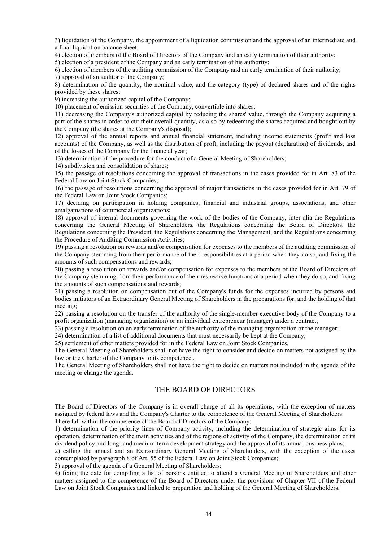3) liquidation of the Company, the appointment of a liquidation commission and the approval of an intermediate and a final liquidation balance sheet;

4) election of members of the Board of Directors of the Company and an early termination of their authority;

5) election of a president of the Company and an early termination of his authority;

6) election of members of the auditing commission of the Company and an early termination of their authority;

7) approval of an auditor of the Company;

8) determination of the quantity, the nominal value, and the category (type) of declared shares and of the rights provided by these shares;

9) increasing the authorized capital of the Company;

10) placement of emission securities of the Company, convertible into shares;

11) decreasing the Company's authorized capital by reducing the shares' value, through the Company acquiring a part of the shares in order to cut their overall quantity, as also by redeeming the shares acquired and bought out by the Company (the shares at the Company's disposal);

12) approval of the annual reports and annual financial statement, including income statements (profit and loss accounts) of the Company, as well as the distribution of proft, including the payout (declaration) of dividends, and of the losses of the Company for the financial year;

13) determination of the procedure for the conduct of a General Meeting of Shareholders;

14) subdivision and consolidation of shares;

15) the passage of resolutions concerning the approval of transactions in the cases provided for in Art. 83 of the Federal Law on Joint Stock Companies;

16) the passage of resolutions concerning the approval of major transactions in the cases provided for in Art. 79 of the Federal Law on Joint Stock Companies;

17) deciding on participation in holding companies, financial and industrial groups, associations, and other amalgamations of commercial organizations;

18) approval of internal documents governing the work of the bodies of the Company, inter alia the Regulations concerning the General Meeting of Shareholders, the Regulations concerning the Board of Directors, the Regulations concerning the President, the Regulations concerning the Management, and the Regulations concerning the Procedure of Auditing Commission Activities;

19) passing a resolution on rewards and/or compensation for expenses to the members of the auditing commission of the Company stemming from their performance of their responsibilities at a period when they do so, and fixing the amounts of such compensations and rewards;

20) passing a resolution on rewards and/or compensation for expenses to the members of the Board of Directors of the Company stemming from their performance of their respective functions at a period when they do so, and fixing the amounts of such compensations and rewards;

21) passing a resolution on compensation out of the Company's funds for the expenses incurred by persons and bodies initiators of an Extraordinary General Meeting of Shareholders in the preparations for, and the holding of that meeting;

22) passing a resolution on the transfer of the authority of the single-member executive body of the Company to a profit organization (managing organization) or an individual entrepreneur (manager) under a contract;

23) passing a resolution on an early termination of the authority of the managing organization or the manager;

24) determination of a list of additional documents that must necessarily be kept at the Company;

25) settlement of other matters provided for in the Federal Law on Joint Stock Companies.

The General Meeting of Shareholders shall not have the right to consider and decide on matters not assigned by the law or the Charter of the Company to its competence..

The General Meeting of Shareholders shall not have the right to decide on matters not included in the agenda of the meeting or change the agenda.

# THE BOARD OF DIRECTORS

The Board of Directors of the Company is in overall charge of all its operations, with the exception of matters assigned by federal laws and the Company's Charter to the competence of the General Meeting of Shareholders. There fall within the competence of the Board of Directors of the Company:

1) determination of the priority lines of Company activity, including the determination of strategic aims for its operation, determination of the main activities and of the regions of activity of the Company, the determination of its dividend policy and long- and medium-term development strategy and the approval of its annual business plans;

2) calling the annual and an Extraordinary General Meeting of Shareholders, with the exception of the cases contemplated by paragraph 8 of Art. 55 of the Federal Law on Joint Stock Companies;

3) approval of the agenda of a General Meeting of Shareholders;

4) fixing the date for compiling a list of persons entitled to attend a General Meeting of Shareholders and other matters assigned to the competence of the Board of Directors under the provisions of Chapter VII of the Federal Law on Joint Stock Companies and linked to preparation and holding of the General Meeting of Shareholders;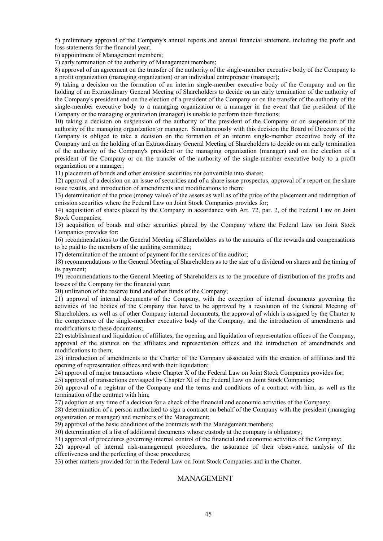5) preliminary approval of the Company's annual reports and annual financial statement, including the profit and loss statements for the financial year;

6) appointment of Management members;

7) early termination of the authority of Management members;

8) approval of an agreement on the transfer of the authority of the single-member executive body of the Company to a profit organization (managing organization) or an individual entrepreneur (manager);

9) taking a decision on the formation of an interim single-member executive body of the Company and on the holding of an Extraordinary General Meeting of Shareholders to decide on an early termination of the authority of the Company's president and on the election of a president of the Company or on the transfer of the authority of the single-member executive body to a managing organization or a manager in the event that the president of the Company or the managing organization (manager) is unable to perform their functions;

10) taking a decision on suspension of the authority of the president of the Company or on suspension of the authority of the managing organization or manager. Simultaneously with this decision the Board of Directors of the Company is obliged to take a decision on the formation of an interim single-member executive body of the Company and on the holding of an Extraordinary General Meeting of Shareholders to decide on an early termination of the authority of the Company's president or the managing organization (manager) and on the election of a president of the Company or on the transfer of the authority of the single-member executive body to a profit organization or a manager;

11) placement of bonds and other emission securities not convertible into shares;

12) approval of a decision on an issue of securities and of a share issue prospectus, approval of a report on the share issue results, and introduction of amendments and modifications to them;

13) determination of the price (money value) of the assets as well as of the price of the placement and redemption of emission securities where the Federal Law on Joint Stock Companies provides for;

14) acquisition of shares placed by the Company in accordance with Art. 72, par. 2, of the Federal Law on Joint Stock Companies;

15) acquisition of bonds and other securities placed by the Company where the Federal Law on Joint Stock Companies provides for;

16) recommendations to the General Meeting of Shareholders as to the amounts of the rewards and compensations to be paid to the members of the auditing committee;

17) determination of the amount of payment for the services of the auditor;

18) recommendations to the General Meeting of Shareholders as to the size of a dividend on shares and the timing of its payment;

19) recommendations to the General Meeting of Shareholders as to the procedure of distribution of the profits and losses of the Company for the financial year;

20) utilization of the reserve fund and other funds of the Company;

21) approval of internal documents of the Company, with the exception of internal documents governing the activities of the bodies of the Company that have to be approved by a resolution of the General Meeting of Shareholders, as well as of other Company internal documents, the approval of which is assigned by the Charter to the competence of the single-member executive body of the Company, and the introduction of amendments and modifications to these documents;

22) establishment and liquidation of affiliates, the opening and liquidation of representation offices of the Company, approval of the statutes on the affiliates and representation offices and the introduction of amendmends and modifications to them;

23) introduction of amendments to the Charter of the Company associated with the creation of affiliates and the opening of representation offices and with their liquidation;

24) approval of major transactions where Chapter X of the Federal Law on Joint Stock Companies provides for;

25) approval of transactions envisaged by Chapter XI of the Federal Law on Joint Stock Companies;

26) approval of a registrar of the Company and the terms and conditions of a contract with him, as well as the termination of the contract with him;

27) adoption at any time of a decision for a check of the financial and economic activities of the Company;

28) determination of a person authorized to sign a contract on behalf of the Company with the president (managing organization or manager) and members of the Management;

29) approval of the basic conditions of the contracts with the Management members;

30) determination of a list of additional documents whose custody at the company is obligatory;

31) approval of procedures governing internal control of the financial and economic activities of the Company;

32) approval of internal risk-management procedures, the assurance of their observance, analysis of the effectiveness and the perfecting of those procedures;

33) other matters provided for in the Federal Law on Joint Stock Companies and in the Charter.

# MANAGEMENT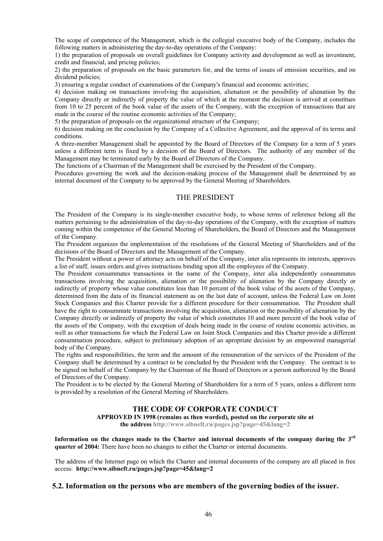The scope of competence of the Management, which is the collegial executive body of the Company, includes the following matters in administering the day-to-day operations of the Company:

1) the preparation of proposals on overall guidelines for Company activity and development as well as investment, credit and financial, and pricing policies;

2) the preparation of proposals on the basic parameters for, and the terms of issues of emission securities, and on dividend policies;

3) ensuring a regular conduct of examinations of the Company's financial and economic activities;

4) decision making on transactions involving the acquisition, alienation or the possibility of alienation by the Company directly or indirectly of property the value of which at the moment the decision is arrived at constitues from 10 to 25 percent of the book value of the assets of the Company, with the exception of transactions that are made in the course of the routine economic activities of the Company;

5) the preparation of proposals on the organizational structure of the Company;

6) decision making on the conclusion by the Company of a Collective Agreement, and the approval of its terms and conditions.

A three-member Management shall be appointed by the Board of Directors of the Company for a term of 5 years unless a different term is fixed by a decision of the Board of Directors. The authority of any member of the Management may be terminated early by the Board of Directors of the Company.

The functions of a Chairman of the Management shall be exercised by the President of the Company.

Procedures governing the work and the decision-making process of the Management shall be determined by an internal document of the Company to be approved by the General Meeting of Shareholders.

### THE PRESIDENT

The President of the Company is its single-member executive body, to whose terms of reference belong all the matters pertaining to the administration of the day-to-day operations of the Company, with the exception of matters coming within the competence of the General Meeting of Shareholders, the Board of Directors and the Management of the Company.

The President organizes the implementation of the resolutions of the General Meeting of Shareholders and of the decisions of the Board of Directors and the Management of the Company.

The President without a power of attorney acts on behalf of the Company, inter alia represents its interests, approves a list of staff, issues orders and gives instructions binding upon all the employees of the Company.

The President consummates transactions in the name of the Company, inter alia independently consummates transactions involving the acquisition, alienation or the possibility of alienation by the Company directly or indirectly of property whose value constitutes less than 10 percent of the book value of the assets of the Company, determined from the data of its financial statement as on the last date of account, unless the Federal Law on Joint Stock Companies and this Charter provide for a different procedure for their consummation. The President shall have the right to consummate transactions involving the acquisition, alienation or the possibility of alienation by the Company directly or indirectly of property the value of which constitutes 10 and more percent of the book value of the assets of the Company, with the exception of deals being made in the course of routine economic activities, as well as other transactions for which the Federal Law on Joint Stock Companies and this Charter provide a different consummation procedure, subject to preliminary adoption of an apropriate decision by an empowered managerial body of the Company.

The rights and responsibilities, the term and the amount of the remuneration of the services of the President of the Company shall be determined by a contract to be concluded by the President with the Company. The contract is to be signed on behalf of the Company by the Chairman of the Board of Directors or a person authorized by the Board of Directors of the Company.

The President is to be elected by the General Meeting of Shareholders for a term of 5 years, unless a different term is provided by a resolution of the General Meeting of Shareholders.

# **THE CODE OF CORPORATE CONDUCT**

**APPROVED IN 1998 (remains as then worded), posted on the corporate site at** 

**the address http://www.sibneft.ru/pages.jsp?page=45&lang=2**

**Information on the changes made to the Charter and internal documents of the company during the 3rd quarter of 2004:** There have been no changes to either the Charter or internal documents.

The address of the Internet page on which the Charter and internal documents of the company are all placed in free access: **http://www.sibneft.ru/pages.jsp?page=45&lang=2**

#### **5.2. Information on the persons who are members of the governing bodies of the issuer.**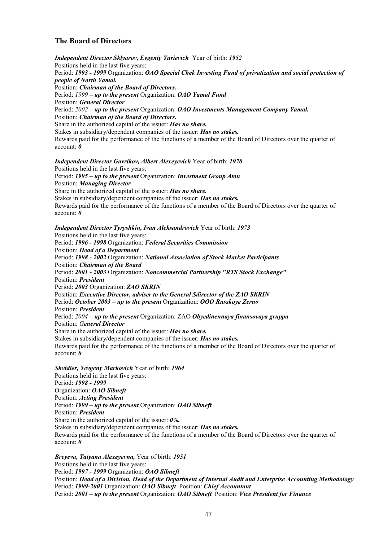# **The Board of Directors**

*Independent Director Sklyarov, Evgeniy Yurievich* Year of birth: *1952* Positions held in the last five years: Period: *1993 - 1999* Organization: *ОАО Special Chek Investing Fund of privatization and social protection of people of North Yamal.*  Position: *Chairman of the Board of Directors.* Period: *1999 – up to the present* Organization: *ОАО Yamal Fund* Position: *General Director*  Period: *2002 – up to the present* Organization: *ОАО Investments Management Company Yamal.* Position: *Chairman of the Board of Directors.* Share in the authorized capital of the issuer: *Has no share.*  Stakes in subsidiary/dependent companies of the issuer: *Has no stakes.*  Rewards paid for the performance of the functions of a member of the Board of Directors over the quarter of account: *0*

#### *Independent Director Gavrikov, Albert Alexeyevich* Year of birth: *1970*

Positions held in the last five years: Period: *1995 – up to the present* Organization: *Investment Group Aton* Position: *Managing Director*  Share in the authorized capital of the issuer: *Has no share.*  Stakes in subsidiary/dependent companies of the issuer: *Has no stakes.*  Rewards paid for the performance of the functions of a member of the Board of Directors over the quarter of account: *0*

#### *Independent Director Tyryshkin, Ivan Aleksandrovich* Year of birth: *1973*

Positions held in the last five years: Period: *1996 - 1998* Organization: *Federal Securities Commission* Position: *Head of a Department* Period: *1998 - 2002* Organization: *National Association of Stock Market Participants* Position: *Chairman of the Board* Period: *2001 - 2003* Organization: *Noncommercial Partnership "RTS Stock Exchange"* Position: *President* Period: *2003* Organization: *ZAO SKRIN* Position: *Executive Director, adviser to the General Sdirector of the ZAO SKRIN* Period: *October 2003 – up to the present* Organization: *OOO Russkoye Zerno* Position: *President*  Period: *2004 – up to the present* Organization: ZAO *Obyedinennaya finansovaya gruppa* Position: *General Director*  Share in the authorized capital of the issuer: *Has no share.*  Stakes in subsidiary/dependent companies of the issuer: *Has no stakes.*  Rewards paid for the performance of the functions of a member of the Board of Directors over the quarter of account: *0*

#### *Shvidler, Yevgeny Markovich* Year of birth: *1964*

Positions held in the last five years: Period: *1998 - 1999*  Organization: *ОАО Sibneft* Position: *Acting President* Period: *1999 – up to the present* Organization: *OAO Sibneft* Position: *President*  Share in the authorized capital of the issuer: *0%.*  Stakes in subsidiary/dependent companies of the issuer: *Has no stakes.*  Rewards paid for the performance of the functions of a member of the Board of Directors over the quarter of account: *0*

*Breyeva, Tatyana Alexeyevna,* Year of birth: *1951* Positions held in the last five years: Period: *1997 - 1999* Organization: *ОАО Sibneft* Position: *Head of a Division, Head of the Department of Internal Audit and Enterprise Accounting Methodology* Period: *1999-2001* Organization: *OAO Sibneft* Position: *Chief Accountant* Period: *2001 – up to the present* Organization: *OAO Sibneft* Position: *Vice President for Finance*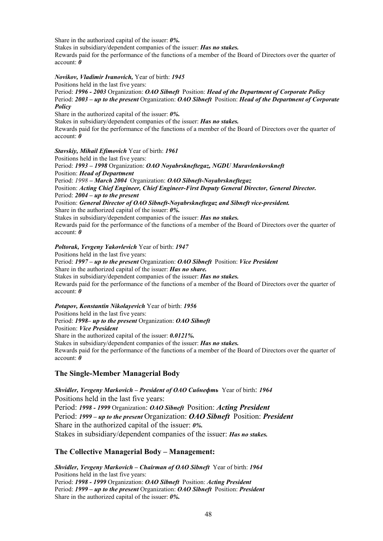Share in the authorized capital of the issuer: *0%.* 

Stakes in subsidiary/dependent companies of the issuer: *Has no stakes.* 

Rewards paid for the performance of the functions of a member of the Board of Directors over the quarter of account: *0*

#### *Novikov, Vladimir Ivanovich,* Year of birth: *1945*

Positions held in the last five years:

Period: *1996 - 2003* Organization: *ОАО Sibneft* Position: *Head of the Department of Corporate Policy* Period: *2003 – up to the present* Organization: *OAO Sibneft* Position: *Head of the Department of Corporate Policy* 

Share in the authorized capital of the issuer: *0%.* 

Stakes in subsidiary/dependent companies of the issuer: *Has no stakes.* 

Rewards paid for the performance of the functions of a member of the Board of Directors over the quarter of account: *0* 

*Stavskiy, Mihail Efimovich* Year of birth: *1961*

Positions held in the last five years: Period: *1993 – 1998* Organization: *ОАО Noyabrskneftegaz, NGDU Muravlenkovskneft*  Position: *Head of Department* Period: *1998 – March 2004* Organization: *OAO Sibneft-Noyabrskneftegaz*  Position: *Acting Chief Engineer, Chief Engineer-First Deputy General Director, General Director.*  Period: *2004 – up to the present*  Position: *General Director of OAO Sibneft-Noyabrskneftegaz and Sibneft vice-president.* Share in the authorized capital of the issuer: *0%.*  Stakes in subsidiary/dependent companies of the issuer: *Has no stakes.*  Rewards paid for the performance of the functions of a member of the Board of Directors over the quarter of account: *0*

*Poltorak, Yevgeny Yakovlevich* Year of birth: *1947*

Positions held in the last five years: Period: *1997 – up to the present* Organization: *OAO Sibneft* Position: *Vice President*  Share in the authorized capital of the issuer: *Has no share.*  Stakes in subsidiary/dependent companies of the issuer: *Has no stakes.*  Rewards paid for the performance of the functions of a member of the Board of Directors over the quarter of account: *0* 

*Potapov, Konstantin Nikolayevich* Year of birth: *1956* Positions held in the last five years: Period: *1998– up to the present* Organization: *OAO Sibneft* Position: *Vice President*  Share in the authorized capital of the issuer: *0.0121%.* Stakes in subsidiary/dependent companies of the issuer: *Has no stakes.*  Rewards paid for the performance of the functions of a member of the Board of Directors over the quarter of account: *0*

## **The Single-Member Managerial Body**

*Shvidler, Yevgeny Markovich – President of OAO Сибнефть* Year of birth: *1964* Positions held in the last five years: Period: *1998 - 1999* Organization: *ОАО Sibneft* Position: *Acting President* Period: *1999 – up to the present* Organization: *OAO Sibneft* Position: *President* Share in the authorized capital of the issuer: *0%.*  Stakes in subsidiary/dependent companies of the issuer: *Has no stakes.* 

## **The Collective Managerial Body – Management:**

*Shvidler, Yevgeny Markovich – Chairman of ОАО Sibneft* Year of birth: *1964* Positions held in the last five years: Period: *1998 - 1999* Organization: *ОАО Sibneft* Position: *Acting President* Period: *1999 – up to the present* Organization: *OAO Sibneft* Position: *President*  Share in the authorized capital of the issuer: *0%.*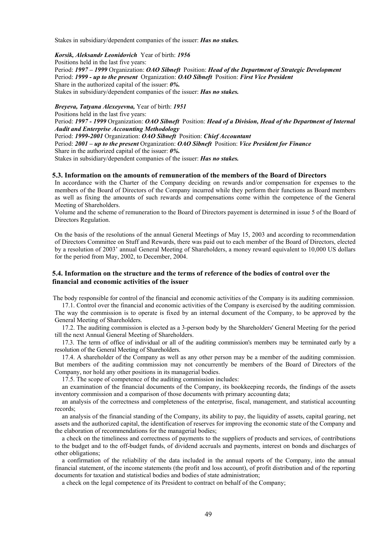Stakes in subsidiary/dependent companies of the issuer: *Has no stakes.* 

*Korsik, Aleksandr Leonidovich* Year of birth: *1956* Positions held in the last five years: Period: *1997 – 1999* Organization: *ОАО Sibneft* Position: *Head of the Department of Strategic Development* Period: *1999 - up to the present* Оrganization: *ОАО Sibneft* Position: *First Vice President* Share in the authorized capital of the issuer: *0%.*  Stakes in subsidiary/dependent companies of the issuer: *Has no stakes.* 

*Breyeva, Tatyana Alexeyevna,* Year of birth: *1951* Positions held in the last five years: Period: *1997 - 1999* Organization: *ОАО Sibneft* Position: *Head of a Division, Head of the Department of Internal Audit and Enterprise Accounting Methodology* Period: *1999-2001* Organization: *OAO Sibneft* Position: *Chief Accountant* Period: *2001 – up to the present* Organization: *OAO Sibneft* Position: *Vice President for Finance* Share in the authorized capital of the issuer: *0%.*  Stakes in subsidiary/dependent companies of the issuer: *Has no stakes.* 

#### **5.3. Information on the amounts of remuneration of the members of the Board of Directors**

In accordance with the Charter of the Company deciding on rewards and/or compensation for expenses to the members of the Board of Directors of the Company incurred while they perform their functions as Board members as well as fixing the amounts of such rewards and compensations come within the competence of the General Meeting of Shareholders.

Volume and the scheme of remuneration to the Board of Directors payement is determined in issue 5 of the Board of Directors Regulation.

On the basis of the resolutions of the annual General Meetings of May 15, 2003 and according to recommendation of Directors Committee on Stuff and Rewards, there was paid out to each member of the Board of Directors, elected by a resolution of 2003' annual General Meeting of Shareholders, a money reward equivalent to 10,000 US dollars for the period from May, 2002, to December, 2004.

# **5.4. Information on the structure and the terms of reference of the bodies of control over the financial and economic activities of the issuer**

The body responsible for control of the financial and economic activities of the Company is its auditing commission.

17.1. Control over the financial and economic activities of the Company is exercised by the auditing commission. The way the commission is to operate is fixed by an internal document of the Company, to be approved by the General Meeting of Shareholders.

17.2. The auditing commission is elected as a 3-person body by the Shareholders' General Meeting for the period till the next Annual General Meeting of Shareholders.

17.3. The term of office of individual or all of the auditing commission's members may be terminated early by a resolution of the General Meeting of Shareholders.

17.4. A shareholder of the Company as well as any other person may be a member of the auditing commission. But members of the auditing commission may not concurrently be members of the Board of Directors of the Company, nor hold any other positions in its managerial bodies.

17.5. The scope of competence of the auditing commission includes:

an examination of the financial documents of the Company, its bookkeeping records, the findings of the assets inventory commission and a comparison of those documents with primary accounting data;

an analysis of the correctness and completeness of the enterprise, fiscal, management, and statistical accounting records;

an analysis of the financial standing of the Company, its ability to pay, the liquidity of assets, capital gearing, net assets and the authorized capital, the identification of reserves for improving the economic state of the Company and the elaboration of recommendations for the managerial bodies;

a check on the timeliness and correctness of payments to the suppliers of products and services, of contributions to the budget and to the off-budget funds, of dividend accruals and payments, interest on bonds and discharges of other obligations;

a confirmation of the reliability of the data included in the annual reports of the Company, into the annual financial statement, of the income statements (the profit and loss account), of profit distribution and of the reporting documents for taxation and statistical bodies and bodies of state administration;

a check on the legal competence of its President to contract on behalf of the Company;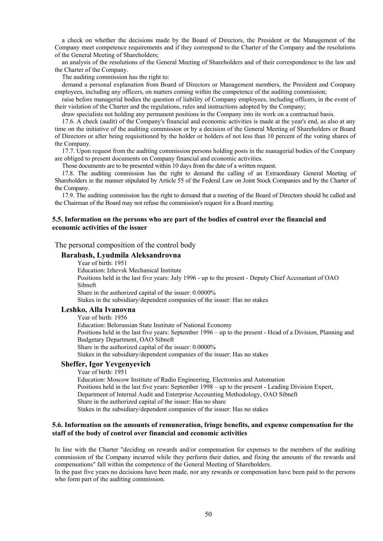a check on whether the decisions made by the Board of Directors, the President or the Management of the Company meet competence requirements and if they correspond to the Charter of the Company and the resolutions of the General Meeting of Shareholders;

an analysis of the resolutions of the General Meeting of Shareholders and of their correspondence to the law and the Charter of the Company.

The auditing commission has the right to:

demand a personal explanation from Board of Directors or Management members, the President and Company employees, including any officers, on matters coming within the competence of the auditing commission;

raise before managerial bodies the question of liability of Company employees, including officers, in the event of their violation of the Charter and the regulations, rules and instructions adopted by the Company;

draw specialists not holding any permanent positions in the Company into its work on a contractual basis.

17.6. A check (audit) of the Company's financial and economic activities is made at the year's end, as also at any time on the initiative of the auditing commission or by a decision of the General Meeting of Shareholders or Board of Directors or after being requisitioned by the holder or holders of not less than 10 percent of the voting shares of the Company.

17.7. Upon request from the auditing commission persons holding posts in the managerial bodies of the Company are obliged to present documents on Company financial and economic activities.

Those documents are to be presented within 10 days from the date of a written request.

17.8. The auditing commission has the right to demand the calling of an Extraordinary General Meeting of Shareholders in the manner stipulated by Article 55 of the Federal Law on Joint Stock Companies and by the Charter of the Company.

17.9. The auditing commission has the right to demand that a meeting of the Board of Directors should be called and the Chairman of the Board may not refuse the commission's request for a Board meeting.

#### **5.5. Information on the persons who are part of the bodies of control over the financial and economic activities of the issuer**

The personal composition of the control body

# **Barabash, Lyudmila Aleksandrovna**

Year of birth: 1951

Education: Izhevsk Mechanical Institute

Positions held in the last five years: July 1996 - up to the present - Deputy Chief Accountant of OAO Sibneft

Share in the authorized capital of the issuer: 0.0000%

Stakes in the subsidiary/dependent companies of the issuer: Has no stakes

#### **Leshko, Alla Ivanovna**

Year of birth: 1956

Education: Belorussian State Institute of National Economy

Positions held in the last five years: September 1996 – up to the present - Head of a Division, Planning and Budgetary Department, OAO Sibneft

Share in the authorized capital of the issuer: 0.0000%

Stakes in the subsidiary/dependent companies of the issuer: Has no stakes

# **Sheffer, Igor Yevgenyevich**

Year of birth: 1951

Education: Moscow Institute of Radio Engineering, Electronics and Automation Positions held in the last five years: September 1998 – up to the present - Leading Division Expert, Department of Internal Audit and Enterprise Accounting Methodology, OAO Sibneft Share in the authorized capital of the issuer: Has no share Stakes in the subsidiary/dependent companies of the issuer: Has no stakes

#### **5.6. Information on the amounts of remuneration, fringe benefits, and expense compensation for the staff of the body of control over financial and economic activities**

In line with the Charter "deciding on rewards and/or compensation for expenses to the members of the auditing commission of the Company incurred while they perform their duties, and fixing the amounts of the rewards and compensations" fall within the competence of the General Meeting of Shareholders.

In the past five years no decisions have been made, nor any rewards or compensation have been paid to the persons who form part of the auditing commission.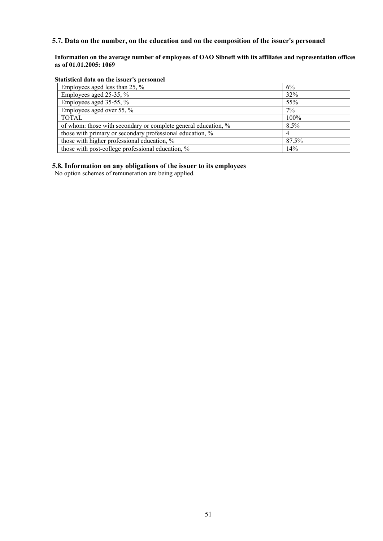# **5.7. Data on the number, on the education and on the composition of the issuer's personnel**

**Information on the average number of employees of OAO Sibneft with its affiliates and representation offices as of 01.01.2005: 1069** 

#### **Statistical data on the issuer's personnel**

| Employees aged less than 25, %                                 | 6%    |
|----------------------------------------------------------------|-------|
| Employees aged 25-35, %                                        | 32%   |
| Employees aged $35-55$ , %                                     | 55%   |
| Employees aged over 55, %                                      | 7%    |
| <b>TOTAL</b>                                                   | 100%  |
| of whom: those with secondary or complete general education, % | 8.5%  |
| those with primary or secondary professional education, %      |       |
| those with higher professional education, %                    | 87.5% |
| those with post-college professional education, %              | 14%   |

#### **5.8. Information on any obligations of the issuer to its employees**

No option schemes of remuneration are being applied.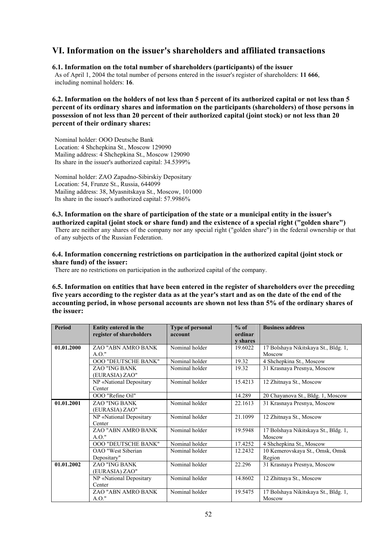# **VI. Information on the issuer's shareholders and affiliated transactions**

### **6.1. Information on the total number of shareholders (participants) of the issuer**

As of April 1, 2004 the total number of persons entered in the issuer's register of shareholders: **11 666**, including nominal holders: **16**.

**6.2. Information on the holders of not less than 5 percent of its authorized capital or not less than 5 percent of its ordinary shares and information on the participants (shareholders) of those persons in possession of not less than 20 percent of their authorized capital (joint stock) or not less than 20 percent of their ordinary shares:** 

Nominal holder: OOO Deutsche Bank Location: 4 Shchepkina St., Moscow 129090 Mailing address: 4 Shchepkina St., Moscow 129090 Its share in the issuer's authorized capital: 34.5399%

Nominal holder: ZAO Zapadno-Sibirskiy Depositary Location: 54, Frunze St., Russia, 644099 Mailing address: 38, Myasnitskaya St., Moscow, 101000 Its share in the issuer's authorized capital: 57.9986%

# **6.3. Information on the share of participation of the state or a municipal entity in the issuer's**

**authorized capital (joint stock or share fund) and the existence of a special right ("golden share")**  There are neither any shares of the company nor any special right ("golden share") in the federal ownership or that of any subjects of the Russian Federation.

# **6.4. Information concerning restrictions on participation in the authorized capital (joint stock or share fund) of the issuer:**

There are no restrictions on participation in the authorized capital of the company.

**6.5. Information on entities that have been entered in the register of shareholders over the preceding five years according to the register data as at the year's start and as on the date of the end of the accounting period, in whose personal accounts are shown not less than 5% of the ordinary shares of the issuer:** 

| <b>Period</b> | Entity entered in the<br>register of shareholders | <b>Type of personal</b><br>account | $%$ of<br>ordinar | <b>Business address</b>              |
|---------------|---------------------------------------------------|------------------------------------|-------------------|--------------------------------------|
|               |                                                   |                                    | <b>v</b> shares   |                                      |
| 01.01.2000    | ZAO "ABN AMRO BANK                                | Nominal holder                     | 19.6022           | 17 Bolshaya Nikitskaya St., Bldg. 1, |
|               | A.O."                                             |                                    |                   | Moscow                               |
|               | <b>OOO "DEUTSCHE BANK"</b>                        | Nominal holder                     | 19.32             | 4 Shchepkina St., Moscow             |
|               | <b>ZAO "ING BANK</b>                              | Nominal holder                     | 19.32             | 31 Krasnaya Presnya, Moscow          |
|               | (EURASIA) ZAO"                                    |                                    |                   |                                      |
|               | NP «National Depositary                           | Nominal holder                     | 15.4213           | 12 Zhitnaya St., Moscow              |
|               | Center                                            |                                    |                   |                                      |
|               | OOO "Refine Oil"                                  |                                    | 14.289            | 20 Chayanova St., Bldg. 1, Moscow    |
| 01.01.2001    | <b>ZAO "ING BANK</b>                              | Nominal holder                     | 22.1613           | 31 Krasnaya Presnya, Moscow          |
|               | (EURASIA) ZAO"                                    |                                    |                   |                                      |
|               | NP «National Depositary                           | Nominal holder                     | 21.1099           | 12 Zhitnaya St., Moscow              |
|               | Center                                            |                                    |                   |                                      |
|               | ZAO "ABN AMRO BANK                                | Nominal holder                     | 19.5948           | 17 Bolshaya Nikitskaya St., Bldg. 1, |
|               | $A.O.$ "                                          |                                    |                   | Moscow                               |
|               | <b>OOO "DEUTSCHE BANK"</b>                        | Nominal holder                     | 17.4252           | 4 Shchepkina St., Moscow             |
|               | <b>OAO</b> "West Siberian"                        | Nominal holder                     | 12.2432           | 10 Kemerovskaya St., Omsk, Omsk      |
|               | Depositary"                                       |                                    |                   | Region                               |
| 01.01.2002    | <b>ZAO "ING BANK</b>                              | Nominal holder                     | 22.296            | 31 Krasnaya Presnya, Moscow          |
|               | (EURASIA) ZAO"                                    |                                    |                   |                                      |
|               | NP «National Depositary                           | Nominal holder                     | 14.8602           | 12 Zhitnaya St., Moscow              |
|               | Center                                            |                                    |                   |                                      |
|               | ZAO "ABN AMRO BANK                                | Nominal holder                     | 19.5475           | 17 Bolshaya Nikitskaya St., Bldg. 1, |
|               | A.O."                                             |                                    |                   | Moscow                               |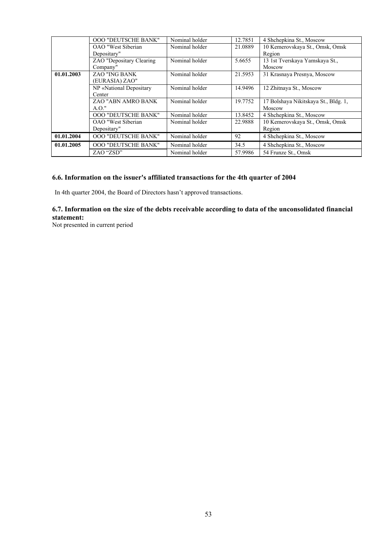|            | <b>OOO "DEUTSCHE BANK"</b> | Nominal holder | 12.7851 | 4 Shchepkina St., Moscow             |
|------------|----------------------------|----------------|---------|--------------------------------------|
|            | OAO "West Siberian         | Nominal holder | 21.0889 | 10 Kemerovskaya St., Omsk, Omsk      |
|            | Depositary"                |                |         | Region                               |
|            | ZAO "Depositary Clearing   | Nominal holder | 5.6655  | 13 1st Tverskaya Yamskaya St.,       |
|            | Company"                   |                |         | Moscow                               |
| 01.01.2003 | <b>ZAO "ING BANK</b>       | Nominal holder | 21.5953 | 31 Krasnaya Presnya, Moscow          |
|            | (EURASIA) ZAO"             |                |         |                                      |
|            | NP «National Depositary    | Nominal holder | 14.9496 | 12 Zhitnaya St., Moscow              |
|            | Center                     |                |         |                                      |
|            | ZAO "ABN AMRO BANK"        | Nominal holder | 19.7752 | 17 Bolshaya Nikitskaya St., Bldg. 1, |
|            | $A.O.$ "                   |                |         | Moscow                               |
|            | <b>OOO "DEUTSCHE BANK"</b> | Nominal holder | 13.8452 | 4 Shchepkina St., Moscow             |
|            | OAO "West Siberian         | Nominal holder | 22.9888 | 10 Kemerovskaya St., Omsk, Omsk      |
|            | Depositary"                |                |         | Region                               |
| 01.01.2004 | <b>OOO "DEUTSCHE BANK"</b> | Nominal holder | 92      | 4 Shchepkina St., Moscow             |
| 01.01.2005 | <b>OOO "DEUTSCHE BANK"</b> | Nominal holder | 34.5    | 4 Shchepkina St., Moscow             |
|            | ZAO "ZSD"                  | Nominal holder | 57.9986 | 54 Frunze St., Omsk                  |

# **6.6. Information on the issuer's affiliated transactions for the 4th quarter of 2004**

In 4th quarter 2004, the Board of Directors hasn't approved transactions.

# **6.7. Information on the size of the debts receivable according to data of the unconsolidated financial statement:**

Not presented in current period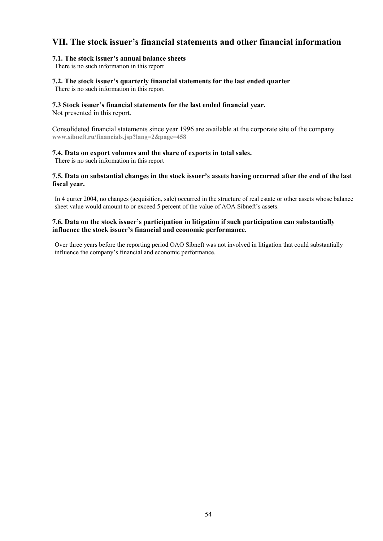# **VII. The stock issuer's financial statements and other financial information**

### **7.1. The stock issuer's annual balance sheets**

There is no such information in this report

# **7.2. The stock issuer's quarterly financial statements for the last ended quarter**

There is no such information in this report

#### **7.3 Stock issuer's financial statements for the last ended financial year.**

Not presented in this report.

Consolideted financial statements since year 1996 are available at the corporate site of the company **www.sibneft.ru/financials.jsp?lang=2&page=458**

#### **7.4. Data on export volumes and the share of exports in total sales.**

There is no such information in this report

### **7.5. Data on substantial changes in the stock issuer's assets having occurred after the end of the last fiscal year.**

In 4 qurter 2004, no changes (acquisition, sale) occurred in the structure of real estate or other assets whose balance sheet value would amount to or exceed 5 percent of the value of AOA Sibneft's assets.

# **7.6. Data on the stock issuer's participation in litigation if such participation can substantially influence the stock issuer's financial and economic performance.**

Over three years before the reporting period OAO Sibneft was not involved in litigation that could substantially influence the company's financial and economic performance.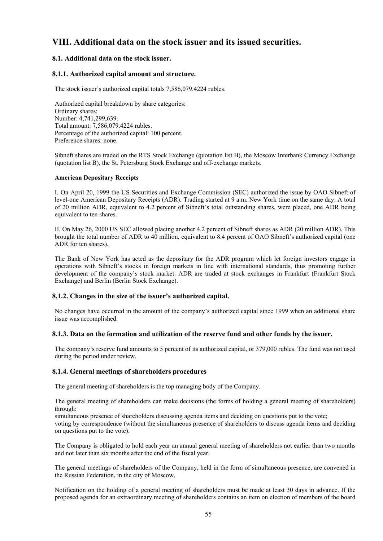# **VIII. Additional data on the stock issuer and its issued securities.**

# **8.1. Additional data on the stock issuer.**

### **8.1.1. Authorized capital amount and structure.**

The stock issuer's authorized capital totals 7,586,079.4224 rubles.

Authorized capital breakdown by share categories: Ordinary shares: Number: 4,741,299,639. Total amount: 7,586,079.4224 rubles. Percentage of the authorized capital: 100 percent. Preference shares: none.

Sibneft shares are traded on the RTS Stock Exchange (quotation list B), the Moscow Interbank Currency Exchange (quotation list B), the St. Petersburg Stock Exchange and off-exchange markets.

#### **American Depositary Receipts**

I. On April 20, 1999 the US Securities and Exchange Commission (SEC) authorized the issue by OAO Sibneft of level-one American Depositary Receipts (ADR). Trading started at 9 a.m. New York time on the same day. A total of 20 million ADR, equivalent to 4.2 percent of Sibneft's total outstanding shares, were placed, one ADR being equivalent to ten shares.

II. On May 26, 2000 US SEC allowed placing another 4.2 percent of Sibneft shares as ADR (20 million ADR). This brought the total number of ADR to 40 million, equivalent to 8.4 percent of OAO Sibneft's authorized capital (one ADR for ten shares).

The Bank of New York has acted as the depositary for the ADR program which let foreign investors engage in operations with Sibneft's stocks in foreign markets in line with international standards, thus promoting further development of the company's stock market. ADR are traded at stock exchanges in Frankfurt (Frankfurt Stock Exchange) and Berlin (Berlin Stock Exchange).

#### **8.1.2. Changes in the size of the issuer's authorized capital.**

No changes have occurred in the amount of the company's authorized capital since 1999 when an additional share issue was accomplished.

#### **8.1.3. Data on the formation and utilization of the reserve fund and other funds by the issuer.**

The company's reserve fund amounts to 5 percent of its authorized capital, or 379,000 rubles. The fund was not used during the period under review.

#### **8.1.4. General meetings of shareholders procedures**

The general meeting of shareholders is the top managing body of the Company.

The general meeting of shareholders can make decisions (the forms of holding a general meeting of shareholders) through:

simultaneous presence of shareholders discussing agenda items and deciding on questions put to the vote; voting by correspondence (without the simultaneous presence of shareholders to discuss agenda items and deciding on questions put to the vote).

The Company is obligated to hold each year an annual general meeting of shareholders not earlier than two months and not later than six months after the end of the fiscal year.

The general meetings of shareholders of the Company, held in the form of simultaneous presence, are convened in the Russian Federation, in the city of Moscow.

Notification on the holding of a general meeting of shareholders must be made at least 30 days in advance. If the proposed agenda for an extraordinary meeting of shareholders contains an item on election of members of the board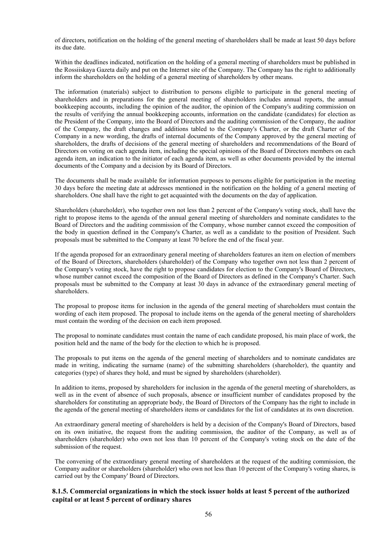of directors, notification on the holding of the general meeting of shareholders shall be made at least 50 days before its due date.

Within the deadlines indicated, notification on the holding of a general meeting of shareholders must be published in the Rossiiskaya Gazeta daily and put on the Internet site of the Company. The Company has the right to additionally inform the shareholders on the holding of a general meeting of shareholders by other means.

The information (materials) subject to distribution to persons eligible to participate in the general meeting of shareholders and in preparations for the general meeting of shareholders includes annual reports, the annual bookkeeping accounts, including the opinion of the auditor, the opinion of the Company's auditing commission on the results of verifying the annual bookkeeping accounts, information on the candidate (candidates) for election as the President of the Company, into the Board of Directors and the auditing commission of the Company, the auditor of the Company, the draft changes and additions tabled to the Company's Charter, or the draft Charter of the Company in a new wording, the drafts of internal documents of the Company approved by the general meeting of shareholders, the drafts of decisions of the general meeting of shareholders and recommendations of the Board of Directors on voting on each agenda item, including the special opinions of the Board of Directors members on each agenda item, an indication to the initiator of each agenda item, as well as other documents provided by the internal documents of the Company and a decision by its Board of Directors.

The documents shall be made available for information purposes to persons eligible for participation in the meeting 30 days before the meeting date at addresses mentioned in the notification on the holding of a general meeting of shareholders. One shall have the right to get acquainted with the documents on the day of application.

Shareholders (shareholder), who together own not less than 2 percent of the Company's voting stock, shall have the right to propose items to the agenda of the annual general meeting of shareholders and nominate candidates to the Board of Directors and the auditing commission of the Company, whose number cannot exceed the composition of the body in question defined in the Company's Charter, as well as a candidate to the position of President. Such proposals must be submitted to the Company at least 70 before the end of the fiscal year.

If the agenda proposed for an extraordinary general meeting of shareholders features an item on election of members of the Board of Directors, shareholders (shareholder) of the Company who together own not less than 2 percent of the Company's voting stock, have the right to propose candidates for election to the Company's Board of Directors, whose number cannot exceed the composition of the Board of Directors as defined in the Company's Charter. Such proposals must be submitted to the Company at least 30 days in advance of the extraordinary general meeting of shareholders.

The proposal to propose items for inclusion in the agenda of the general meeting of shareholders must contain the wording of each item proposed. The proposal to include items on the agenda of the general meeting of shareholders must contain the wording of the decision on each item proposed.

The proposal to nominate candidates must contain the name of each candidate proposed, his main place of work, the position held and the name of the body for the election to which he is proposed.

The proposals to put items on the agenda of the general meeting of shareholders and to nominate candidates are made in writing, indicating the surname (name) of the submitting shareholders (shareholder), the quantity and categories (type) of shares they hold, and must be signed by shareholders (shareholder).

In addition to items, proposed by shareholders for inclusion in the agenda of the general meeting of shareholders, as well as in the event of absence of such proposals, absence or insufficient number of candidates proposed by the shareholders for constituting an appropriate body, the Board of Directors of the Company has the right to include in the agenda of the general meeting of shareholders items or candidates for the list of candidates at its own discretion.

An extraordinary general meeting of shareholders is held by a decision of the Company's Board of Directors, based on its own initiative, the request from the auditing commission, the auditor of the Company, as well as of shareholders (shareholder) who own not less than 10 percent of the Company's voting stock on the date of the submission of the request.

The convening of the extraordinary general meeting of shareholders at the request of the auditing commission, the Company auditor or shareholders (shareholder) who own not less than 10 percent of the Company's voting shares, is carried out by the Company' Board of Directors.

## **8.1.5. Commercial organizations in which the stock issuer holds at least 5 percent of the authorized capital or at least 5 percent of ordinary shares**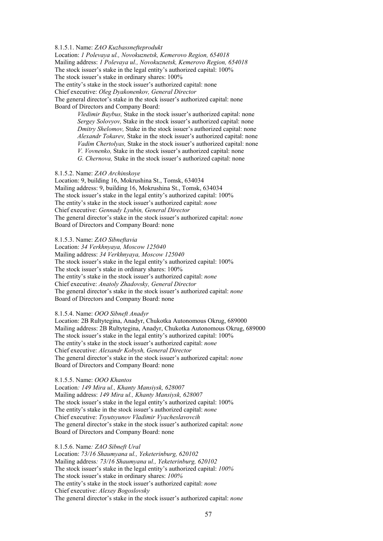#### 8.1.5.1. Name: *ZAO Kuzbassnefteprodukt*

Location: *1 Polevaya ul., Novokuznetsk, Kemerovo Region, 654018* Mailing address: *1 Polevaya ul., Novokuznetsk, Kemerovo Region, 654018* The stock issuer's stake in the legal entity's authorized capital: 100% The stock issuer's stake in ordinary shares: 100%

The entity's stake in the stock issuer's authorized capital: none

Chief executive: *Oleg Dyakonenkov, General Director*

The general director's stake in the stock issuer's authorized capital: none Board of Directors and Company Board:

> *Vledimir Baybus,* Stake in the stock issuer's authorized capital: none  *Sergey Solovyov,* Stake in the stock issuer's authorized capital: none  *Dmitry Shelomov,* Stake in the stock issuer's authorized capital: none  *Alexandr Tokarev,* Stake in the stock issuer's authorized capital: none  *Vadim Chertolyas,* Stake in the stock issuer's authorized capital: none  *V. Vovnenko,* Stake in the stock issuer's authorized capital: none  *G. Chernova,* Stake in the stock issuer's authorized capital: none

#### 8.1.5.2. Name: *ZAO Archinskoye*

Location: 9, building 16, Mokrushina St., Tomsk, 634034 Mailing address: 9, building 16, Mokrushina St., Tomsk, 634034 The stock issuer's stake in the legal entity's authorized capital: 100% The entity's stake in the stock issuer's authorized capital: *none* Chief executive: *Gennady Lyubin, General Director* The general director's stake in the stock issuer's authorized capital: *none* Board of Directors and Company Board: none

8.1.5.3. Name: *ZAO Sibneftavia*

Location: *34 Verkhnyaya, Moscow 125040* Mailing address: *34 Verkhnyaya, Moscow 125040* The stock issuer's stake in the legal entity's authorized capital: 100% The stock issuer's stake in ordinary shares: 100% The entity's stake in the stock issuer's authorized capital: *none* Chief executive: *Anatoly Zhadovsky, General Director* The general director's stake in the stock issuer's authorized capital: *none* Board of Directors and Company Board: none

#### 8.1.5.4. Name: *OOO Sibneft Anadyr*

Location: 2B Rultytegina, Anadyr, Chukotka Autonomous Okrug, 689000 Mailing address: 2B Rultytegina, Anadyr, Chukotka Autonomous Okrug, 689000 The stock issuer's stake in the legal entity's authorized capital: 100% The entity's stake in the stock issuer's authorized capital: *none* Chief executive: *Alexandr Kobysh, General Director*  The general director's stake in the stock issuer's authorized capital: *none* Board of Directors and Company Board: none

#### 8.1.5.5. Name: *OOO Khantos*

Location*: 149 Mira ul., Khanty Mansiysk, 628007* Mailing address: *149 Mira ul., Khanty Mansiysk, 628007* The stock issuer's stake in the legal entity's authorized capital: 100% The entity's stake in the stock issuer's authorized capital: *none* Chief executive: *Tsyutsyunov Vladimir Vyacheslavovcih* The general director's stake in the stock issuer's authorized capital: *none* Board of Directors and Company Board: none

8.1.5.6. Name*: ZAO Sibneft Ural*

Location: *73/16 Shaumyana ul., Yeketerinburg, 620102* Mailing address*: 73/16 Shaumyana ul., Yeketerinburg, 620102* The stock issuer's stake in the legal entity's authorized capital: *100%* The stock issuer's stake in ordinary shares: *100%* The entity's stake in the stock issuer's authorized capital: *none* Chief executive: *Alexey Bogoslovsky* The general director's stake in the stock issuer's authorized capital: *none*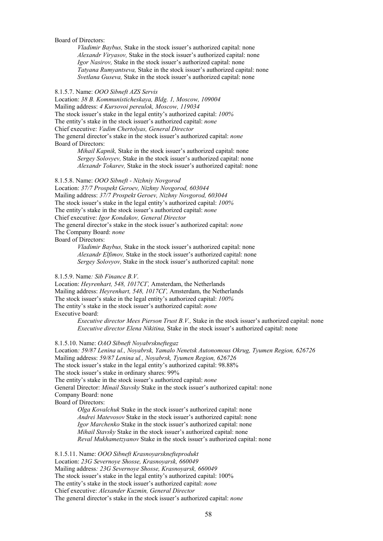#### Board of Directors:

 *Vladimir Baybus,* Stake in the stock issuer's authorized capital: none  *Alexandr Viryasov,* Stake in the stock issuer's authorized capital: none *Igor Nasirov,* Stake in the stock issuer's authorized capital: none *Tatyana Rumyantseva,* Stake in the stock issuer's authorized capital: none *Svetlana Guseva,* Stake in the stock issuer's authorized capital: none

#### 8.1.5.7. Name: *OOO Sibneft AZS Servis*

Location: *38 B. Kommunisticheskaya, Bldg. 1, Moscow, 109004* Mailing address: *4 Kursovoi pereulok, Moscow, 119034* The stock issuer's stake in the legal entity's authorized capital: *100%* The entity's stake in the stock issuer's authorized capital: *none* Chief executive: *Vadim Chertolyas, General Director* The general director's stake in the stock issuer's authorized capital: *none* Board of Directors:

> *Mihail Kapnik,* Stake in the stock issuer's authorized capital: none  *Sergey Solovyev,* Stake in the stock issuer's authorized capital: none  *Alexandr Tokarev,* Stake in the stock issuer's authorized capital: none

#### 8.1.5.8. Name: *OOO Sibneft - Nizhniy Novgorod*

Location: *37/7 Prospekt Geroev, Nizhny Novgorod, 603044* Mailing address: *37/7 Prospekt Geroev, Nizhny Novgorod, 603044* The stock issuer's stake in the legal entity's authorized capital: *100%* The entity's stake in the stock issuer's authorized capital: *none* Chief executive: *Igor Kondakov, General Director* The general director's stake in the stock issuer's authorized capital: *none* The Company Board: *none*  Board of Directors:

> *Vladimir Baybus,* Stake in the stock issuer's authorized capital: none  *Alexandr Elfimov,* Stake in the stock issuer's authorized capital: none *Sergey Solovyov,* Stake in the stock issuer's authorized capital: none

#### 8.1.5.9. Name*: Sib Finance B.V*.

Location: *Heyrenhart, 548, 1017СГ,* Amsterdam, the Netherlands Mailing address: *Heyrenhart, 548, 1017СГ,* Amsterdam, the Netherlands The stock issuer's stake in the legal entity's authorized capital: *100%* The entity's stake in the stock issuer's authorized capital: *none* Executive board:

> *Executive director Mees Pierson Trust B.V.,* Stake in the stock issuer's authorized capital: none  *Executive director Elena Nikitina,* Stake in the stock issuer's authorized capital: none

8.1.5.10. Name: *OAO Sibneft Noyabrskneftegaz*

Location*: 59/87 Lenina ul., Noyabrsk, Yamalo Nenetsk Autonomous Okrug, Tyumen Region, 626726*  Mailing address: *59/87 Lenina ul., Noyabrsk, Tyumen Region, 626726* The stock issuer's stake in the legal entity's authorized capital: 98.88% The stock issuer's stake in ordinary shares: 99% The entity's stake in the stock issuer's authorized capital: *none* General Director: *Minail Stavsky* Stake in the stock issuer's authorized capital: none Company Board: none Board of Directors:

*Olga Kovalchuk* Stake in the stock issuer's authorized capital: none *Andrei Matevosov* Stake in the stock issuer's authorized capital: none *Igor Marchenko* Stake in the stock issuer's authorized capital: none *Mihail Stavsky* Stake in the stock issuer's authorized capital: none *Reval Mukhametzyanov* Stake in the stock issuer's authorized capital: none

8.1.5.11. Name: *OOO Sibneft Krasnoyarsknefteprodukt* Location: *23G Severnoye Shosse, Krasnoyarsk, 660049* Mailing address*: 23G Severnoye Shosse, Krasnoyarsk, 660049* The stock issuer's stake in the legal entity's authorized capital: 100% The entity's stake in the stock issuer's authorized capital: *none*  Chief executive: *Alexander Kuzmin, General Director* The general director's stake in the stock issuer's authorized capital: *none*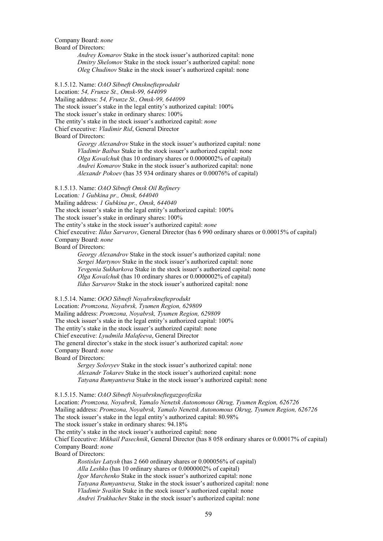Company Board: *none* Board of Directors:

> *Andrey Komarov* Stake in the stock issuer's authorized capital: none *Dmitry Shelomov* Stake in the stock issuer's authorized capital: none *Oleg Chudinov* Stake in the stock issuer's authorized capital: none

8.1.5.12. Name: *OAO Sibneft Omsknefteprodukt*

Location: *54, Frunze St., Omsk-99, 644099* Mailing address: *54, Frunze St., Omsk-99, 644099* The stock issuer's stake in the legal entity's authorized capital: 100% The stock issuer's stake in ordinary shares: 100% The entity's stake in the stock issuer's authorized capital: *none* Chief executive: *Vladimir Rid*, General Director Board of Directors:

*Georgy Alexandrov* Stake in the stock issuer's authorized capital: none *Vladimir Baibus* Stake in the stock issuer's authorized capital: none *Olga Kovalchuk* (has 10 ordinary shares or 0.0000002% of capital) *Andrei Komarov* Stake in the stock issuer's authorized capital: none *Alexandr Pokoev* (has 35 934 ordinary shares or 0.00076% of capital)

8.1.5.13. Name: *OAO Sibneft Omsk Oil Refinery*

Location*: 1 Gubkina pr., Omsk, 644040*

Mailing address*: 1 Gubkina pr., Omsk, 644040*

The stock issuer's stake in the legal entity's authorized capital: 100%

The stock issuer's stake in ordinary shares: 100%

The entity's stake in the stock issuer's authorized capital: *none* 

Chief executive: *Ildus Sarvarov*, General Director (has 6 990 ordinary shares or 0.00015% of capital) Company Board: *none*

Board of Directors:

*Georgy Alexandrov* Stake in the stock issuer's authorized capital: none *Sergei Martynov* Stake in the stock issuer's authorized capital: none *Yevgenia Sukharkova* Stake in the stock issuer's authorized capital: none *Olga Kovalchuk* (has 10 ordinary shares or 0.0000002% of capital) *Ildus Sarvarov* Stake in the stock issuer's authorized capital: none

8.1.5.14. Name: *OOO Sibneft Noyabrsknefteprodukt*

Location: *Promzona, Noyabrsk, Tyumen Region, 629809* Mailing address: *Promzona, Noyabrsk, Tyumen Region, 629809* The stock issuer's stake in the legal entity's authorized capital: 100% The entity's stake in the stock issuer's authorized capital: none Chief executive: *Lyudmila Malafeeva*, General Director The general director's stake in the stock issuer's authorized capital: *none*  Company Board: *none*

Board of Directors:

*Sergey Solovyev* Stake in the stock issuer's authorized capital: none *Alexandr Tokarev* Stake in the stock issuer's authorized capital: none *Tatyana Rumyantseva* Stake in the stock issuer's authorized capital: none

8.1.5.15. Name: *OAO Sibneft Noyabrskneftegazgeofizika*

Location: *Promzona, Noyabrsk, Yamalo Nenetsk Autonomous Okrug, Tyumen Region, 626726* Mailing address: *Promzona, Noyabrsk, Yamalo Nenetsk Autonomous Okrug, Tyumen Region, 626726* The stock issuer's stake in the legal entity's authorized capital: 80.98% The stock issuer's stake in ordinary shares: 94.18% The entity's stake in the stock issuer's authorized capital: none

Chief Ececutive: *Mikhail Pasechnik*, General Director (has 8 058 ordinary shares or 0.00017% of capital) Company Board: *none*

Board of Directors:

*Rostislav Latysh* (has 2 660 ordinary shares or 0.000056% of capital) *Alla Leshko* (has 10 ordinary shares or 0.0000002% of capital) *Igor Marchenko* Stake in the stock issuer's authorized capital: none *Tatyana Rumyantseva,* Stake in the stock issuer's authorized capital: none *Vladimir Svaikin* Stake in the stock issuer's authorized capital: none *Andrei Trukhachev* Stake in the stock issuer's authorized capital: none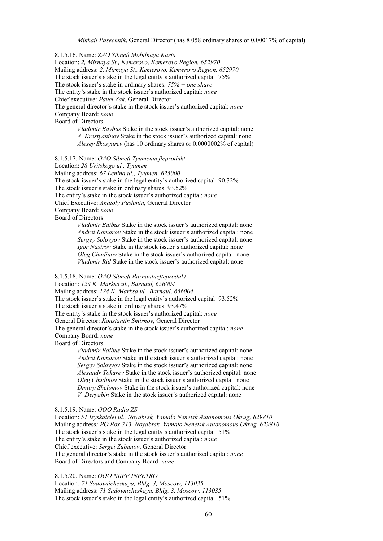8.1.5.16. Name: *ZAO Sibneft Mobilnaya Karta* Location: *2, Mirnaya St., Kemerovo, Kemerovo Region, 652970* Mailing address: *2, Mirnaya St., Kemerovo, Kemerovo Region, 652970* The stock issuer's stake in the legal entity's authorized capital: 75% The stock issuer's stake in ordinary shares: *75% + one share* The entity's stake in the stock issuer's authorized capital: *none* Chief executive: *Pavel Zak*, General Director The general director's stake in the stock issuer's authorized capital: *none* Company Board: *none* Board of Directors: *Vladimir Baybus* Stake in the stock issuer's authorized capital: none *A. Krestyaninov* Stake in the stock issuer's authorized capital: none *Alexey Skosyurev* (has 10 ordinary shares or 0.0000002% of capital)

8.1.5.17. Name: *OAO Sibneft Tyumennefteprodukt* Location: *28 Uritskogo ul., Tyumen* Mailing address: *67 Lenina ul., Tyumen, 625000* The stock issuer's stake in the legal entity's authorized capital: 90.32% The stock issuer's stake in ordinary shares: 93.52% The entity's stake in the stock issuer's authorized capital: *none*  Chief Executive: *Anatoly Pushmin,* General Director Company Board: *none* Board of Directors: *Vladimir Baibus* Stake in the stock issuer's authorized capital: none

*Andrei Komarov* Stake in the stock issuer's authorized capital: none *Sergey Solovyov* Stake in the stock issuer's authorized capital: none *Igor Nasirov* Stake in the stock issuer's authorized capital: none *Oleg Chudinov* Stake in the stock issuer's authorized capital: none *Vladimir Rid* Stake in the stock issuer's authorized capital: none

8.1.5.18. Name: *OAO Sibneft Barnaulnefteprodukt*

Location: *124 K. Marksa ul., Barnaul, 656004*

Mailing address: *124 K. Marksa ul., Barnaul, 656004*

The stock issuer's stake in the legal entity's authorized capital: 93.52%

The stock issuer's stake in ordinary shares: 93.47%

The entity's stake in the stock issuer's authorized capital: *none*

General Director: *Konstantin Smirnov,* General Director

The general director's stake in the stock issuer's authorized capital: *none* Company Board: *none*

Board of Directors:

*Vladimir Baibus* Stake in the stock issuer's authorized capital: none *Andrei Komarov* Stake in the stock issuer's authorized capital: none  *Sergey Solovyov* Stake in the stock issuer's authorized capital: none *Alexandr Tokarev* Stake in the stock issuer's authorized capital: none *Oleg Chudinov* Stake in the stock issuer's authorized capital: none *Dmitry Shelomov* Stake in the stock issuer's authorized capital: none *V. Deryabin* Stake in the stock issuer's authorized capital: none

8.1.5.19. Name: *OOO Radio ZS*

Location: *51 Izyskatelei ul., Noyabrsk, Yamalo Nenetsk Autonomous Okrug, 629810* Mailing address*: PO Box 713, Noyabrsk, Yamalo Nenetsk Autonomous Okrug, 629810* The stock issuer's stake in the legal entity's authorized capital: 51% The entity's stake in the stock issuer's authorized capital: *none* Chief executive: *Sergei Zubanov*, General Director The general director's stake in the stock issuer's authorized capital: *none* Board of Directors and Company Board: *none*

8.1.5.20. Name: *OOO NIiPP INPETRO*

Location*: 71 Sadovnicheskaya, Bldg. 3, Moscow, 113035* Mailing address: *71 Sadovnicheskaya, Bldg. 3, Moscow, 113035* The stock issuer's stake in the legal entity's authorized capital: 51%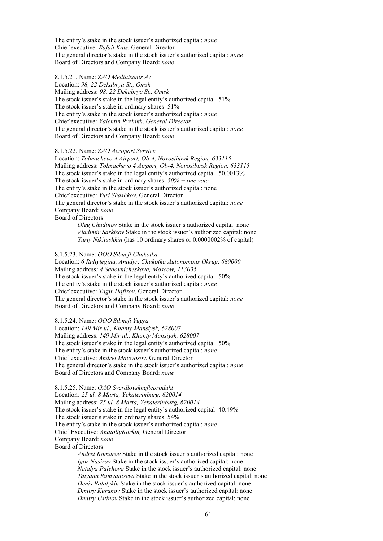The entity's stake in the stock issuer's authorized capital: *none* Chief executive: *Rafail Kats*, General Director The general director's stake in the stock issuer's authorized capital: *none* Board of Directors and Company Board: *none*

8.1.5.21. Name: *ZAO Mediatsentr A7* Location: *98, 22 Dekabrya St., Omsk* Mailing address: *98, 22 Dekabrya St., Omsk* The stock issuer's stake in the legal entity's authorized capital: 51% The stock issuer's stake in ordinary shares: 51% The entity's stake in the stock issuer's authorized capital: *none* Chief executive: *Valentin Ryzhikh, General Director* The general director's stake in the stock issuer's authorized capital: *none* Board of Directors and Company Board: *none*

#### 8.1.5.22. Name: *ZAO Aeroport Service*

Location: *Tolmachevo 4 Airport, Ob-4, Novosibirsk Region, 633115* Mailing address: *Tolmachevo 4 Airport, Ob-4, Novosibirsk Region, 633115* The stock issuer's stake in the legal entity's authorized capital: 50.0013% The stock issuer's stake in ordinary shares: *50% + one vote* The entity's stake in the stock issuer's authorized capital: none Chief executive: *Yuri Shashkov*, General Director The general director's stake in the stock issuer's authorized capital: *none* Company Board: *none* Board of Directors:

> *Oleg Chudinov* Stake in the stock issuer's authorized capital: none *Vladimir Sarkisov* Stake in the stock issuer's authorized capital: none *Yuriy Nikitushkin* (has 10 ordinary shares or 0.0000002% of capital)

#### 8.1.5.23. Name: *OOO Sibneft Chukotka*

Location: *6 Rultytegina, Anadyr, Chukotka Autonomous Okrug, 689000* Mailing address*: 4 Sadovnicheskaya, Moscow, 113035* The stock issuer's stake in the legal entity's authorized capital: 50% The entity's stake in the stock issuer's authorized capital: *none* Chief executive: *Tagir Hafizov*, General Director The general director's stake in the stock issuer's authorized capital: *none* Board of Directors and Company Board: *none*

#### 8.1.5.24. Name: *OOO Sibneft Yugra*

Location: *149 Mir ul., Khanty Mansiysk, 628007* Mailing address: *149 Mir ul., Khanty Mansiysk, 628007* The stock issuer's stake in the legal entity's authorized capital: 50% The entity's stake in the stock issuer's authorized capital: *none* Chief executive: *Andrei Matevosov*, General Director The general director's stake in the stock issuer's authorized capital: *none* Board of Directors and Company Board: *none*

8.1.5.25. Name: *OAO Sverdlovsknefteprodukt* Location*: 25 ul. 8 Marta, Yekaterinburg, 620014* Mailing address: *25 ul. 8 Marta, Yekaterinburg, 620014* The stock issuer's stake in the legal entity's authorized capital: 40.49% The stock issuer's stake in ordinary shares: 54% The entity's stake in the stock issuer's authorized capital: *none*  Chief Executive: *AnatoliyKorkin,* General Director Company Board: *none* Board of Directors:

> *Andrei Komarov* Stake in the stock issuer's authorized capital: none *Igor Nasirov* Stake in the stock issuer's authorized capital: none *Natalya Palehova* Stake in the stock issuer's authorized capital: none *Tatyana Rumyantseva* Stake in the stock issuer's authorized capital: none *Denis Balalykin* Stake in the stock issuer's authorized capital: none *Dmitry Kuranov* Stake in the stock issuer's authorized capital: none *Dmitry Ustinov* Stake in the stock issuer's authorized capital: none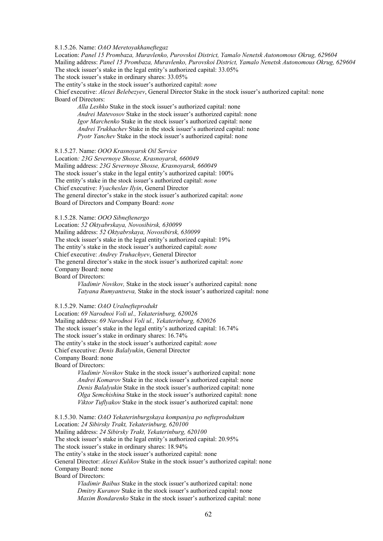#### 8.1.5.26. Name: *OAO Meretoyakhaneftegaz*

Location: *Panel 15 Prombaza, Muravlenko, Purovskoi District, Yamalo Nenetsk Autonomous Okrug, 629604* Mailing address: *Panel 15 Prombaza, Muravlenko, Purovskoi District, Yamalo Nenetsk Autonomous Okrug, 629604* The stock issuer's stake in the legal entity's authorized capital: 33.05%

The stock issuer's stake in ordinary shares: 33.05%

The entity's stake in the stock issuer's authorized capital: *none*

Chief executive: *Alexei Belebezyev*, General Director Stake in the stock issuer's authorized capital: none Board of Directors:

*Alla Leshko* Stake in the stock issuer's authorized capital: none *Andrei Matevosov* Stake in the stock issuer's authorized capital: none *Igor Marchenko* Stake in the stock issuer's authorized capital: none *Andrei Trukhachev* Stake in the stock issuer's authorized capital: none *Pyotr Yanchev* Stake in the stock issuer's authorized capital: none

8.1.5.27. Name: *OOO Krasnoyarsk Oil Service*

Location*: 23G Severnoye Shosse, Krasnoyarsk, 660049* Mailing address: *23G Severnoye Shosse, Krasnoyarsk, 660049* The stock issuer's stake in the legal entity's authorized capital: 100% The entity's stake in the stock issuer's authorized capital: *none* Chief executive: *Vyacheslav Ilyin*, General Director The general director's stake in the stock issuer's authorized capital: *none* Board of Directors and Company Board: *none*

8.1.5.28. Name: *OOO Sibneftenergo*

Location: *52 Oktyabrskaya, Novosibirsk, 630099*  Mailing address: *52 Oktyabrskaya, Novosibirsk, 630099* The stock issuer's stake in the legal entity's authorized capital: 19% The entity's stake in the stock issuer's authorized capital: *none* Chief executive: *Andrey Truhachyev*, General Director The general director's stake in the stock issuer's authorized capital: *none* Company Board: none Board of Directors:

*Vladimir Novikov,* Stake in the stock issuer's authorized capital: none *Tatyana Rumyantseva,* Stake in the stock issuer's authorized capital: none

8.1.5.29. Name: *OAO Uralnefteprodukt*

Location: *69 Narodnoi Voli ul., Yekaterinburg, 620026* Mailing address: *69 Narodnoi Voli ul., Yekaterinburg, 620026* The stock issuer's stake in the legal entity's authorized capital: 16.74% The stock issuer's stake in ordinary shares: 16.74% The entity's stake in the stock issuer's authorized capital: *none*  Chief executive: *Denis Balalyukin*, General Director Company Board: none Board of Directors:

> *Vladimir Novikov* Stake in the stock issuer's authorized capital: none *Andrei Komarov* Stake in the stock issuer's authorized capital: none *Denis Balalyukin* Stake in the stock issuer's authorized capital: none *Olga Semchishina* Stake in the stock issuer's authorized capital: none *Viktor Tuflyakov* Stake in the stock issuer's authorized capital: none

8.1.5.30. Name: *OAO Yekaterinburgskaya kompaniya po nefteproduktam* Location: *24 Sibirsky Trakt, Yekaterinburg, 620100* Mailing address: *24 Sibirsky Trakt, Yekaterinburg, 620100* The stock issuer's stake in the legal entity's authorized capital: 20.95% The stock issuer's stake in ordinary shares: 18.94% The entity's stake in the stock issuer's authorized capital: none General Director: *Alexei Kulikov* Stake in the stock issuer's authorized capital: none Company Board: none Board of Directors: *Vladimir Baibus* Stake in the stock issuer's authorized capital: none *Dmitry Kuranov* Stake in the stock issuer's authorized capital: none

*Maxim Bondarenko* Stake in the stock issuer's authorized capital: none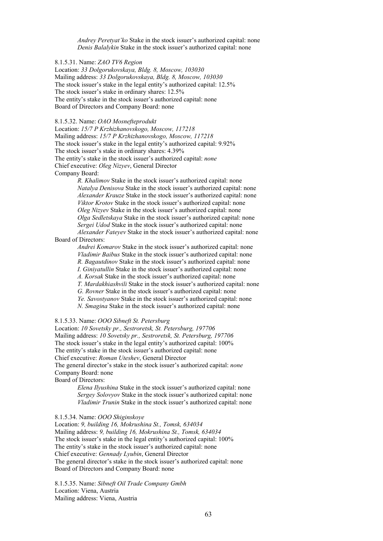*Andrey Peretyat'ko* Stake in the stock issuer's authorized capital: none *Denis Balalykin* Stake in the stock issuer's authorized capital: none

8.1.5.31. Name: *ZAO TV6 Region*

Location: *33 Dolgorukovskaya, Bldg. 8, Moscow, 103030* Mailing address: *33 Dolgorukovskaya, Bldg. 8, Moscow, 103030* The stock issuer's stake in the legal entity's authorized capital: 12.5% The stock issuer's stake in ordinary shares: 12.5% The entity's stake in the stock issuer's authorized capital: none Board of Directors and Company Board: none

#### 8.1.5.32. Name: *OAO Mosnefteprodukt*

Location: *15/7 P Krzhizhanovskogo, Moscow, 117218* Mailing address: *15/7 P Krzhizhanovskogo, Moscow, 117218* The stock issuer's stake in the legal entity's authorized capital: 9.92% The stock issuer's stake in ordinary shares: 4.39% The entity's stake in the stock issuer's authorized capital: *none* Chief executive: *Oleg Nizyev*, General Director Company Board:

> *R. Khalimov* Stake in the stock issuer's authorized capital: none *Natalya Denisova* Stake in the stock issuer's authorized capital: none *Alexander Krauze* Stake in the stock issuer's authorized capital: none *Viktor Krotov* Stake in the stock issuer's authorized capital: none *Oleg Nizyev* Stake in the stock issuer's authorized capital: none *Olga Sedletskaya* Stake in the stock issuer's authorized capital: none *Sergei Udod* Stake in the stock issuer's authorized capital: none *Alexander Fateyev* Stake in the stock issuer's authorized capital: none

Board of Directors:

*Andrei Komarov* Stake in the stock issuer's authorized capital: none *Vladimir Baibus* Stake in the stock issuer's authorized capital: none

*R. Bagautdinov* Stake in the stock issuer's authorized capital: none

*I. Giniyatullin* Stake in the stock issuer's authorized capital: none

*A. Korsak* Stake in the stock issuer's authorized capital: none

*T. Mardakhiashvili* Stake in the stock issuer's authorized capital: none

*G. Rovner* Stake in the stock issuer's authorized capital: none

*Ye. Savostyanov* Stake in the stock issuer's authorized capital: none

*N. Smagina* Stake in the stock issuer's authorized capital: none

#### 8.1.5.33. Name: *OOO Sibneft St. Petersburg*

Location: *10 Sovetsky pr., Sestroretsk, St. Petersburg, 197706* Mailing address: *10 Sovetsky pr., Sestroretsk, St. Petersburg, 197706* The stock issuer's stake in the legal entity's authorized capital: 100% The entity's stake in the stock issuer's authorized capital: none Chief executive: *Roman Uteshev*, General Director

The general director's stake in the stock issuer's authorized capital: *none* Company Board: none

Board of Directors:

*Elena Ilyushina* Stake in the stock issuer's authorized capital: none *Sergey Solovyov* Stake in the stock issuer's authorized capital: none *Vladimir Trunin* Stake in the stock issuer's authorized capital: none

8.1.5.34. Name: *OOO Shiginskoye*

Location: *9, building 16, Mokrushina St., Tomsk, 634034* Mailing address: *9, building 16, Mokrushina St., Tomsk, 634034* The stock issuer's stake in the legal entity's authorized capital: 100% The entity's stake in the stock issuer's authorized capital: none Chief executive: *Gennady Lyubin*, General Director The general director's stake in the stock issuer's authorized capital: none Board of Directors and Company Board: none

8.1.5.35. Name: *Sibneft Oil Trade Company Gmbh*  Location: Viena, Austria Mailing address: Viena, Austria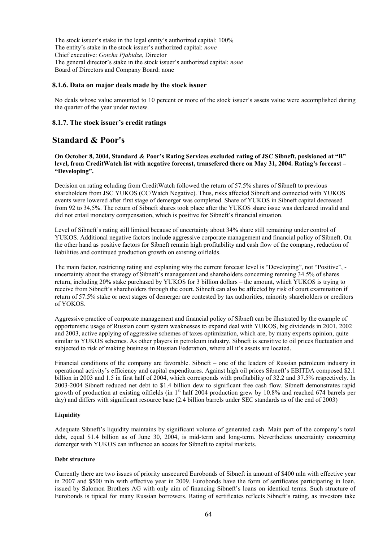The stock issuer's stake in the legal entity's authorized capital: 100% The entity's stake in the stock issuer's authorized capital: *none* Chief executive: *Gotcha Pjabidze*, Director The general director's stake in the stock issuer's authorized capital: *none* Board of Directors and Company Board: none

#### **8.1.6. Data on major deals made by the stock issuer**

No deals whose value amounted to 10 percent or more of the stock issuer's assets value were accomplished during the quarter of the year under review.

#### **8.1.7. The stock issuer's credit ratings**

# **Standard & Poor's**

**On October 8, 2004, Standard & Poor's Rating Services excluded rating of JSC Sibneft, posisioned at "B" level, from CreditWatch list with negative forecast, transefered there on May 31, 2004. Rating's forecast – "Developing".** 

Decision on rating ecluding from CreditWatch followed the return of 57.5% shares of Sibneft to previous shareholders from JSC YUKOS (CC/Watch Negative). Thus, risks affected Sibneft and connected with YUKOS events were lowered after first stage of demerger was completed. Share of YUKOS in Sibneft capital decreased from 92 to 34,5%. The return of Sibneft shares took place after the YUKOS share issue was decleared invalid and did not entail monetary compensation, which is positive for Sibneft's financial situation.

Level of Sibneft's rating still limited because of uncertainty about 34% share still remaining under control of YUKOS. Additional negative factors include aggressive corporate management and financial policy of Sibneft. On the other hand as positive factors for Sibneft remain high profitability and cash flow of the company, reduction of liabilities and continued production growth on existing oilfields.

The main factor, restricting rating and explaning why the current forecast level is "Developing", not "Positive", uncertainty about the strategy of Sibneft's management and shareholders concerning remning 34.5% of shares return, including 20% stake purchased by YUKOS for 3 billion dollars – the amount, which YUKOS is trying to receive from Sibneft's shareholders through the court. Sibneft can also be affected by risk of court examination if return of 57.5% stake or next stages of demerger are contested by tax authorities, minority shareholders or creditors of YOKOS.

Aggressive practice of corporate management and financial policy of Sibneft can be illustrated by the example of opportunistic usage of Russian court system weaknesses to expand deal with YUKOS, big dividends in 2001, 2002 and 2003, active applying of aggressive schemes of taxes optimization, which are, by many experts opinion, quite similar to YUKOS schemes. As other players in petroleum industry, Sibneft is sensitive to oil prices fluctuation and subjected to risk of making business in Russian Federation, where all it's assets are located.

Financial conditions of the company are favorable. Sibneft – one of the leaders of Russian petroleum industry in operational activity's efficiency and capital expenditures. Against high oil prices Sibneft's EBITDA composed \$2.1 billion in 2003 and 1.5 in first half of 2004, which corresponds with profitability of 32.2 and 37.5% respectively. In 2003-2004 Sibneft reduced net debt to \$1.4 billion dew to significant free cash flow. Sibneft demonstrates rapid growth of production at existing oilfields (in 1<sup>st</sup> half 2004 production grew by 10.8% and reached 674 barrels per day) and differs with significant resource base (2.4 billion barrels under SEC standards as of the end of 2003)

#### **Liquidity**

Adequate Sibneft's liquidity maintains by significant volume of generated cash. Main part of the company's total debt, equal \$1.4 billion as of June 30, 2004, is mid-term and long-term. Nevertheless uncertainty concerning demerger with YUKOS can influence an access for Sibneft to capital markets.

#### **Debt structure**

Currently there are two issues of priority unsecured Eurobonds of Sibneft in amount of \$400 mln with effective year in 2007 and \$500 mln with effective year in 2009. Eurobonds have the form of sertificates participating in loan, issued by Salomon Brothers AG with only aim of financing Sibneft's loans on identical terms. Such structure of Eurobonds is tipical for many Russian borrowers. Rating of sertificates reflects Sibneft's rating, as investors take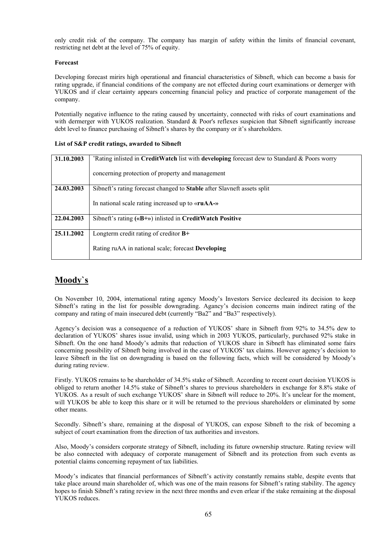only credit risk of the company. The company has margin of safety within the limits of financial covenant, restricting net debt at the level of 75% of equity.

### **Forecast**

Developing forecast mirirs high operational and financial characteristics of Sibneft, which can become a basis for rating upgrade, if financial conditions of the company are not effected during court examinations or demerger with YUKOS and if clear certainty appears concerning financial policy and practice of corporate management of the company.

Potentially negative influence to the rating caused by uncertainty, connected with risks of court examinations and with dermerger with YUKOS realization. Standard & Poor's reflexes suspicion that Sibneft significantly increase debt level to finance purchasing of Sibneft's shares by the company or it's shareholders.

#### **List of S&P credit ratings, awarded to Sibneft**

| 31.10.2003 | 'Rating inlisted in CreditWatch list with developing forecast dew to Standard & Poors worry |
|------------|---------------------------------------------------------------------------------------------|
|            | concerning protection of property and management                                            |
| 24.03.2003 | Sibneft's rating forecast changed to Stable after Slavneft assets split                     |
|            | In national scale rating increased up to «ruAA-»                                            |
| 22.04.2003 | Sibneft's rating $(\&B + \&)$ inlisted in CreditWatch Positive                              |
| 25.11.2002 | Longterm credit rating of creditor $B+$                                                     |
|            | Rating ruAA in national scale; forecast Developing                                          |

# **Moody`s**

On November 10, 2004, international rating agency Moody's Investors Service decleared its decision to keep Sibneft's rating in the list for possible downgrading. Agancy's decision concerns main indirect rating of the company and rating of main insecured debt (currently "Ba2" and "Ba3" respectively).

Agency's decision was a consequence of a reduction of YUKOS' share in Sibneft from 92% to 34.5% dew to declaration of YUKOS' shares issue invalid, using which in 2003 YUKOS, particularly, purchased 92% stake in Sibneft. On the one hand Moody's admits that reduction of YUKOS share in Sibneft has eliminated some fairs concerning possibility of Sibneft being involved in the case of YUKOS' tax claims. However agency's decision to leave Sibneft in the list on downgrading is based on the following facts, which will be considered by Moody's during rating review.

Firstly. YUKOS remains to be shareholder of 34.5% stake of Sibneft. According to recent court decision YUKOS is obliged to return another 14.5% stake of Sibneft's shares to previous shareholders in exchange for 8.8% stake of YUKOS. As a result of such exchange YUKOS' share in Sibneft will reduce to 20%. It's unclear for the moment, will YUKOS be able to keep this share or it will be returned to the previous shareholders or eliminated by some other means.

Secondly. Sibneft's share, remaining at the disposal of YUKOS, can expose Sibneft to the risk of becoming a subject of court examination from the direction of tax authorities and investors.

Also, Moody's considers corporate strategy of Sibneft, including its future ownership structure. Rating review will be also connected with adequacy of corporate management of Sibneft and its protection from such events as potential claims concerning repayment of tax liabilities.

Moody's indicates that financial performances of Sibneft's activity constantly remains stable, despite events that take place around main shareholder of, which was one of the main reasons for Sibneft's rating stability. The agency hopes to finish Sibneft's rating review in the next three months and even erlear if the stake remaining at the disposal YUKOS reduces.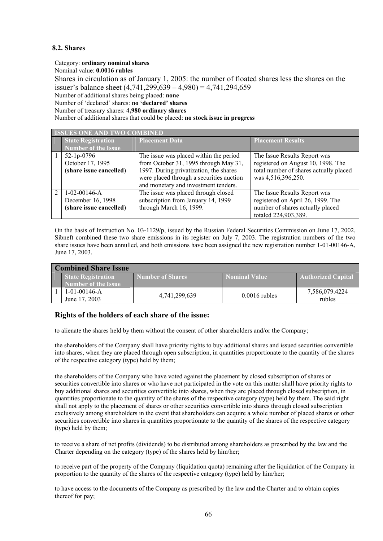# **8.2. Shares**

#### Category: **ordinary nominal shares**

Nominal value: **0.0016 rubles**

Shares in circulation as of January 1, 2005: the number of floated shares less the shares on the issuer's balance sheet (4,741,299,639 – 4,980) = 4,741,294,659

Number of additional shares being placed: **none**

Number of 'declared' shares: **no 'declared' shares**

Number of treasury shares: 4**,980 ordinary shares**

Number of additional shares that could be placed: **no stock issue in progress**

| <b>ISSUES ONE AND TWO COMBINED</b> |                            |                                          |                                        |  |
|------------------------------------|----------------------------|------------------------------------------|----------------------------------------|--|
|                                    | <b>State Registration</b>  | <b>Placement Data</b>                    | <b>Placement Results</b>               |  |
|                                    | <b>Number of the Issue</b> |                                          |                                        |  |
|                                    | $52-1p-0796$               | The issue was placed within the period   | The Issue Results Report was           |  |
|                                    | October 17, 1995           | from October 31, 1995 through May 31,    | registered on August 10, 1998. The     |  |
|                                    | (share issue cancelled)    | 1997. During privatization, the shares   | total number of shares actually placed |  |
|                                    |                            | were placed through a securities auction | was 4,516,396,250.                     |  |
|                                    |                            | and monetary and investment tenders.     |                                        |  |
| $\mathcal{D}$                      | $1-02-00146-A$             | The issue was placed through closed      | The Issue Results Report was           |  |
|                                    | December 16, 1998          | subscription from January 14, 1999       | registered on April 26, 1999. The      |  |
|                                    | (share issue cancelled)    | through March 16, 1999.                  | number of shares actually placed       |  |
|                                    |                            |                                          | totaled 224,903,389.                   |  |

On the basis of Instruction No. 03-1129/p, issued by the Russian Federal Securities Commission on June 17, 2002, Sibneft combined these two share emissions in its register on July 7, 2003. The registration numbers of the two share issues have been annulled, and both emissions have been assigned the new registration number 1-01-00146-A, June 17, 2003.

| <b>Combined Share Issue</b> |                                                         |                  |                 |                           |
|-----------------------------|---------------------------------------------------------|------------------|-----------------|---------------------------|
|                             | <b>State Registration</b><br><b>Number of the Issue</b> | Number of Shares | Nominal Value   | <b>Authorized Capital</b> |
|                             | $1-01-00146-A$<br>June 17, 2003                         | 4,741,299,639    | $0.0016$ rubles | 7,586,079.4224<br>rubles  |

# **Rights of the holders of each share of the issue:**

to alienate the shares held by them without the consent of other shareholders and/or the Company;

the shareholders of the Company shall have priority rights to buy additional shares and issued securities convertible into shares, when they are placed through open subscription, in quantities proportionate to the quantity of the shares of the respective category (type) held by them;

the shareholders of the Company who have voted against the placement by closed subscription of shares or securities convertible into shares or who have not participated in the vote on this matter shall have priority rights to buy additional shares and securities convertible into shares, when they are placed through closed subscription, in quantities proportionate to the quantity of the shares of the respective category (type) held by them. The said right shall not apply to the placement of shares or other securities convertible into shares through closed subscription exclusively among shareholders in the event that shareholders can acquire a whole number of placed shares or other securities convertible into shares in quantities proportionate to the quantity of the shares of the respective category (type) held by them;

to receive a share of net profits (dividends) to be distributed among shareholders as prescribed by the law and the Charter depending on the category (type) of the shares held by him/her;

to receive part of the property of the Company (liquidation quota) remaining after the liquidation of the Company in proportion to the quantity of the shares of the respective category (type) held by him/her;

to have access to the documents of the Company as prescribed by the law and the Charter and to obtain copies thereof for pay;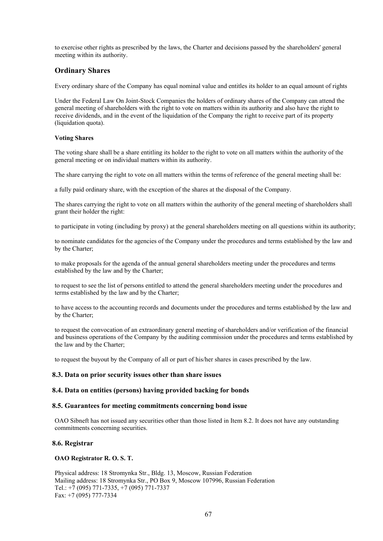to exercise other rights as prescribed by the laws, the Charter and decisions passed by the shareholders' general meeting within its authority.

# **Ordinary Shares**

Every ordinary share of the Company has equal nominal value and entitles its holder to an equal amount of rights

Under the Federal Law On Joint-Stock Companies the holders of ordinary shares of the Company can attend the general meeting of shareholders with the right to vote on matters within its authority and also have the right to receive dividends, and in the event of the liquidation of the Company the right to receive part of its property (liquidation quota).

#### **Voting Shares**

The voting share shall be a share entitling its holder to the right to vote on all matters within the authority of the general meeting or on individual matters within its authority.

The share carrying the right to vote on all matters within the terms of reference of the general meeting shall be:

a fully paid ordinary share, with the exception of the shares at the disposal of the Company.

The shares carrying the right to vote on all matters within the authority of the general meeting of shareholders shall grant their holder the right:

to participate in voting (including by proxy) at the general shareholders meeting on all questions within its authority;

to nominate candidates for the agencies of the Company under the procedures and terms established by the law and by the Charter;

to make proposals for the agenda of the annual general shareholders meeting under the procedures and terms established by the law and by the Charter;

to request to see the list of persons entitled to attend the general shareholders meeting under the procedures and terms established by the law and by the Charter;

to have access to the accounting records and documents under the procedures and terms established by the law and by the Charter;

to request the convocation of an extraordinary general meeting of shareholders and/or verification of the financial and business operations of the Company by the auditing commission under the procedures and terms established by the law and by the Charter;

to request the buyout by the Company of all or part of his/her shares in cases prescribed by the law.

#### **8.3. Data on prior security issues other than share issues**

#### **8.4. Data on entities (persons) having provided backing for bonds**

#### **8.5. Guarantees for meeting commitments concerning bond issue**

OAO Sibneft has not issued any securities other than those listed in Item 8.2. It does not have any outstanding commitments concerning securities.

#### **8.6. Registrar**

#### **OAO Registrator R. O. S. T.**

Physical address: 18 Stromynka Str., Bldg. 13, Moscow, Russian Federation Mailing address: 18 Stromynka Str., PO Box 9, Moscow 107996, Russian Federation Tel.: +7 (095) 771-7335, +7 (095) 771-7337 Fax: +7 (095) 777-7334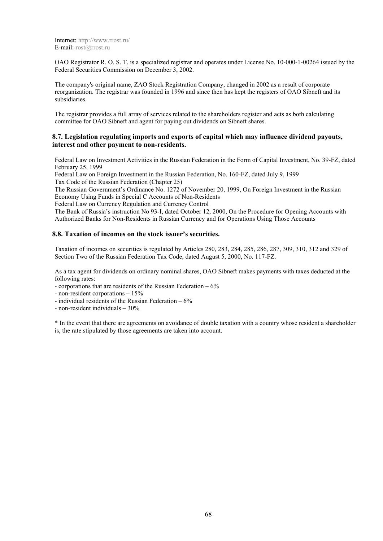Internet: http://www.rrost.ru/ E-mail: rost@rrost.ru

OAO Registrator R. O. S. T. is a specialized registrar and operates under License No. 10-000-1-00264 issued by the Federal Securities Commission on December 3, 2002.

The company's original name, ZAO Stock Registration Company, changed in 2002 as a result of corporate reorganization. The registrar was founded in 1996 and since then has kept the registers of OAO Sibneft and its subsidiaries.

The registrar provides a full array of services related to the shareholders register and acts as both calculating committee for OAO Sibneft and agent for paying out dividends on Sibneft shares.

#### **8.7. Legislation regulating imports and exports of capital which may influence dividend payouts, interest and other payment to non-residents.**

Federal Law on Investment Activities in the Russian Federation in the Form of Capital Investment, No. 39-FZ, dated February 25, 1999

Federal Law on Foreign Investment in the Russian Federation, No. 160-FZ, dated July 9, 1999 Tax Code of the Russian Federation (Chapter 25)

The Russian Government's Ordinance No. 1272 of November 20, 1999, On Foreign Investment in the Russian Economy Using Funds in Special C Accounts of Non-Residents

Federal Law on Currency Regulation and Currency Control

The Bank of Russia's instruction No 93-I, dated October 12, 2000, On the Procedure for Opening Accounts with Authorized Banks for Non-Residents in Russian Currency and for Operations Using Those Accounts

#### **8.8. Taxation of incomes on the stock issuer's securities.**

Taxation of incomes on securities is regulated by Articles 280, 283, 284, 285, 286, 287, 309, 310, 312 and 329 of Section Two of the Russian Federation Tax Code, dated August 5, 2000, No. 117-FZ.

As a tax agent for dividends on ordinary nominal shares, OAO Sibneft makes payments with taxes deducted at the following rates:

- corporations that are residents of the Russian Federation  $-6\%$ 

- non-resident corporations – 15%

- individual residents of the Russian Federation 6%
- non-resident individuals 30%

\* In the event that there are agreements on avoidance of double taxation with a country whose resident a shareholder is, the rate stipulated by those agreements are taken into account.